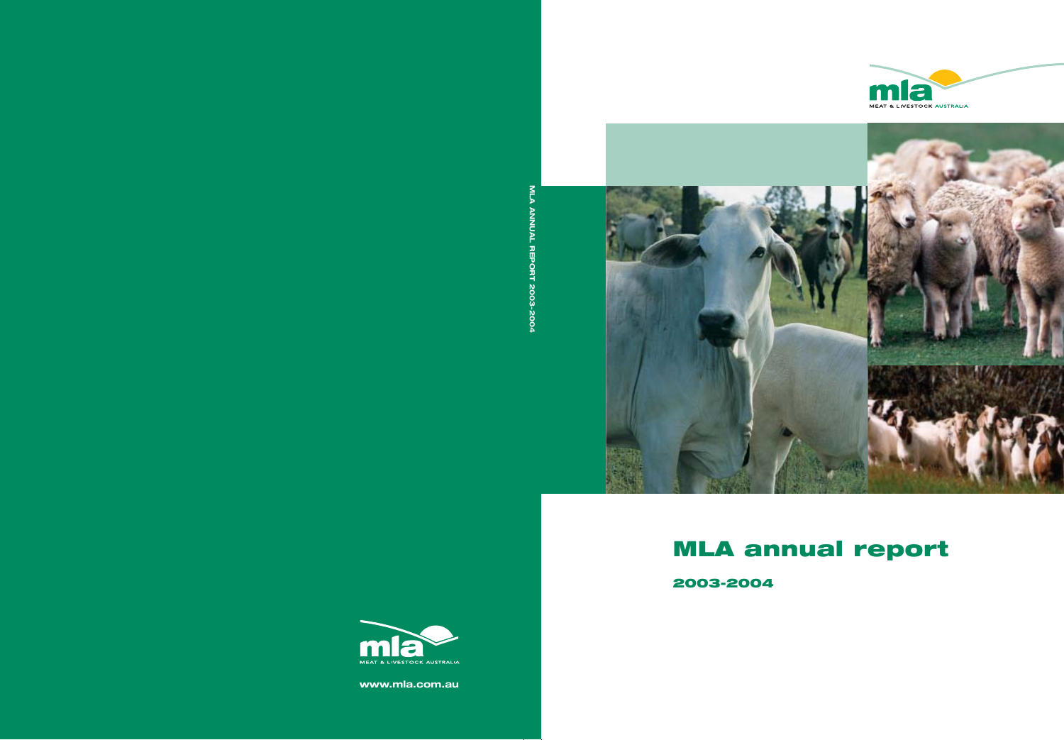



# **MLA annual report**

**2003-2004**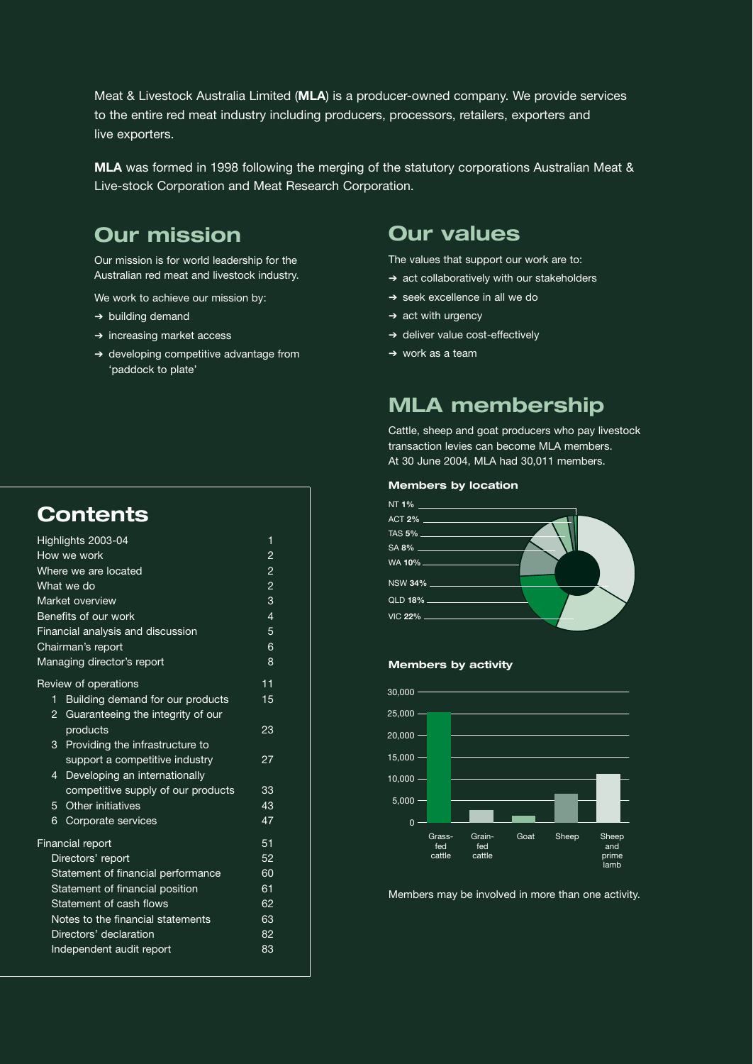Meat & Livestock Australia Limited (**MLA**) is a producer-owned company. We provide services to the entire red meat industry including producers, processors, retailers, exporters and live exporters.

**MLA** was formed in 1998 following the merging of the statutory corporations Australian Meat & Live-stock Corporation and Meat Research Corporation.

### **Our mission**

Our mission is for world leadership for the Australian red meat and livestock industry.

We work to achieve our mission by:

- ➔ building demand
- ➔ increasing market access
- ➔ developing competitive advantage from 'paddock to plate'

### **Contents**

| Highlights 2003-04                 | 1                                  |    |  |
|------------------------------------|------------------------------------|----|--|
| How we work                        | $\overline{2}$                     |    |  |
| Where we are located               | $\overline{c}$                     |    |  |
| What we do                         | $\overline{2}$                     |    |  |
| Market overview                    | 3                                  |    |  |
| Benefits of our work               | $\overline{4}$                     |    |  |
| Financial analysis and discussion  | 5                                  |    |  |
| Chairman's report                  | 6                                  |    |  |
|                                    | Managing director's report         |    |  |
|                                    | Review of operations               | 11 |  |
| 1                                  | Building demand for our products   | 15 |  |
| 2                                  | Guaranteeing the integrity of our  |    |  |
|                                    | products                           | 23 |  |
| 3                                  | Providing the infrastructure to    |    |  |
|                                    | support a competitive industry     | 27 |  |
| $\overline{4}$                     | Developing an internationally      |    |  |
|                                    | competitive supply of our products | 33 |  |
| 5                                  | Other initiatives                  | 43 |  |
| 6                                  | Corporate services                 | 47 |  |
| <b>Financial report</b>            |                                    | 51 |  |
| Directors' report<br>52            |                                    |    |  |
| Statement of financial performance |                                    |    |  |
|                                    | Statement of financial position    | 61 |  |
|                                    | Statement of cash flows            | 62 |  |
| Notes to the financial statements  | 63                                 |    |  |
| Directors' declaration             | 82                                 |    |  |
|                                    | Independent audit report           | 83 |  |
|                                    |                                    |    |  |

### **Our values**

The values that support our work are to:

- ➔ act collaboratively with our stakeholders
- ➔ seek excellence in all we do
- $\rightarrow$  act with urgency
- ➔ deliver value cost-effectively
- ➔ work as a team

### **MLA membership**

Cattle, sheep and goat producers who pay livestock transaction levies can become MLA members. At 30 June 2004, MLA had 30,011 members.

#### **Members by location**



### **Members by activity**



Members may be involved in more than one activity.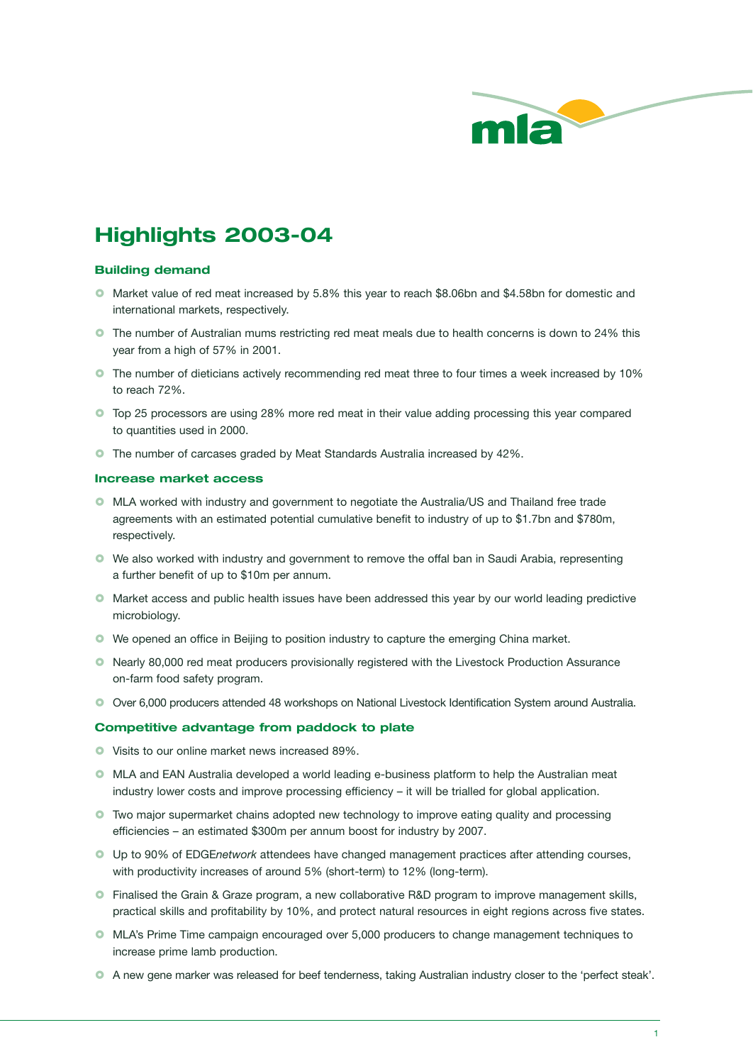

### **Highlights 2003-04**

### **Building demand**

- Market value of red meat increased by 5.8% this year to reach \$8.06bn and \$4.58bn for domestic and international markets, respectively.
- **O** The number of Australian mums restricting red meat meals due to health concerns is down to 24% this year from a high of 57% in 2001.
- **O** The number of dieticians actively recommending red meat three to four times a week increased by 10% to reach 72%.
- **Top 25 processors are using 28% more red meat in their value adding processing this year compared** to quantities used in 2000.
- **O** The number of carcases graded by Meat Standards Australia increased by 42%.

### **Increase market access**

- MLA worked with industry and government to negotiate the Australia/US and Thailand free trade agreements with an estimated potential cumulative benefit to industry of up to \$1.7bn and \$780m, respectively.
- We also worked with industry and government to remove the offal ban in Saudi Arabia, representing a further benefit of up to \$10m per annum.
- **O** Market access and public health issues have been addressed this year by our world leading predictive microbiology.
- We opened an office in Beijing to position industry to capture the emerging China market.
- Nearly 80,000 red meat producers provisionally registered with the Livestock Production Assurance on-farm food safety program.
- Over 6,000 producers attended 48 workshops on National Livestock Identification System around Australia.

### **Competitive advantage from paddock to plate**

- Visits to our online market news increased 89%.
- MLA and EAN Australia developed a world leading e-business platform to help the Australian meat industry lower costs and improve processing efficiency – it will be trialled for global application.
- Two major supermarket chains adopted new technology to improve eating quality and processing efficiencies – an estimated \$300m per annum boost for industry by 2007.
- Up to 90% of EDGE*network* attendees have changed management practices after attending courses, with productivity increases of around 5% (short-term) to 12% (long-term).
- **•** Finalised the Grain & Graze program, a new collaborative R&D program to improve management skills, practical skills and profitability by 10%, and protect natural resources in eight regions across five states.
- $\bullet$  MLA's Prime Time campaign encouraged over 5,000 producers to change management techniques to increase prime lamb production.
- A new gene marker was released for beef tenderness, taking Australian industry closer to the 'perfect steak'.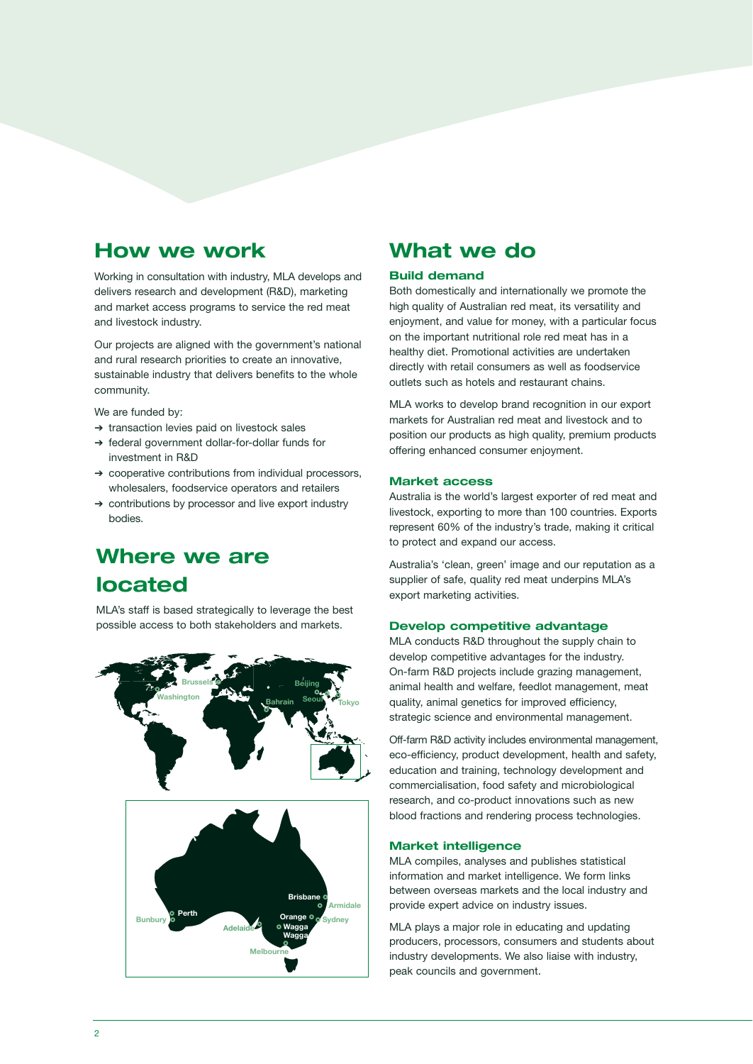### **How we work**

Working in consultation with industry, MLA develops and delivers research and development (R&D), marketing and market access programs to service the red meat and livestock industry.

Our projects are aligned with the government's national and rural research priorities to create an innovative, sustainable industry that delivers benefits to the whole community.

We are funded by:

- ➔ transaction levies paid on livestock sales
- ➔ federal government dollar-for-dollar funds for investment in R&D
- ➔ cooperative contributions from individual processors, wholesalers, foodservice operators and retailers
- ➔ contributions by processor and live export industry bodies.

### **Where we are located**

MLA's staff is based strategically to leverage the best possible access to both stakeholders and markets.



### **What we do**

### **Build demand**

Both domestically and internationally we promote the high quality of Australian red meat, its versatility and enjoyment, and value for money, with a particular focus on the important nutritional role red meat has in a healthy diet. Promotional activities are undertaken directly with retail consumers as well as foodservice outlets such as hotels and restaurant chains.

MLA works to develop brand recognition in our export markets for Australian red meat and livestock and to position our products as high quality, premium products offering enhanced consumer enjoyment.

### **Market access**

Australia is the world's largest exporter of red meat and livestock, exporting to more than 100 countries. Exports represent 60% of the industry's trade, making it critical to protect and expand our access.

Australia's 'clean, green' image and our reputation as a supplier of safe, quality red meat underpins MLA's export marketing activities.

### **Develop competitive advantage**

MLA conducts R&D throughout the supply chain to develop competitive advantages for the industry. On-farm R&D projects include grazing management, animal health and welfare, feedlot management, meat quality, animal genetics for improved efficiency, strategic science and environmental management.

Off-farm R&D activity includes environmental management, eco-efficiency, product development, health and safety, education and training, technology development and commercialisation, food safety and microbiological research, and co-product innovations such as new blood fractions and rendering process technologies.

### **Market intelligence**

MLA compiles, analyses and publishes statistical information and market intelligence. We form links between overseas markets and the local industry and provide expert advice on industry issues.

MLA plays a major role in educating and updating producers, processors, consumers and students about industry developments. We also liaise with industry, peak councils and government.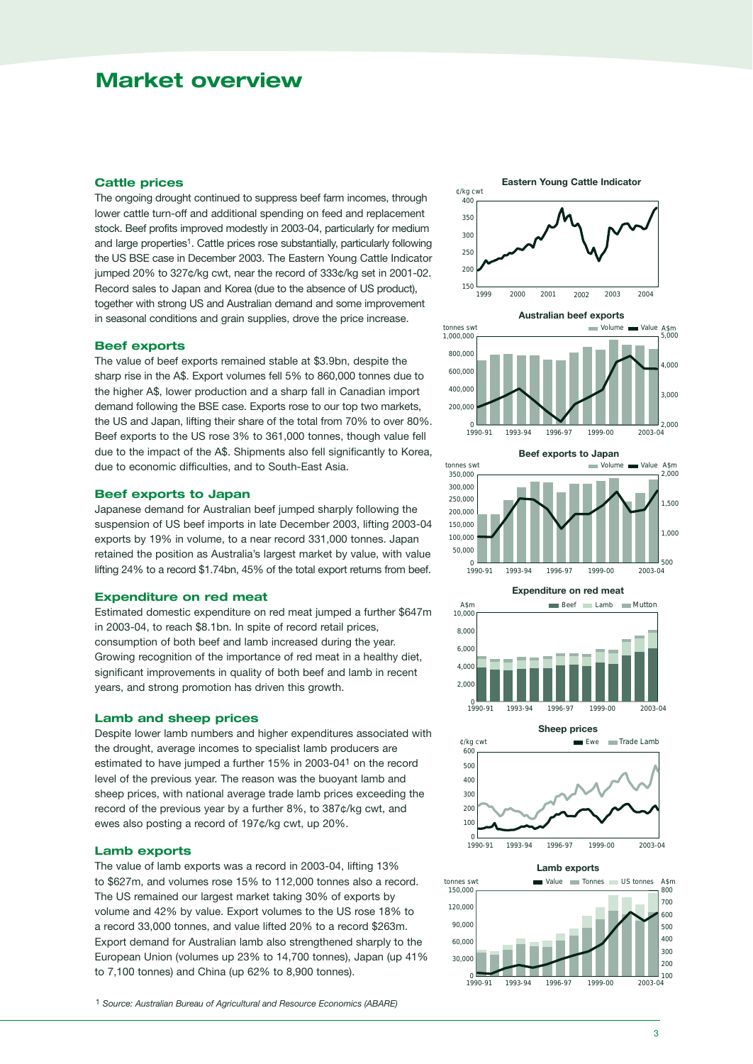### **Market overview**

### **Cattle prices**

The ongoing drought continued to suppress beef farm incomes, through lower cattle turn-off and additional spending on feed and replacement stock. Beef profits improved modestly in 2003-04, particularly for medium and large properties<sup>1</sup>. Cattle prices rose substantially, particularly following the US BSE case in December 2003. The Eastern Young Cattle Indicator jumped 20% to 327¢/kg cwt, near the record of 333¢/kg set in 2001-02. Record sales to Japan and Korea (due to the absence of US product), together with strong US and Australian demand and some improvement in seasonal conditions and grain supplies, drove the price increase.

### **Beef exports**

The value of beef exports remained stable at \$3.9bn, despite the sharp rise in the A\$. Export volumes fell 5% to 860,000 tonnes due to the higher A\$, lower production and a sharp fall in Canadian import demand following the BSE case. Exports rose to our top two markets, the US and Japan, lifting their share of the total from 70% to over 80%. Beef exports to the US rose 3% to 361,000 tonnes, though value fell due to the impact of the A\$. Shipments also fell significantly to Korea, due to economic difficulties, and to South-East Asia.

### **Beef exports to Japan**

Japanese demand for Australian beef jumped sharply following the suspension of US beef imports in late December 2003, lifting 2003-04 exports by 19% in volume, to a near record 331,000 tonnes. Japan retained the position as Australia's largest market by value, with value lifting 24% to a record \$1.74bn, 45% of the total export returns from beef.

### **Expenditure on red meat**

Estimated domestic expenditure on red meat jumped a further \$647m in 2003-04, to reach \$8.1bn. In spite of record retail prices, consumption of both beef and lamb increased during the year. Growing recognition of the importance of red meat in a healthy diet, significant improvements in quality of both beef and lamb in recent years, and strong promotion has driven this growth.

### **Lamb and sheep prices**

Despite lower lamb numbers and higher expenditures associated with the drought, average incomes to specialist lamb producers are estimated to have jumped a further 15% in 2003-041 on the record level of the previous year. The reason was the buoyant lamb and sheep prices, with national average trade lamb prices exceeding the record of the previous year by a further 8%, to 387¢/kg cwt, and ewes also posting a record of 197¢/kg cwt, up 20%.

### **Lamb exports**

The value of lamb exports was a record in 2003-04, lifting 13% to \$627m, and volumes rose 15% to 112,000 tonnes also a record. The US remained our largest market taking 30% of exports by volume and 42% by value. Export volumes to the US rose 18% to a record 33,000 tonnes, and value lifted 20% to a record \$263m. Export demand for Australian lamb also strengthened sharply to the European Union (volumes up 23% to 14,700 tonnes), Japan (up 41% to 7,100 tonnes) and China (up 62% to 8,900 tonnes).

1 *Source: Australian Bureau of Agricultural and Resource Economics (ABARE)*

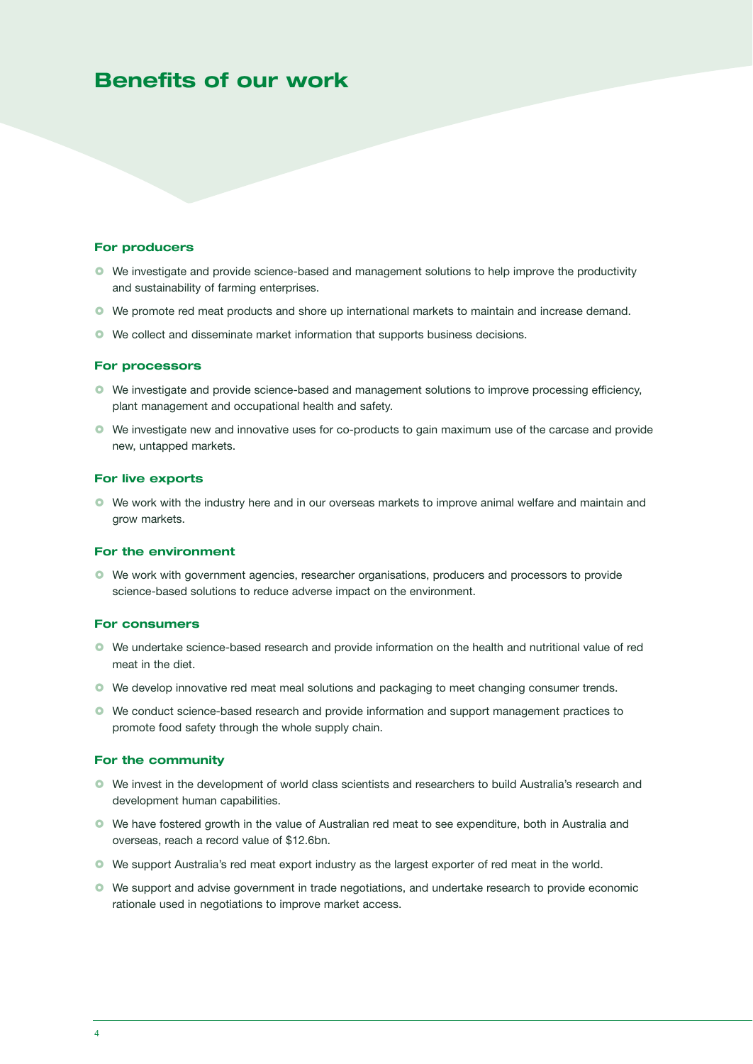### **Benefits of our work**

### **For producers**

- We investigate and provide science-based and management solutions to help improve the productivity and sustainability of farming enterprises.
- We promote red meat products and shore up international markets to maintain and increase demand.
- We collect and disseminate market information that supports business decisions.

#### **For processors**

- We investigate and provide science-based and management solutions to improve processing efficiency, plant management and occupational health and safety.
- We investigate new and innovative uses for co-products to gain maximum use of the carcase and provide new, untapped markets.

### **For live exports**

 We work with the industry here and in our overseas markets to improve animal welfare and maintain and grow markets.

### **For the environment**

 We work with government agencies, researcher organisations, producers and processors to provide science-based solutions to reduce adverse impact on the environment.

#### **For consumers**

- We undertake science-based research and provide information on the health and nutritional value of red meat in the diet.
- We develop innovative red meat meal solutions and packaging to meet changing consumer trends.
- We conduct science-based research and provide information and support management practices to promote food safety through the whole supply chain.

### **For the community**

- We invest in the development of world class scientists and researchers to build Australia's research and development human capabilities.
- We have fostered growth in the value of Australian red meat to see expenditure, both in Australia and overseas, reach a record value of \$12.6bn.
- We support Australia's red meat export industry as the largest exporter of red meat in the world.
- We support and advise government in trade negotiations, and undertake research to provide economic rationale used in negotiations to improve market access.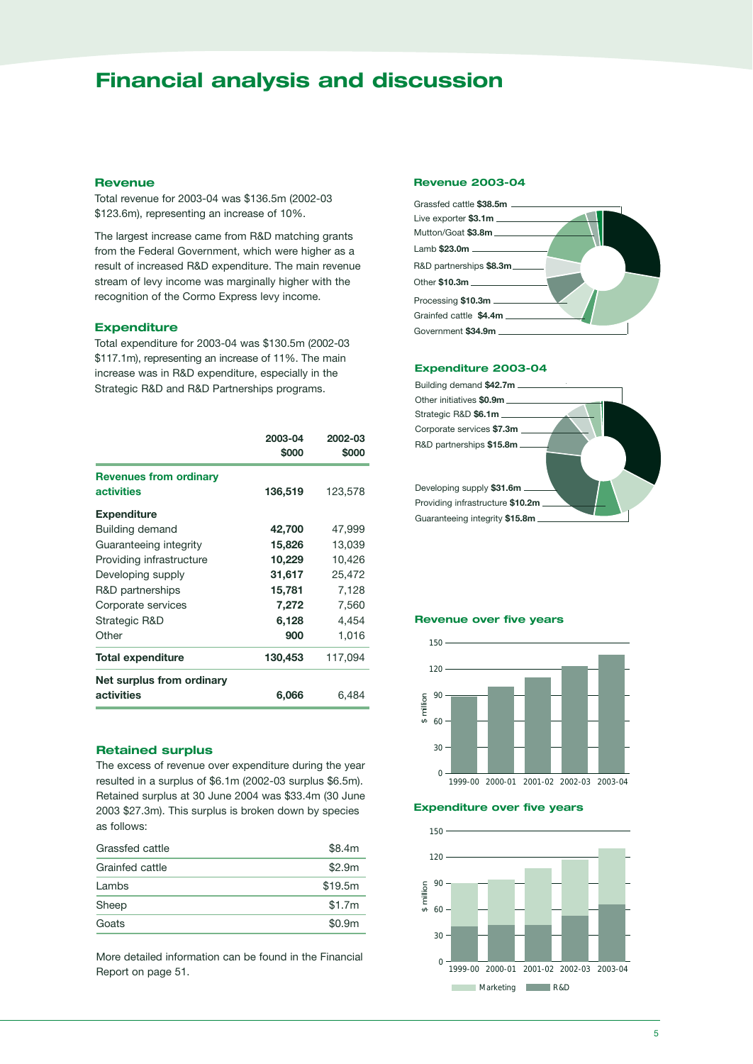### **Financial analysis and discussion**

### **Revenue**

Total revenue for 2003-04 was \$136.5m (2002-03 \$123.6m), representing an increase of 10%.

The largest increase came from R&D matching grants from the Federal Government, which were higher as a result of increased R&D expenditure. The main revenue stream of levy income was marginally higher with the recognition of the Cormo Express levy income.

### **Expenditure**

Total expenditure for 2003-04 was \$130.5m (2002-03 \$117.1m), representing an increase of 11%. The main increase was in R&D expenditure, especially in the Strategic R&D and R&D Partnerships programs.

| 136,519 | 123,578 |
|---------|---------|
|         |         |
| 42,700  | 47,999  |
| 15,826  | 13,039  |
| 10,229  | 10,426  |
| 31,617  | 25,472  |
| 15,781  | 7,128   |
| 7,272   | 7,560   |
| 6,128   | 4,454   |
| 900     | 1,016   |
| 130,453 | 117,094 |
|         |         |
| 6,066   | 6,484   |
|         |         |

### **Retained surplus**

The excess of revenue over expenditure during the year resulted in a surplus of \$6.1m (2002-03 surplus \$6.5m). Retained surplus at 30 June 2004 was \$33.4m (30 June 2003 \$27.3m). This surplus is broken down by species as follows:

| Grassfed cattle | \$8.4m  |  |
|-----------------|---------|--|
| Grainfed cattle | \$2.9m  |  |
| Lambs           | \$19.5m |  |
| Sheep           | \$1.7m  |  |
| Goats           | \$0.9m  |  |
|                 |         |  |

More detailed information can be found in the Financial Report on page 51.

### **Revenue 2003-04**



#### **Expenditure 2003-04**



### **Revenue over five years**



**Expenditure over five years**

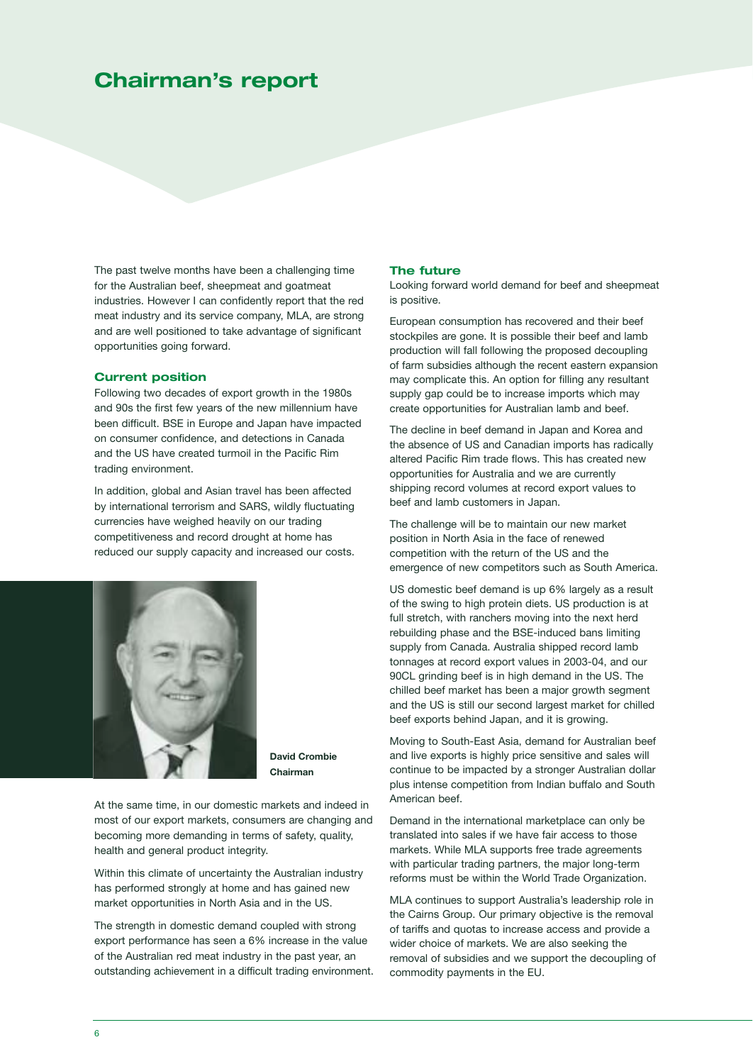### **Chairman's report**

The past twelve months have been a challenging time for the Australian beef, sheepmeat and goatmeat industries. However I can confidently report that the red meat industry and its service company, MLA, are strong and are well positioned to take advantage of significant opportunities going forward.

### **Current position**

Following two decades of export growth in the 1980s and 90s the first few years of the new millennium have been difficult. BSE in Europe and Japan have impacted on consumer confidence, and detections in Canada and the US have created turmoil in the Pacific Rim trading environment.

In addition, global and Asian travel has been affected by international terrorism and SARS, wildly fluctuating currencies have weighed heavily on our trading competitiveness and record drought at home has reduced our supply capacity and increased our costs.



**David Crombie Chairman**

At the same time, in our domestic markets and indeed in most of our export markets, consumers are changing and becoming more demanding in terms of safety, quality, health and general product integrity.

Within this climate of uncertainty the Australian industry has performed strongly at home and has gained new market opportunities in North Asia and in the US.

The strength in domestic demand coupled with strong export performance has seen a 6% increase in the value of the Australian red meat industry in the past year, an outstanding achievement in a difficult trading environment.

### **The future**

Looking forward world demand for beef and sheepmeat is positive.

European consumption has recovered and their beef stockpiles are gone. It is possible their beef and lamb production will fall following the proposed decoupling of farm subsidies although the recent eastern expansion may complicate this. An option for filling any resultant supply gap could be to increase imports which may create opportunities for Australian lamb and beef.

The decline in beef demand in Japan and Korea and the absence of US and Canadian imports has radically altered Pacific Rim trade flows. This has created new opportunities for Australia and we are currently shipping record volumes at record export values to beef and lamb customers in Japan.

The challenge will be to maintain our new market position in North Asia in the face of renewed competition with the return of the US and the emergence of new competitors such as South America.

US domestic beef demand is up 6% largely as a result of the swing to high protein diets. US production is at full stretch, with ranchers moving into the next herd rebuilding phase and the BSE-induced bans limiting supply from Canada. Australia shipped record lamb tonnages at record export values in 2003-04, and our 90CL grinding beef is in high demand in the US. The chilled beef market has been a major growth segment and the US is still our second largest market for chilled beef exports behind Japan, and it is growing.

Moving to South-East Asia, demand for Australian beef and live exports is highly price sensitive and sales will continue to be impacted by a stronger Australian dollar plus intense competition from Indian buffalo and South American beef.

Demand in the international marketplace can only be translated into sales if we have fair access to those markets. While MLA supports free trade agreements with particular trading partners, the major long-term reforms must be within the World Trade Organization.

MLA continues to support Australia's leadership role in the Cairns Group. Our primary objective is the removal of tariffs and quotas to increase access and provide a wider choice of markets. We are also seeking the removal of subsidies and we support the decoupling of commodity payments in the EU.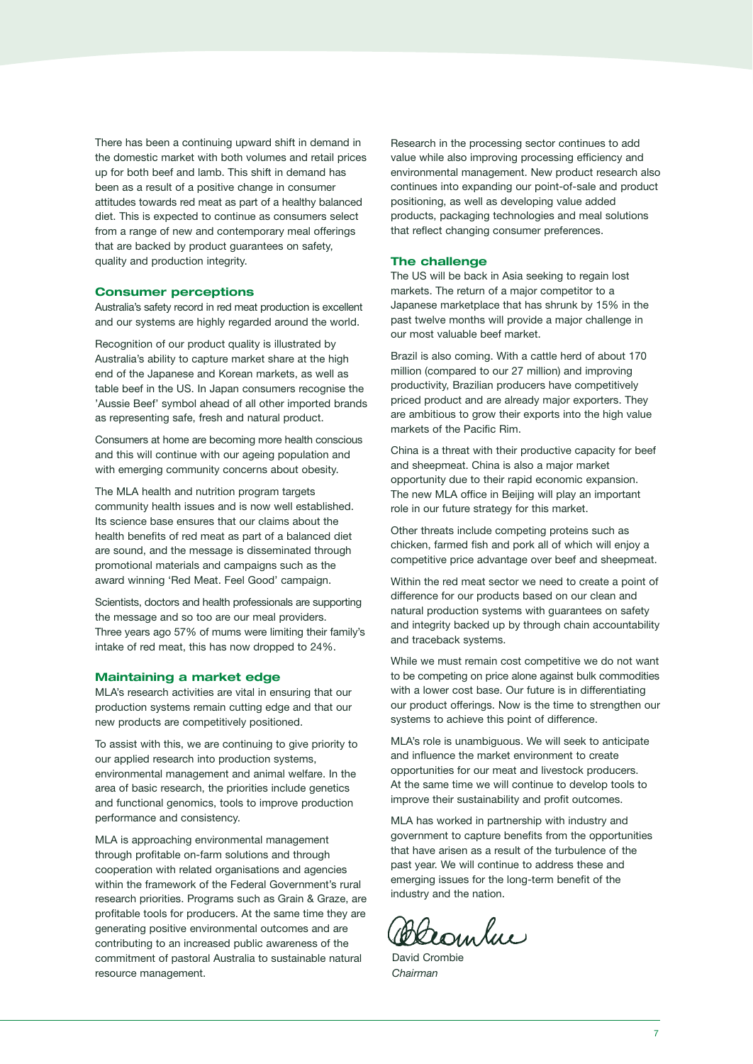There has been a continuing upward shift in demand in the domestic market with both volumes and retail prices up for both beef and lamb. This shift in demand has been as a result of a positive change in consumer attitudes towards red meat as part of a healthy balanced diet. This is expected to continue as consumers select from a range of new and contemporary meal offerings that are backed by product guarantees on safety, quality and production integrity.

### **Consumer perceptions**

Australia's safety record in red meat production is excellent and our systems are highly regarded around the world.

Recognition of our product quality is illustrated by Australia's ability to capture market share at the high end of the Japanese and Korean markets, as well as table beef in the US. In Japan consumers recognise the 'Aussie Beef' symbol ahead of all other imported brands as representing safe, fresh and natural product.

Consumers at home are becoming more health conscious and this will continue with our ageing population and with emerging community concerns about obesity.

The MLA health and nutrition program targets community health issues and is now well established. Its science base ensures that our claims about the health benefits of red meat as part of a balanced diet are sound, and the message is disseminated through promotional materials and campaigns such as the award winning 'Red Meat. Feel Good' campaign.

Scientists, doctors and health professionals are supporting the message and so too are our meal providers. Three years ago 57% of mums were limiting their family's intake of red meat, this has now dropped to 24%.

#### **Maintaining a market edge**

MLA's research activities are vital in ensuring that our production systems remain cutting edge and that our new products are competitively positioned.

To assist with this, we are continuing to give priority to our applied research into production systems, environmental management and animal welfare. In the area of basic research, the priorities include genetics and functional genomics, tools to improve production performance and consistency.

MLA is approaching environmental management through profitable on-farm solutions and through cooperation with related organisations and agencies within the framework of the Federal Government's rural research priorities. Programs such as Grain & Graze, are profitable tools for producers. At the same time they are generating positive environmental outcomes and are contributing to an increased public awareness of the commitment of pastoral Australia to sustainable natural resource management.

Research in the processing sector continues to add value while also improving processing efficiency and environmental management. New product research also continues into expanding our point-of-sale and product positioning, as well as developing value added products, packaging technologies and meal solutions that reflect changing consumer preferences.

#### **The challenge**

The US will be back in Asia seeking to regain lost markets. The return of a major competitor to a Japanese marketplace that has shrunk by 15% in the past twelve months will provide a major challenge in our most valuable beef market.

Brazil is also coming. With a cattle herd of about 170 million (compared to our 27 million) and improving productivity, Brazilian producers have competitively priced product and are already major exporters. They are ambitious to grow their exports into the high value markets of the Pacific Rim.

China is a threat with their productive capacity for beef and sheepmeat. China is also a major market opportunity due to their rapid economic expansion. The new MLA office in Beijing will play an important role in our future strategy for this market.

Other threats include competing proteins such as chicken, farmed fish and pork all of which will enjoy a competitive price advantage over beef and sheepmeat.

Within the red meat sector we need to create a point of difference for our products based on our clean and natural production systems with guarantees on safety and integrity backed up by through chain accountability and traceback systems.

While we must remain cost competitive we do not want to be competing on price alone against bulk commodities with a lower cost base. Our future is in differentiating our product offerings. Now is the time to strengthen our systems to achieve this point of difference.

MLA's role is unambiguous. We will seek to anticipate and influence the market environment to create opportunities for our meat and livestock producers. At the same time we will continue to develop tools to improve their sustainability and profit outcomes.

MLA has worked in partnership with industry and government to capture benefits from the opportunities that have arisen as a result of the turbulence of the past year. We will continue to address these and emerging issues for the long-term benefit of the industry and the nation.

Desembre

David Crombie *Chairman*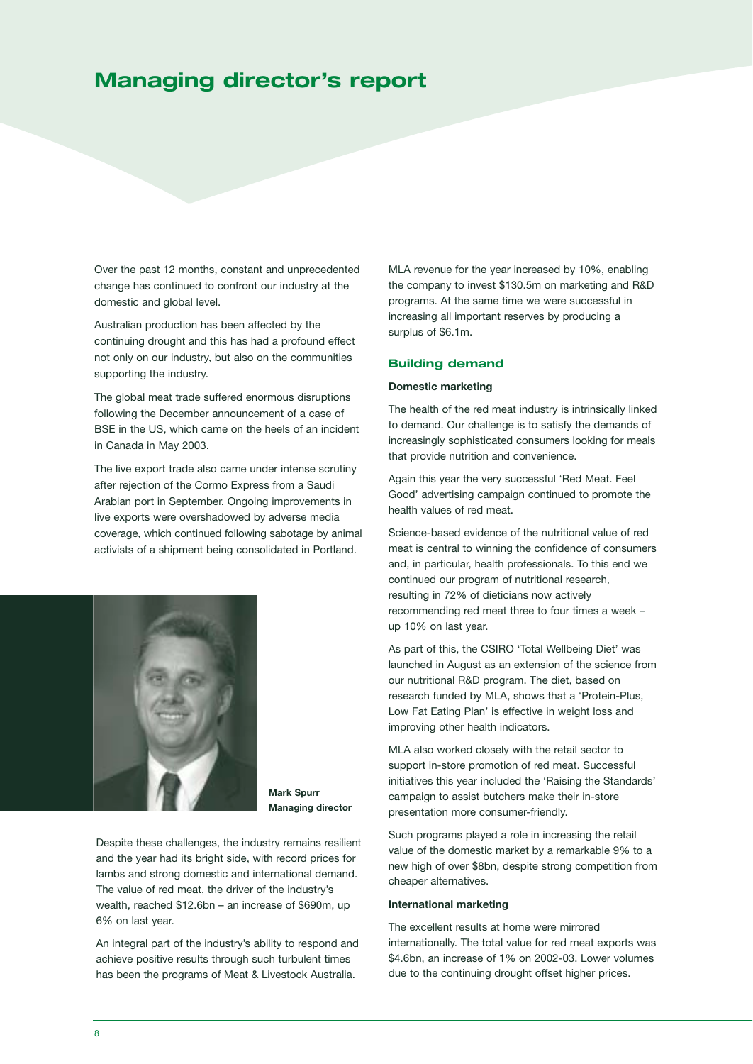### **Managing director's report**

Over the past 12 months, constant and unprecedented change has continued to confront our industry at the domestic and global level.

Australian production has been affected by the continuing drought and this has had a profound effect not only on our industry, but also on the communities supporting the industry.

The global meat trade suffered enormous disruptions following the December announcement of a case of BSE in the US, which came on the heels of an incident in Canada in May 2003.

The live export trade also came under intense scrutiny after rejection of the Cormo Express from a Saudi Arabian port in September. Ongoing improvements in live exports were overshadowed by adverse media coverage, which continued following sabotage by animal activists of a shipment being consolidated in Portland.



**Mark Spurr Managing director**

Despite these challenges, the industry remains resilient and the year had its bright side, with record prices for lambs and strong domestic and international demand. The value of red meat, the driver of the industry's wealth, reached \$12.6bn – an increase of \$690m, up 6% on last year.

An integral part of the industry's ability to respond and achieve positive results through such turbulent times has been the programs of Meat & Livestock Australia.

MLA revenue for the year increased by 10%, enabling the company to invest \$130.5m on marketing and R&D programs. At the same time we were successful in increasing all important reserves by producing a surplus of \$6.1m.

### **Building demand**

#### **Domestic marketing**

The health of the red meat industry is intrinsically linked to demand. Our challenge is to satisfy the demands of increasingly sophisticated consumers looking for meals that provide nutrition and convenience.

Again this year the very successful 'Red Meat. Feel Good' advertising campaign continued to promote the health values of red meat.

Science-based evidence of the nutritional value of red meat is central to winning the confidence of consumers and, in particular, health professionals. To this end we continued our program of nutritional research, resulting in 72% of dieticians now actively recommending red meat three to four times a week – up 10% on last year.

As part of this, the CSIRO 'Total Wellbeing Diet' was launched in August as an extension of the science from our nutritional R&D program. The diet, based on research funded by MLA, shows that a 'Protein-Plus, Low Fat Eating Plan' is effective in weight loss and improving other health indicators.

MLA also worked closely with the retail sector to support in-store promotion of red meat. Successful initiatives this year included the 'Raising the Standards' campaign to assist butchers make their in-store presentation more consumer-friendly.

Such programs played a role in increasing the retail value of the domestic market by a remarkable 9% to a new high of over \$8bn, despite strong competition from cheaper alternatives.

#### **International marketing**

The excellent results at home were mirrored internationally. The total value for red meat exports was \$4.6bn, an increase of 1% on 2002-03. Lower volumes due to the continuing drought offset higher prices.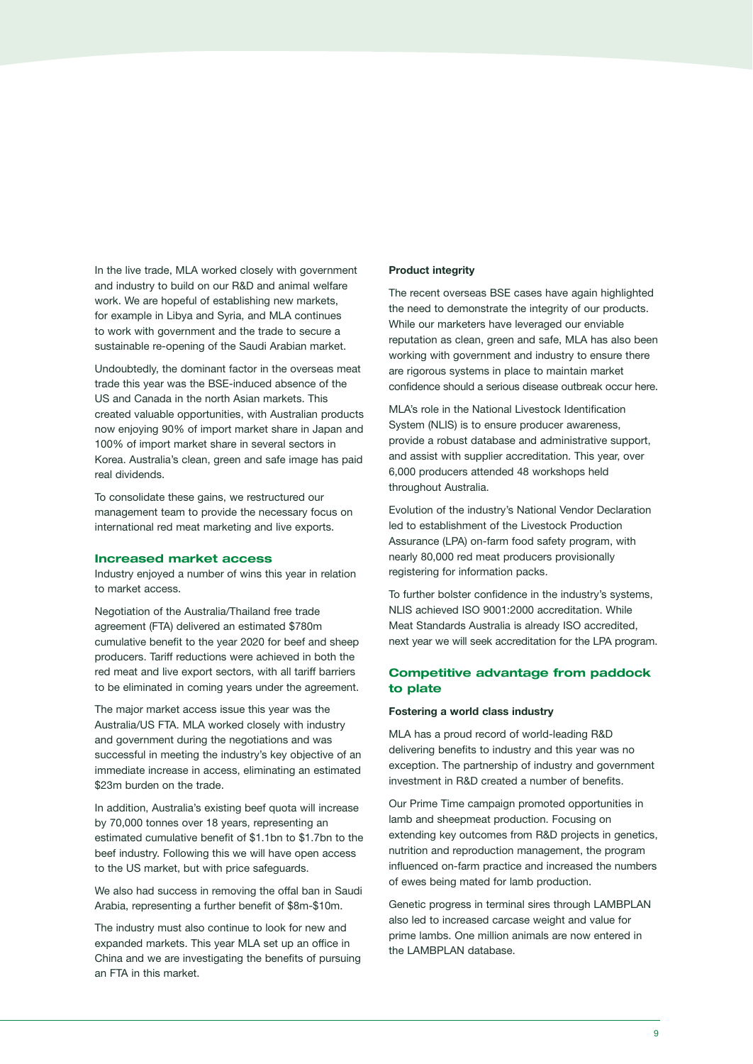In the live trade, MLA worked closely with government and industry to build on our R&D and animal welfare work. We are hopeful of establishing new markets, for example in Libya and Syria, and MLA continues to work with government and the trade to secure a sustainable re-opening of the Saudi Arabian market.

Undoubtedly, the dominant factor in the overseas meat trade this year was the BSE-induced absence of the US and Canada in the north Asian markets. This created valuable opportunities, with Australian products now enjoying 90% of import market share in Japan and 100% of import market share in several sectors in Korea. Australia's clean, green and safe image has paid real dividends.

To consolidate these gains, we restructured our management team to provide the necessary focus on international red meat marketing and live exports.

#### **Increased market access**

Industry enjoyed a number of wins this year in relation to market access.

Negotiation of the Australia/Thailand free trade agreement (FTA) delivered an estimated \$780m cumulative benefit to the year 2020 for beef and sheep producers. Tariff reductions were achieved in both the red meat and live export sectors, with all tariff barriers to be eliminated in coming years under the agreement.

The major market access issue this year was the Australia/US FTA. MLA worked closely with industry and government during the negotiations and was successful in meeting the industry's key objective of an immediate increase in access, eliminating an estimated \$23m burden on the trade.

In addition, Australia's existing beef quota will increase by 70,000 tonnes over 18 years, representing an estimated cumulative benefit of \$1.1bn to \$1.7bn to the beef industry. Following this we will have open access to the US market, but with price safeguards.

We also had success in removing the offal ban in Saudi Arabia, representing a further benefit of \$8m-\$10m.

The industry must also continue to look for new and expanded markets. This year MLA set up an office in China and we are investigating the benefits of pursuing an FTA in this market.

### **Product integrity**

The recent overseas BSE cases have again highlighted the need to demonstrate the integrity of our products. While our marketers have leveraged our enviable reputation as clean, green and safe, MLA has also been working with government and industry to ensure there are rigorous systems in place to maintain market confidence should a serious disease outbreak occur here.

MLA's role in the National Livestock Identification System (NLIS) is to ensure producer awareness, provide a robust database and administrative support, and assist with supplier accreditation. This year, over 6,000 producers attended 48 workshops held throughout Australia.

Evolution of the industry's National Vendor Declaration led to establishment of the Livestock Production Assurance (LPA) on-farm food safety program, with nearly 80,000 red meat producers provisionally registering for information packs.

To further bolster confidence in the industry's systems, NLIS achieved ISO 9001:2000 accreditation. While Meat Standards Australia is already ISO accredited, next year we will seek accreditation for the LPA program.

### **Competitive advantage from paddock to plate**

#### **Fostering a world class industry**

MLA has a proud record of world-leading R&D delivering benefits to industry and this year was no exception. The partnership of industry and government investment in R&D created a number of benefits.

Our Prime Time campaign promoted opportunities in lamb and sheepmeat production. Focusing on extending key outcomes from R&D projects in genetics, nutrition and reproduction management, the program influenced on-farm practice and increased the numbers of ewes being mated for lamb production.

Genetic progress in terminal sires through LAMBPLAN also led to increased carcase weight and value for prime lambs. One million animals are now entered in the LAMBPLAN database.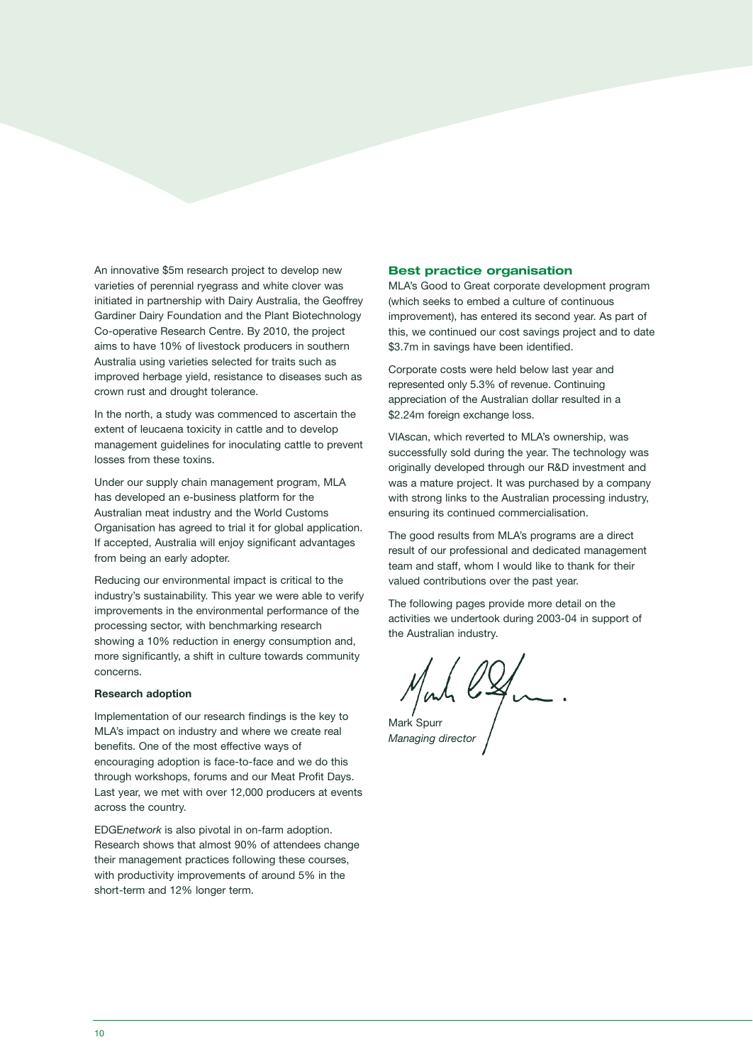An innovative \$5m research project to develop new varieties of perennial ryegrass and white clover was initiated in partnership with Dairy Australia, the Geoffrey Gardiner Dairy Foundation and the Plant Biotechnology Co-operative Research Centre. By 2010, the project aims to have 10% of livestock producers in southern Australia using varieties selected for traits such as improved herbage yield, resistance to diseases such as crown rust and drought tolerance.

In the north, a study was commenced to ascertain the extent of leucaena toxicity in cattle and to develop management guidelines for inoculating cattle to prevent losses from these toxins.

Under our supply chain management program, MLA has developed an e-business platform for the Australian meat industry and the World Customs Organisation has agreed to trial it for global application. If accepted, Australia will enjoy significant advantages from being an early adopter.

Reducing our environmental impact is critical to the industry's sustainability. This year we were able to verify improvements in the environmental performance of the processing sector, with benchmarking research showing a 10% reduction in energy consumption and, more significantly, a shift in culture towards community concerns.

### **Research adoption**

Implementation of our research findings is the key to MLA's impact on industry and where we create real benefits. One of the most effective ways of encouraging adoption is face-to-face and we do this through workshops, forums and our Meat Profit Days. Last year, we met with over 12,000 producers at events across the country.

EDGE*network* is also pivotal in on-farm adoption. Research shows that almost 90% of attendees change their management practices following these courses, with productivity improvements of around 5% in the short-term and 12% longer term.

### **Best practice organisation**

MLA's Good to Great corporate development program (which seeks to embed a culture of continuous improvement), has entered its second year. As part of this, we continued our cost savings project and to date \$3.7m in savings have been identified.

Corporate costs were held below last year and represented only 5.3% of revenue. Continuing appreciation of the Australian dollar resulted in a \$2.24m foreign exchange loss.

VIAscan, which reverted to MLA's ownership, was successfully sold during the year. The technology was originally developed through our R&D investment and was a mature project. It was purchased by a company with strong links to the Australian processing industry, ensuring its continued commercialisation.

The good results from MLA's programs are a direct result of our professional and dedicated management team and staff, whom I would like to thank for their valued contributions over the past year.

The following pages provide more detail on the activities we undertook during 2003-04 in support of the Australian industry.

Mont l'In

**Managing director**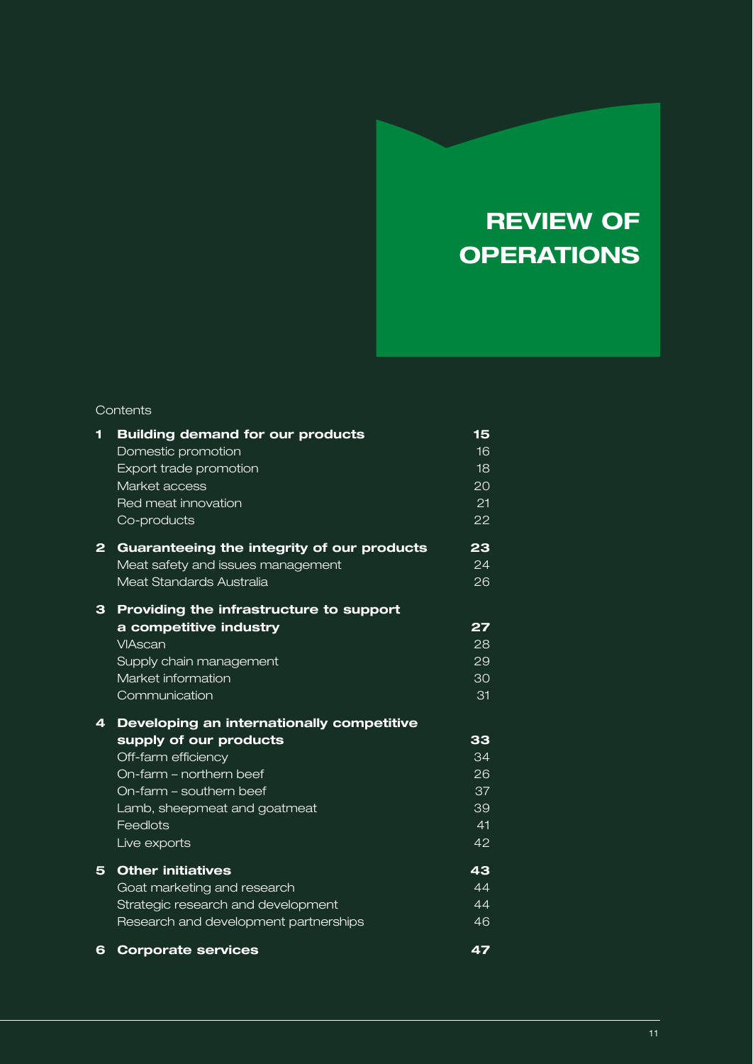## **REVIEW OF OPERATIONS**

### **Contents**

| 1              | <b>Building demand for our products</b><br>Domestic promotion<br>Export trade promotion<br>Market access<br>Red meat innovation | 15<br>16<br>18<br>20<br>21 |
|----------------|---------------------------------------------------------------------------------------------------------------------------------|----------------------------|
|                | Co-products                                                                                                                     | 22                         |
| $\overline{2}$ | Guaranteeing the integrity of our products<br>Meat safety and issues management<br>Meat Standards Australia                     | 23<br>24<br>26             |
| 3              | Providing the infrastructure to support                                                                                         |                            |
|                | a competitive industry<br>VIAscan<br>Supply chain management<br>Market information<br>Communication                             | 27<br>28<br>29<br>30<br>31 |
| 4              | Developing an internationally competitive                                                                                       |                            |
|                | supply of our products                                                                                                          | 33                         |
|                | Off-farm efficiency                                                                                                             | 34                         |
|                | On-farm - northern beef                                                                                                         | 26                         |
|                | On-farm – southern beef                                                                                                         | 37                         |
|                | Lamb, sheepmeat and goatmeat                                                                                                    | 39                         |
|                | Feedlots                                                                                                                        | 41                         |
|                | Live exports                                                                                                                    | 42                         |
| 5              | <b>Other initiatives</b>                                                                                                        | 43                         |
|                | Goat marketing and research                                                                                                     | 44                         |
|                | Strategic research and development                                                                                              | 44                         |
|                | Research and development partnerships                                                                                           | 46                         |
| 6              | <b>Corporate services</b>                                                                                                       | 47                         |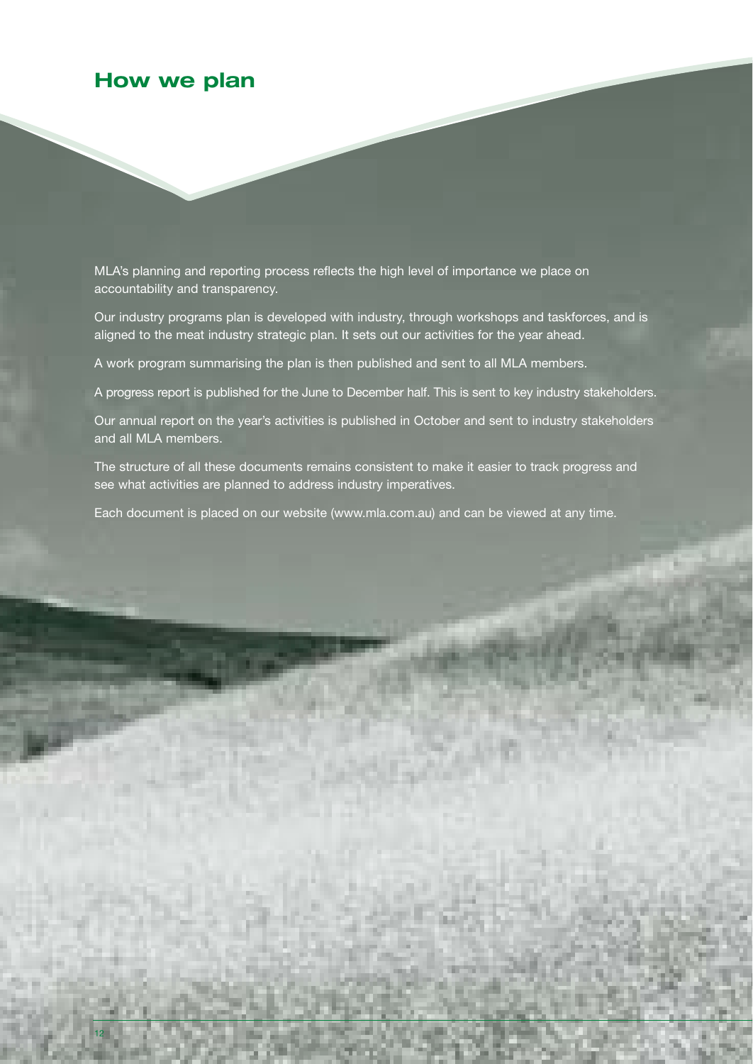### **How we plan**

MLA's planning and reporting process reflects the high level of importance we place on accountability and transparency.

Our industry programs plan is developed with industry, through workshops and taskforces, and is aligned to the meat industry strategic plan. It sets out our activities for the year ahead.

A work program summarising the plan is then published and sent to all MLA members.

A progress report is published for the June to December half. This is sent to key industry stakeholders.

Our annual report on the year's activities is published in October and sent to industry stakeholders and all MLA members.

The structure of all these documents remains consistent to make it easier to track progress and see what activities are planned to address industry imperatives.

Each document is placed on our website (www.mla.com.au) and can be viewed at any time.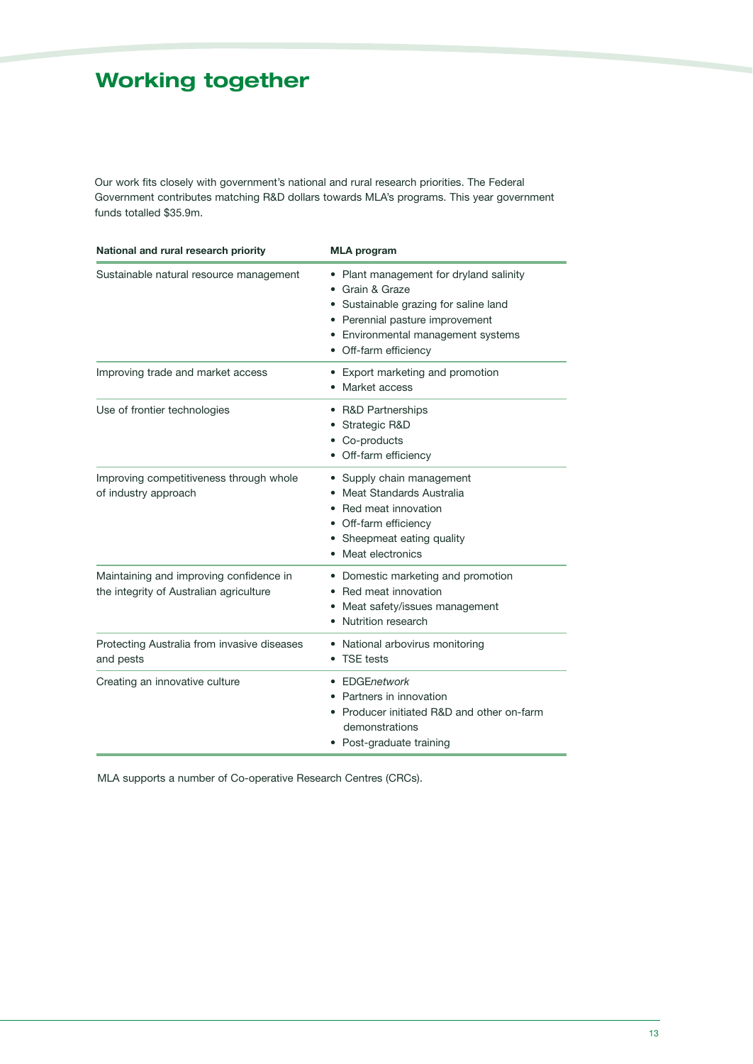### **Working together**

Our work fits closely with government's national and rural research priorities. The Federal Government contributes matching R&D dollars towards MLA's programs. This year government funds totalled \$35.9m.

| National and rural research priority                                               | <b>MLA</b> program                                                                                                                                                                                    |  |
|------------------------------------------------------------------------------------|-------------------------------------------------------------------------------------------------------------------------------------------------------------------------------------------------------|--|
| Sustainable natural resource management                                            | • Plant management for dryland salinity<br>• Grain & Graze<br>• Sustainable grazing for saline land<br>• Perennial pasture improvement<br>• Environmental management systems<br>• Off-farm efficiency |  |
| Improving trade and market access                                                  | • Export marketing and promotion<br>• Market access                                                                                                                                                   |  |
| Use of frontier technologies                                                       | • R&D Partnerships<br>• Strategic R&D<br>• Co-products<br>• Off-farm efficiency                                                                                                                       |  |
| Improving competitiveness through whole<br>of industry approach                    | • Supply chain management<br>• Meat Standards Australia<br>• Red meat innovation<br>• Off-farm efficiency<br>• Sheepmeat eating quality<br>• Meat electronics                                         |  |
| Maintaining and improving confidence in<br>the integrity of Australian agriculture | • Domestic marketing and promotion<br>• Red meat innovation<br>Meat safety/issues management<br>Nutrition research                                                                                    |  |
| Protecting Australia from invasive diseases<br>and pests                           | • National arbovirus monitoring<br>• TSE tests                                                                                                                                                        |  |
| Creating an innovative culture                                                     | • FDGFnetwork<br>• Partners in innovation<br>• Producer initiated R&D and other on-farm<br>demonstrations<br>• Post-graduate training                                                                 |  |

MLA supports a number of Co-operative Research Centres (CRCs).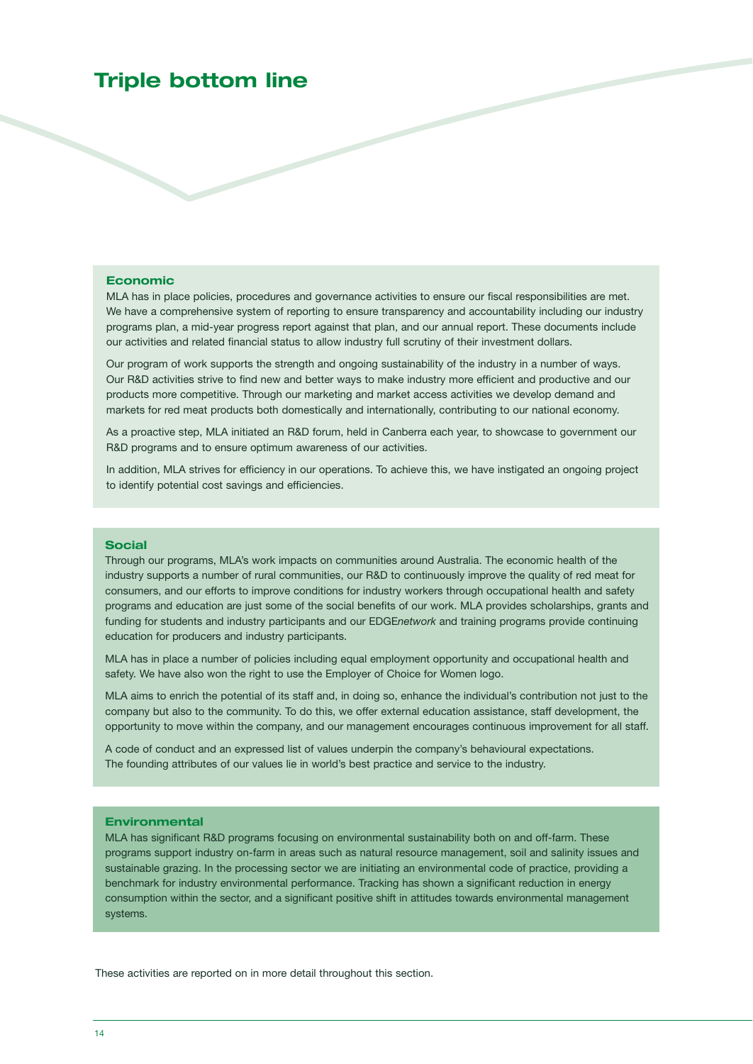### **Triple bottom line**

### **Economic**

MLA has in place policies, procedures and governance activities to ensure our fiscal responsibilities are met. We have a comprehensive system of reporting to ensure transparency and accountability including our industry programs plan, a mid-year progress report against that plan, and our annual report. These documents include our activities and related financial status to allow industry full scrutiny of their investment dollars.

Our program of work supports the strength and ongoing sustainability of the industry in a number of ways. Our R&D activities strive to find new and better ways to make industry more efficient and productive and our products more competitive. Through our marketing and market access activities we develop demand and markets for red meat products both domestically and internationally, contributing to our national economy.

As a proactive step, MLA initiated an R&D forum, held in Canberra each year, to showcase to government our R&D programs and to ensure optimum awareness of our activities.

In addition, MLA strives for efficiency in our operations. To achieve this, we have instigated an ongoing project to identify potential cost savings and efficiencies.

### **Social**

Through our programs, MLA's work impacts on communities around Australia. The economic health of the industry supports a number of rural communities, our R&D to continuously improve the quality of red meat for consumers, and our efforts to improve conditions for industry workers through occupational health and safety programs and education are just some of the social benefits of our work. MLA provides scholarships, grants and funding for students and industry participants and our EDGE*network* and training programs provide continuing education for producers and industry participants.

MLA has in place a number of policies including equal employment opportunity and occupational health and safety. We have also won the right to use the Employer of Choice for Women logo.

MLA aims to enrich the potential of its staff and, in doing so, enhance the individual's contribution not just to the company but also to the community. To do this, we offer external education assistance, staff development, the opportunity to move within the company, and our management encourages continuous improvement for all staff.

A code of conduct and an expressed list of values underpin the company's behavioural expectations. The founding attributes of our values lie in world's best practice and service to the industry.

#### **Environmental**

MLA has significant R&D programs focusing on environmental sustainability both on and off-farm. These programs support industry on-farm in areas such as natural resource management, soil and salinity issues and sustainable grazing. In the processing sector we are initiating an environmental code of practice, providing a benchmark for industry environmental performance. Tracking has shown a significant reduction in energy consumption within the sector, and a significant positive shift in attitudes towards environmental management systems.

These activities are reported on in more detail throughout this section.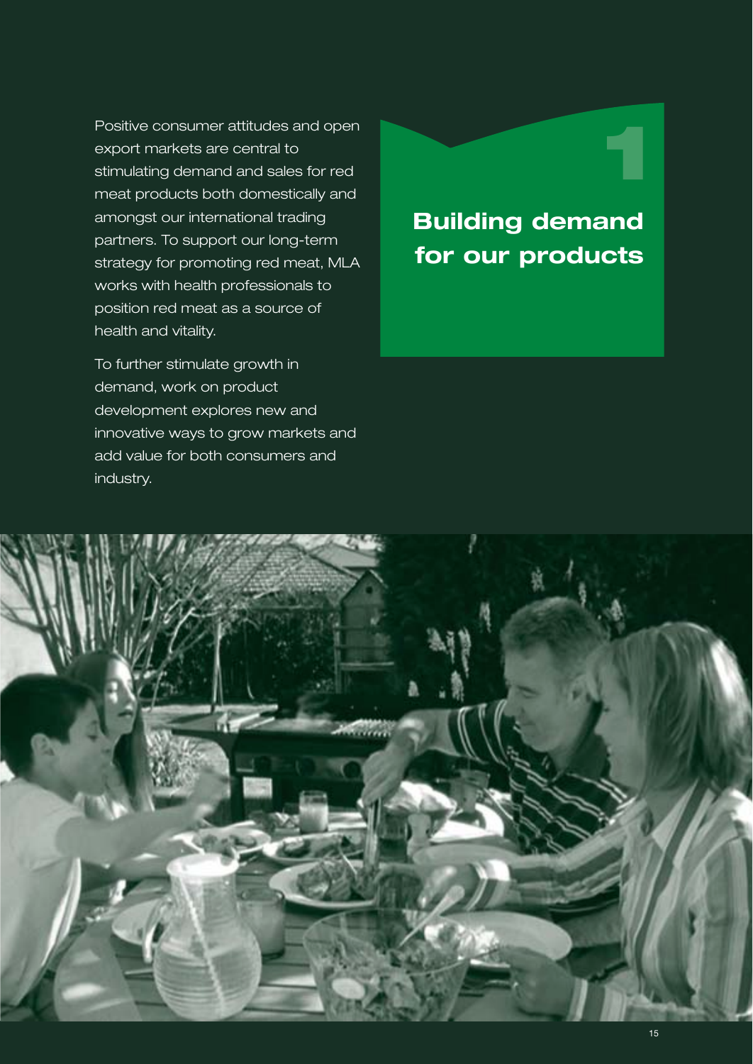Positive consumer attitudes and open export markets are central to stimulating demand and sales for red meat products both domestically and amongst our international trading partners. To support our long-term strategy for promoting red meat, MLA works with health professionals to position red meat as a source of health and vitality.

To further stimulate growth in demand, work on product development explores new and innovative ways to grow markets and add value for both consumers and industry.

## **Building demand for our products**

**1**

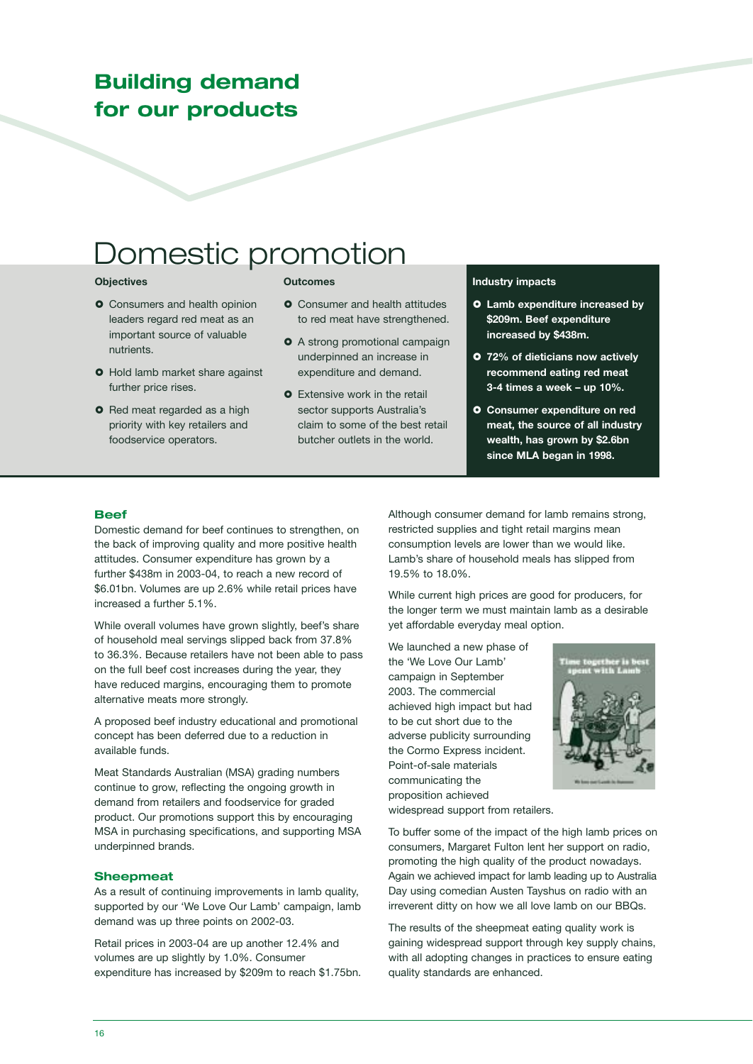### **Building demand for our products**

# Domestic promotion

### **Objectives**

- **O** Consumers and health opinion leaders regard red meat as an important source of valuable nutrients.
- **O** Hold lamb market share against further price rises.
- **O** Red meat regarded as a high priority with key retailers and foodservice operators.

### **Outcomes**

- **O** Consumer and health attitudes to red meat have strengthened.
- A strong promotional campaign underpinned an increase in expenditure and demand.
- **O** Extensive work in the retail sector supports Australia's claim to some of the best retail butcher outlets in the world.

### **Industry impacts**

- **Lamb expenditure increased by \$209m. Beef expenditure increased by \$438m.**
- **72% of dieticians now actively recommend eating red meat 3-4 times a week – up 10%.**
- **Consumer expenditure on red meat, the source of all industry wealth, has grown by \$2.6bn since MLA began in 1998.**

### **Beef**

Domestic demand for beef continues to strengthen, on the back of improving quality and more positive health attitudes. Consumer expenditure has grown by a further \$438m in 2003-04, to reach a new record of \$6.01bn. Volumes are up 2.6% while retail prices have increased a further 5.1%.

While overall volumes have grown slightly, beef's share of household meal servings slipped back from 37.8% to 36.3%. Because retailers have not been able to pass on the full beef cost increases during the year, they have reduced margins, encouraging them to promote alternative meats more strongly.

A proposed beef industry educational and promotional concept has been deferred due to a reduction in available funds.

Meat Standards Australian (MSA) grading numbers continue to grow, reflecting the ongoing growth in demand from retailers and foodservice for graded product. Our promotions support this by encouraging MSA in purchasing specifications, and supporting MSA underpinned brands.

#### **Sheepmeat**

As a result of continuing improvements in lamb quality, supported by our 'We Love Our Lamb' campaign, lamb demand was up three points on 2002-03.

Retail prices in 2003-04 are up another 12.4% and volumes are up slightly by 1.0%. Consumer expenditure has increased by \$209m to reach \$1.75bn. Although consumer demand for lamb remains strong, restricted supplies and tight retail margins mean consumption levels are lower than we would like. Lamb's share of household meals has slipped from 19.5% to 18.0%.

While current high prices are good for producers, for the longer term we must maintain lamb as a desirable yet affordable everyday meal option.

We launched a new phase of the 'We Love Our Lamb' campaign in September 2003. The commercial achieved high impact but had to be cut short due to the adverse publicity surrounding the Cormo Express incident. Point-of-sale materials communicating the proposition achieved widespread support from retailers.



To buffer some of the impact of the high lamb prices on consumers, Margaret Fulton lent her support on radio, promoting the high quality of the product nowadays. Again we achieved impact for lamb leading up to Australia Day using comedian Austen Tayshus on radio with an irreverent ditty on how we all love lamb on our BBQs.

The results of the sheepmeat eating quality work is gaining widespread support through key supply chains, with all adopting changes in practices to ensure eating quality standards are enhanced.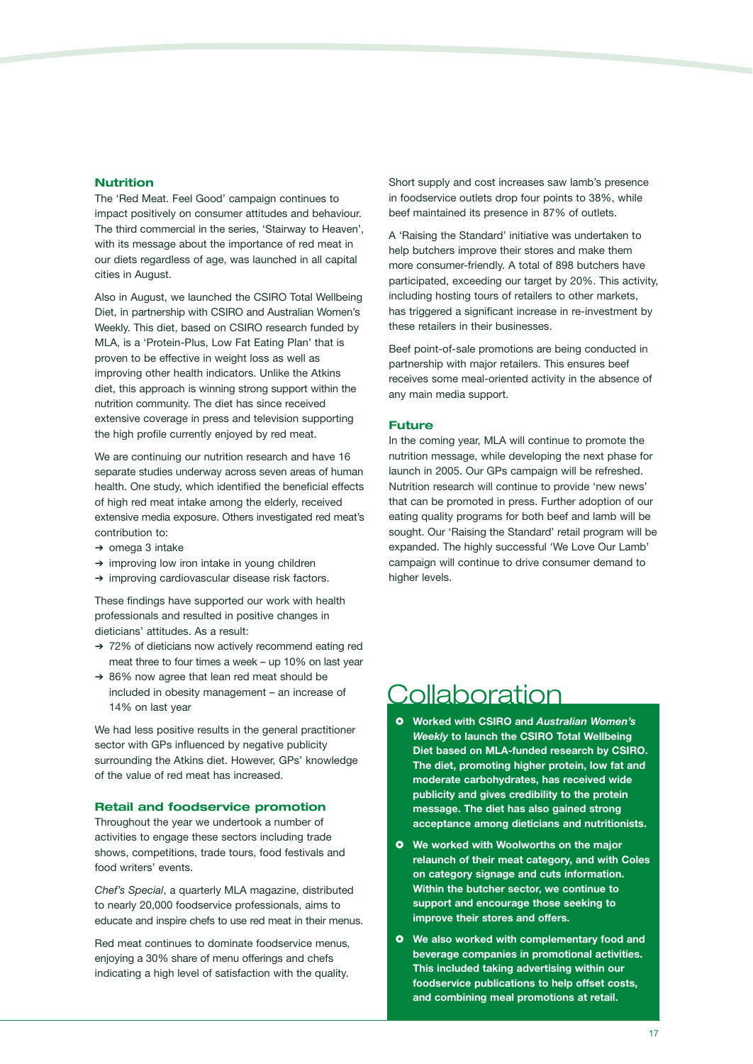### **Nutrition**

The 'Red Meat. Feel Good' campaign continues to impact positively on consumer attitudes and behaviour. The third commercial in the series, 'Stairway to Heaven', with its message about the importance of red meat in our diets regardless of age, was launched in all capital cities in August.

Also in August, we launched the CSIRO Total Wellbeing Diet, in partnership with CSIRO and Australian Women's Weekly. This diet, based on CSIRO research funded by MLA, is a 'Protein-Plus, Low Fat Eating Plan' that is proven to be effective in weight loss as well as improving other health indicators. Unlike the Atkins diet, this approach is winning strong support within the nutrition community. The diet has since received extensive coverage in press and television supporting the high profile currently enjoyed by red meat.

We are continuing our nutrition research and have 16 separate studies underway across seven areas of human health. One study, which identified the beneficial effects of high red meat intake among the elderly, received extensive media exposure. Others investigated red meat's contribution to:

- ➔ omega 3 intake
- ➔ improving low iron intake in young children
- ➔ improving cardiovascular disease risk factors.

These findings have supported our work with health professionals and resulted in positive changes in dieticians' attitudes. As a result:

- ➔ 72% of dieticians now actively recommend eating red meat three to four times a week – up 10% on last year
- ➔ 86% now agree that lean red meat should be included in obesity management – an increase of 14% on last year

We had less positive results in the general practitioner sector with GPs influenced by negative publicity surrounding the Atkins diet. However, GPs' knowledge of the value of red meat has increased.

#### **Retail and foodservice promotion**

Throughout the year we undertook a number of activities to engage these sectors including trade shows, competitions, trade tours, food festivals and food writers' events.

*Chef's Special*, a quarterly MLA magazine, distributed to nearly 20,000 foodservice professionals, aims to educate and inspire chefs to use red meat in their menus.

Red meat continues to dominate foodservice menus, enjoying a 30% share of menu offerings and chefs indicating a high level of satisfaction with the quality.

Short supply and cost increases saw lamb's presence in foodservice outlets drop four points to 38%, while beef maintained its presence in 87% of outlets.

A 'Raising the Standard' initiative was undertaken to help butchers improve their stores and make them more consumer-friendly. A total of 898 butchers have participated, exceeding our target by 20%. This activity, including hosting tours of retailers to other markets, has triggered a significant increase in re-investment by these retailers in their businesses.

Beef point-of-sale promotions are being conducted in partnership with major retailers. This ensures beef receives some meal-oriented activity in the absence of any main media support.

#### **Future**

In the coming year, MLA will continue to promote the nutrition message, while developing the next phase for launch in 2005. Our GPs campaign will be refreshed. Nutrition research will continue to provide 'new news' that can be promoted in press. Further adoption of our eating quality programs for both beef and lamb will be sought. Our 'Raising the Standard' retail program will be expanded. The highly successful 'We Love Our Lamb' campaign will continue to drive consumer demand to higher levels.

### **Collaboration**

- **Worked with CSIRO and** *Australian Women's Weekly* **to launch the CSIRO Total Wellbeing Diet based on MLA-funded research by CSIRO. The diet, promoting higher protein, low fat and moderate carbohydrates, has received wide publicity and gives credibility to the protein message. The diet has also gained strong acceptance among dieticians and nutritionists.**
- **We worked with Woolworths on the major relaunch of their meat category, and with Coles on category signage and cuts information. Within the butcher sector, we continue to support and encourage those seeking to improve their stores and offers.**
- **We also worked with complementary food and beverage companies in promotional activities. This included taking advertising within our foodservice publications to help offset costs, and combining meal promotions at retail.**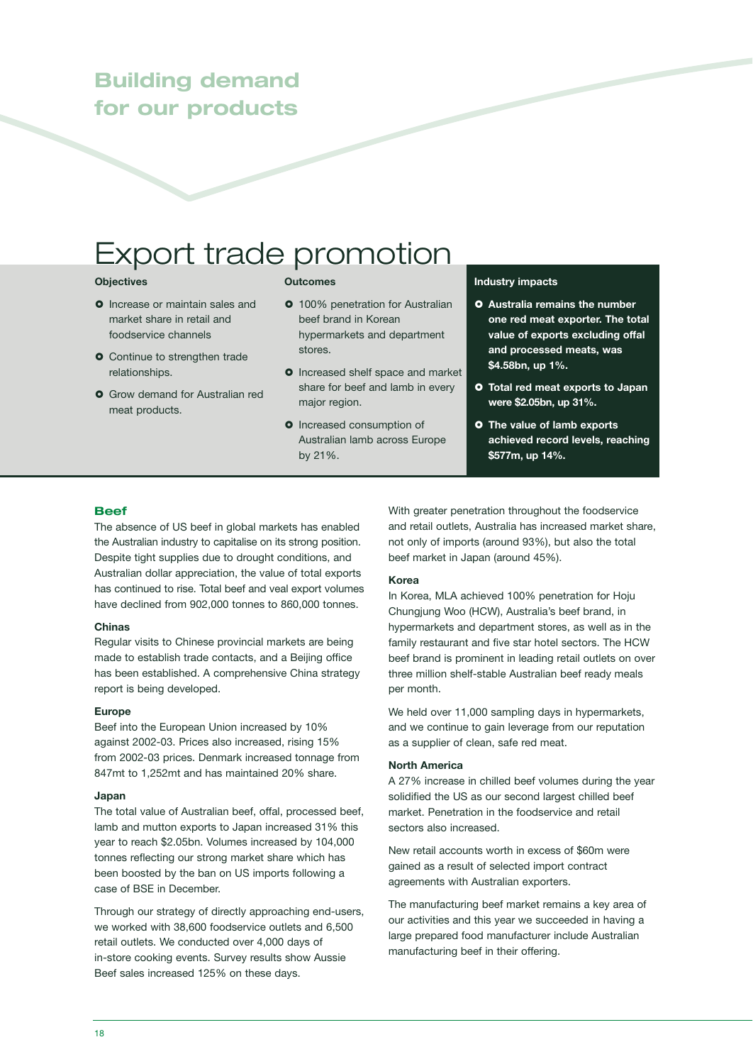### **Building demand for our products**

# Export trade promotion

### **Objectives**

- **O** Increase or maintain sales and market share in retail and foodservice channels
- **O** Continue to strengthen trade relationships.
- **O** Grow demand for Australian red meat products.

### **Outcomes**

- **0** 100% penetration for Australian beef brand in Korean hypermarkets and department stores.
- **O** Increased shelf space and market share for beef and lamb in every major region.
- **O** Increased consumption of Australian lamb across Europe by 21%.

### **Industry impacts**

- **Australia remains the number one red meat exporter. The total value of exports excluding offal and processed meats, was \$4.58bn, up 1%.**
- **Total red meat exports to Japan were \$2.05bn, up 31%.**
- **The value of lamb exports achieved record levels, reaching \$577m, up 14%.**

### **Beef**

The absence of US beef in global markets has enabled the Australian industry to capitalise on its strong position. Despite tight supplies due to drought conditions, and Australian dollar appreciation, the value of total exports has continued to rise. Total beef and veal export volumes have declined from 902,000 tonnes to 860,000 tonnes.

#### **Chinas**

Regular visits to Chinese provincial markets are being made to establish trade contacts, and a Beijing office has been established. A comprehensive China strategy report is being developed.

#### **Europe**

Beef into the European Union increased by 10% against 2002-03. Prices also increased, rising 15% from 2002-03 prices. Denmark increased tonnage from 847mt to 1,252mt and has maintained 20% share.

### **Japan**

The total value of Australian beef, offal, processed beef, lamb and mutton exports to Japan increased 31% this year to reach \$2.05bn. Volumes increased by 104,000 tonnes reflecting our strong market share which has been boosted by the ban on US imports following a case of BSE in December.

Through our strategy of directly approaching end-users, we worked with 38,600 foodservice outlets and 6,500 retail outlets. We conducted over 4,000 days of in-store cooking events. Survey results show Aussie Beef sales increased 125% on these days.

With greater penetration throughout the foodservice and retail outlets, Australia has increased market share, not only of imports (around 93%), but also the total beef market in Japan (around 45%).

### **Korea**

In Korea, MLA achieved 100% penetration for Hoju Chungjung Woo (HCW), Australia's beef brand, in hypermarkets and department stores, as well as in the family restaurant and five star hotel sectors. The HCW beef brand is prominent in leading retail outlets on over three million shelf-stable Australian beef ready meals per month.

We held over 11,000 sampling days in hypermarkets, and we continue to gain leverage from our reputation as a supplier of clean, safe red meat.

### **North America**

A 27% increase in chilled beef volumes during the year solidified the US as our second largest chilled beef market. Penetration in the foodservice and retail sectors also increased.

New retail accounts worth in excess of \$60m were gained as a result of selected import contract agreements with Australian exporters.

The manufacturing beef market remains a key area of our activities and this year we succeeded in having a large prepared food manufacturer include Australian manufacturing beef in their offering.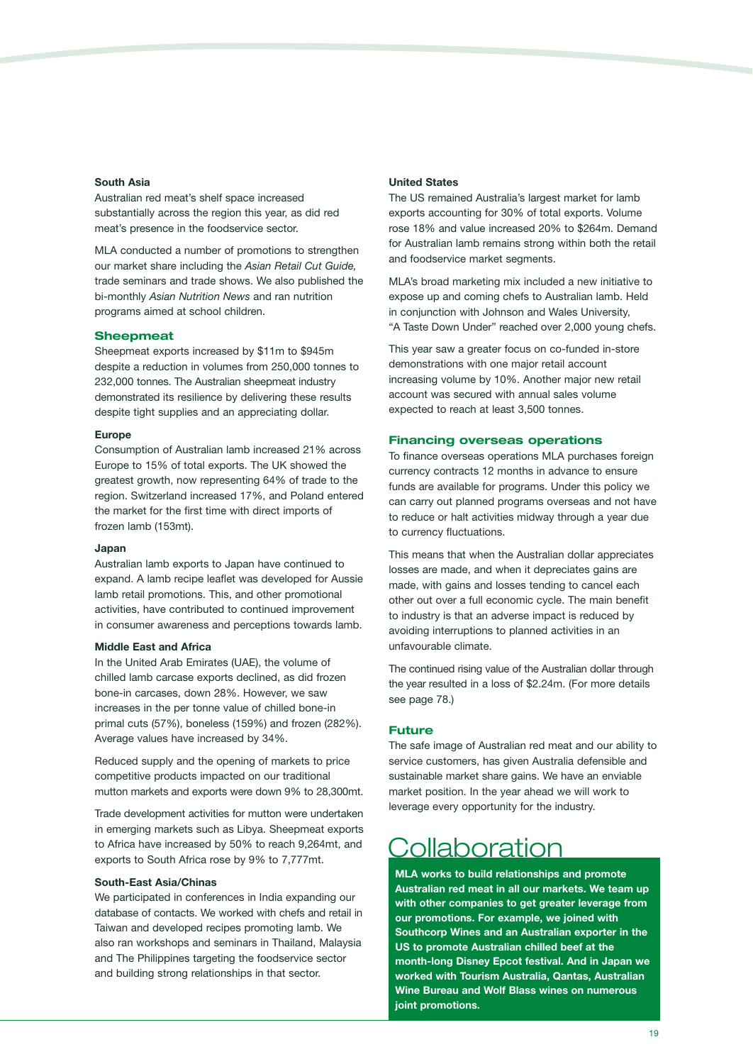#### **South Asia**

Australian red meat's shelf space increased substantially across the region this year, as did red meat's presence in the foodservice sector.

MLA conducted a number of promotions to strengthen our market share including the *Asian Retail Cut Guide,* trade seminars and trade shows. We also published the bi-monthly *Asian Nutrition News* and ran nutrition programs aimed at school children.

### **Sheepmeat**

Sheepmeat exports increased by \$11m to \$945m despite a reduction in volumes from 250,000 tonnes to 232,000 tonnes. The Australian sheepmeat industry demonstrated its resilience by delivering these results despite tight supplies and an appreciating dollar.

#### **Europe**

Consumption of Australian lamb increased 21% across Europe to 15% of total exports. The UK showed the greatest growth, now representing 64% of trade to the region. Switzerland increased 17%, and Poland entered the market for the first time with direct imports of frozen lamb (153mt).

### **Japan**

Australian lamb exports to Japan have continued to expand. A lamb recipe leaflet was developed for Aussie lamb retail promotions. This, and other promotional activities, have contributed to continued improvement in consumer awareness and perceptions towards lamb.

### **Middle East and Africa**

In the United Arab Emirates (UAE), the volume of chilled lamb carcase exports declined, as did frozen bone-in carcases, down 28%. However, we saw increases in the per tonne value of chilled bone-in primal cuts (57%), boneless (159%) and frozen (282%). Average values have increased by 34%.

Reduced supply and the opening of markets to price competitive products impacted on our traditional mutton markets and exports were down 9% to 28,300mt.

Trade development activities for mutton were undertaken in emerging markets such as Libya. Sheepmeat exports to Africa have increased by 50% to reach 9,264mt, and exports to South Africa rose by 9% to 7,777mt.

#### **South-East Asia/Chinas**

We participated in conferences in India expanding our database of contacts. We worked with chefs and retail in Taiwan and developed recipes promoting lamb. We also ran workshops and seminars in Thailand, Malaysia and The Philippines targeting the foodservice sector and building strong relationships in that sector.

### **United States**

The US remained Australia's largest market for lamb exports accounting for 30% of total exports. Volume rose 18% and value increased 20% to \$264m. Demand for Australian lamb remains strong within both the retail and foodservice market segments.

MLA's broad marketing mix included a new initiative to expose up and coming chefs to Australian lamb. Held in conjunction with Johnson and Wales University, "A Taste Down Under" reached over 2,000 young chefs.

This year saw a greater focus on co-funded in-store demonstrations with one major retail account increasing volume by 10%. Another major new retail account was secured with annual sales volume expected to reach at least 3,500 tonnes.

#### **Financing overseas operations**

To finance overseas operations MLA purchases foreign currency contracts 12 months in advance to ensure funds are available for programs. Under this policy we can carry out planned programs overseas and not have to reduce or halt activities midway through a year due to currency fluctuations.

This means that when the Australian dollar appreciates losses are made, and when it depreciates gains are made, with gains and losses tending to cancel each other out over a full economic cycle. The main benefit to industry is that an adverse impact is reduced by avoiding interruptions to planned activities in an unfavourable climate.

The continued rising value of the Australian dollar through the year resulted in a loss of \$2.24m. (For more details see page 78.)

### **Future**

The safe image of Australian red meat and our ability to service customers, has given Australia defensible and sustainable market share gains. We have an enviable market position. In the year ahead we will work to leverage every opportunity for the industry.

### **Collaboration**

**MLA works to build relationships and promote Australian red meat in all our markets. We team up with other companies to get greater leverage from our promotions. For example, we joined with Southcorp Wines and an Australian exporter in the US to promote Australian chilled beef at the month-long Disney Epcot festival. And in Japan we worked with Tourism Australia, Qantas, Australian Wine Bureau and Wolf Blass wines on numerous joint promotions.**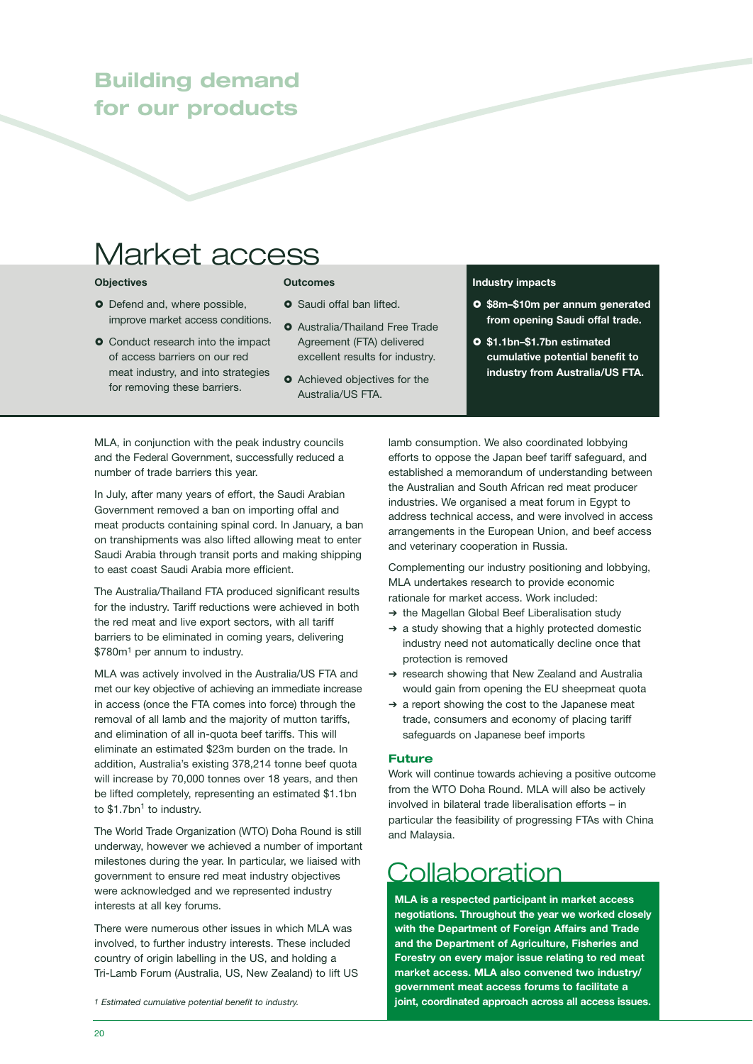### **Building demand for our products**

# Market access

### **Objectives**

- **Outcomes**
- **O** Defend and, where possible, improve market access conditions.
- **O** Conduct research into the impact of access barriers on our red meat industry, and into strategies for removing these barriers.
- **O** Saudi offal ban lifted.
- **O** Australia/Thailand Free Trade Agreement (FTA) delivered excellent results for industry.
- **O** Achieved objectives for the Australia/US FTA.

#### **Industry impacts**

- **\$8m–\$10m per annum generated from opening Saudi offal trade.**
- **\$1.1bn–\$1.7bn estimated cumulative potential benefit to industry from Australia/US FTA.**

MLA, in conjunction with the peak industry councils and the Federal Government, successfully reduced a number of trade barriers this year.

In July, after many years of effort, the Saudi Arabian Government removed a ban on importing offal and meat products containing spinal cord. In January, a ban on transhipments was also lifted allowing meat to enter Saudi Arabia through transit ports and making shipping to east coast Saudi Arabia more efficient.

The Australia/Thailand FTA produced significant results for the industry. Tariff reductions were achieved in both the red meat and live export sectors, with all tariff barriers to be eliminated in coming years, delivering \$780m1 per annum to industry.

MLA was actively involved in the Australia/US FTA and met our key objective of achieving an immediate increase in access (once the FTA comes into force) through the removal of all lamb and the majority of mutton tariffs, and elimination of all in-quota beef tariffs. This will eliminate an estimated \$23m burden on the trade. In addition, Australia's existing 378,214 tonne beef quota will increase by 70,000 tonnes over 18 years, and then be lifted completely, representing an estimated \$1.1bn to  $$1.7$ bn<sup>1</sup> to industry.

The World Trade Organization (WTO) Doha Round is still underway, however we achieved a number of important milestones during the year. In particular, we liaised with government to ensure red meat industry objectives were acknowledged and we represented industry interests at all key forums.

There were numerous other issues in which MLA was involved, to further industry interests. These included country of origin labelling in the US, and holding a Tri-Lamb Forum (Australia, US, New Zealand) to lift US

lamb consumption. We also coordinated lobbying efforts to oppose the Japan beef tariff safeguard, and established a memorandum of understanding between the Australian and South African red meat producer industries. We organised a meat forum in Egypt to address technical access, and were involved in access arrangements in the European Union, and beef access and veterinary cooperation in Russia.

Complementing our industry positioning and lobbying, MLA undertakes research to provide economic rationale for market access. Work included:

- ➔ the Magellan Global Beef Liberalisation study
- ➔ a study showing that a highly protected domestic industry need not automatically decline once that protection is removed
- ➔ research showing that New Zealand and Australia would gain from opening the EU sheepmeat quota
- ➔ a report showing the cost to the Japanese meat trade, consumers and economy of placing tariff safeguards on Japanese beef imports

### **Future**

Work will continue towards achieving a positive outcome from the WTO Doha Round. MLA will also be actively involved in bilateral trade liberalisation efforts – in particular the feasibility of progressing FTAs with China and Malaysia.

### Collaboration

**MLA is a respected participant in market access negotiations. Throughout the year we worked closely with the Department of Foreign Affairs and Trade and the Department of Agriculture, Fisheries and Forestry on every major issue relating to red meat market access. MLA also convened two industry/ government meat access forums to facilitate a joint, coordinated approach across all access issues.** 

*<sup>1</sup> Estimated cumulative potential benefit to industry.*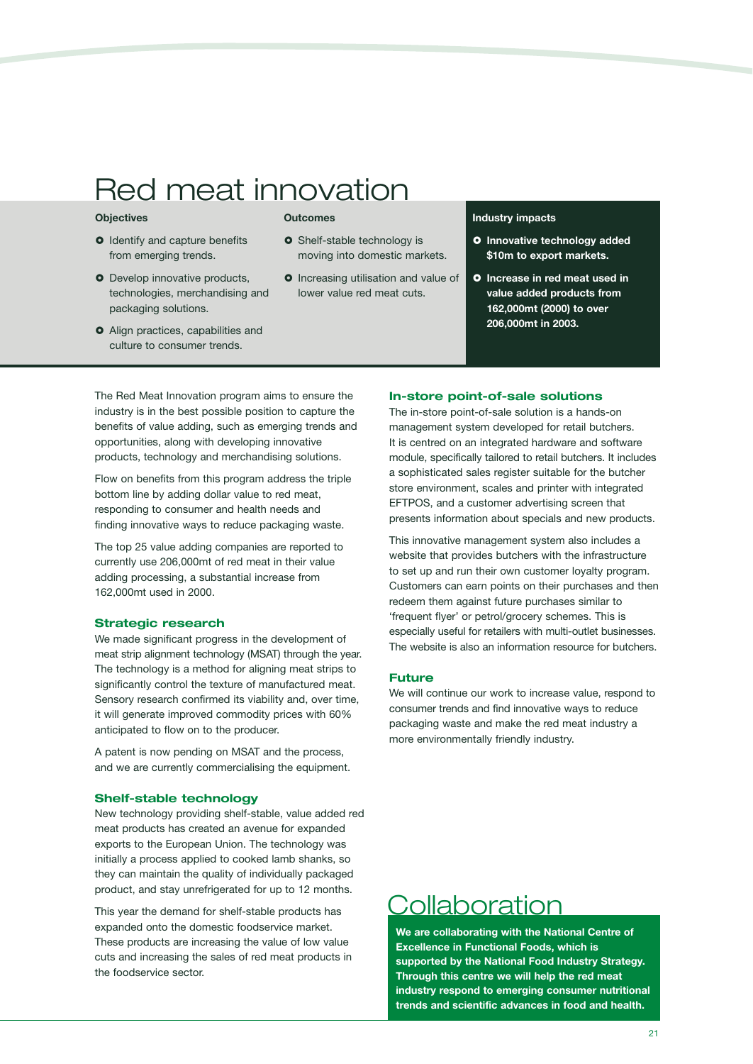# Red meat innovation

### **Objectives**

- **O** Identify and capture benefits from emerging trends.
- **O** Develop innovative products, technologies, merchandising and packaging solutions.
- Align practices, capabilities and culture to consumer trends.

#### **Outcomes**

- **o** Shelf-stable technology is moving into domestic markets.
- **O** Increasing utilisation and value of lower value red meat cuts.

### **Industry impacts**

- **O** Innovative technology added **\$10m to export markets.**
- **Increase in red meat used in value added products from 162,000mt (2000) to over 206,000mt in 2003.**

The Red Meat Innovation program aims to ensure the industry is in the best possible position to capture the benefits of value adding, such as emerging trends and opportunities, along with developing innovative products, technology and merchandising solutions.

Flow on benefits from this program address the triple bottom line by adding dollar value to red meat, responding to consumer and health needs and finding innovative ways to reduce packaging waste.

The top 25 value adding companies are reported to currently use 206,000mt of red meat in their value adding processing, a substantial increase from 162,000mt used in 2000.

### **Strategic research**

We made significant progress in the development of meat strip alignment technology (MSAT) through the year. The technology is a method for aligning meat strips to significantly control the texture of manufactured meat. Sensory research confirmed its viability and, over time, it will generate improved commodity prices with 60% anticipated to flow on to the producer.

A patent is now pending on MSAT and the process, and we are currently commercialising the equipment.

### **Shelf-stable technology**

New technology providing shelf-stable, value added red meat products has created an avenue for expanded exports to the European Union. The technology was initially a process applied to cooked lamb shanks, so they can maintain the quality of individually packaged product, and stay unrefrigerated for up to 12 months.

This year the demand for shelf-stable products has expanded onto the domestic foodservice market. These products are increasing the value of low value cuts and increasing the sales of red meat products in the foodservice sector.

### **In-store point-of-sale solutions**

The in-store point-of-sale solution is a hands-on management system developed for retail butchers. It is centred on an integrated hardware and software module, specifically tailored to retail butchers. It includes a sophisticated sales register suitable for the butcher store environment, scales and printer with integrated EFTPOS, and a customer advertising screen that presents information about specials and new products.

This innovative management system also includes a website that provides butchers with the infrastructure to set up and run their own customer loyalty program. Customers can earn points on their purchases and then redeem them against future purchases similar to 'frequent flyer' or petrol/grocery schemes. This is especially useful for retailers with multi-outlet businesses. The website is also an information resource for butchers.

### **Future**

We will continue our work to increase value, respond to consumer trends and find innovative ways to reduce packaging waste and make the red meat industry a more environmentally friendly industry.

### Collaboration

**We are collaborating with the National Centre of Excellence in Functional Foods, which is supported by the National Food Industry Strategy. Through this centre we will help the red meat industry respond to emerging consumer nutritional trends and scientific advances in food and health.**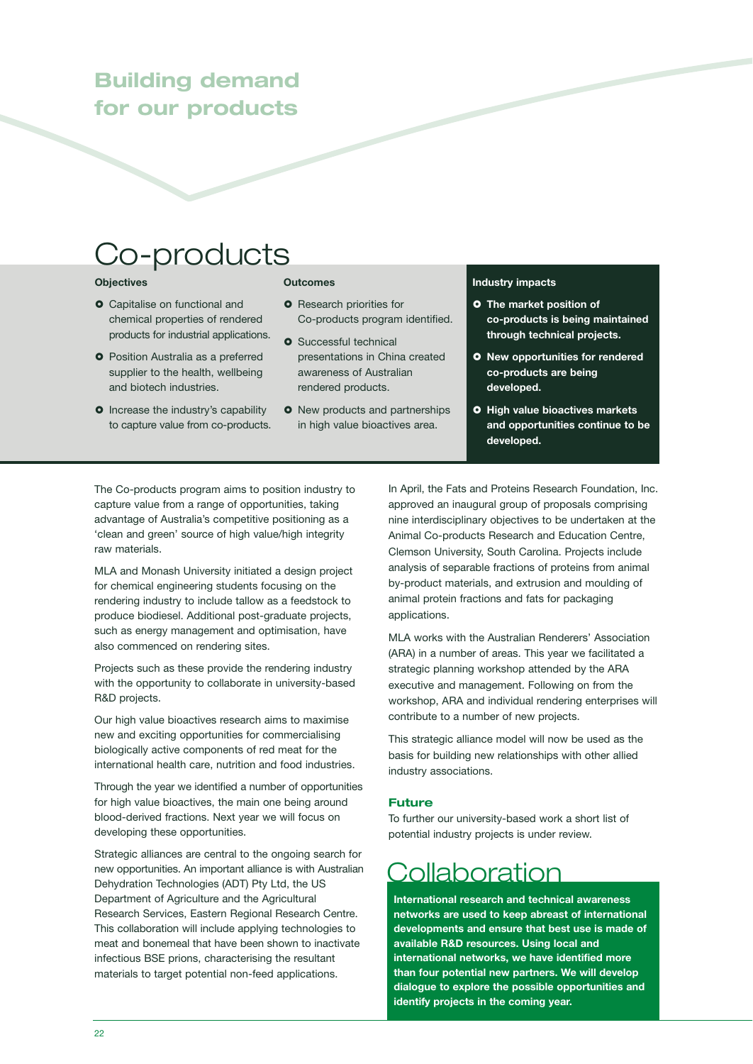### **Building demand for our products**

## Co-products

### **Objectives**

- **O** Capitalise on functional and chemical properties of rendered products for industrial applications.
- **O** Position Australia as a preferred supplier to the health, wellbeing and biotech industries.
- **o** Increase the industry's capability to capture value from co-products.

### **Outcomes**

- **O** Research priorities for Co-products program identified.
- **o** Successful technical presentations in China created awareness of Australian rendered products.
- **O** New products and partnerships in high value bioactives area.

### **Industry impacts**

- **The market position of co-products is being maintained through technical projects.**
- **New opportunities for rendered co-products are being developed.**
- **O** High value bioactives markets **and opportunities continue to be developed.**

The Co-products program aims to position industry to capture value from a range of opportunities, taking advantage of Australia's competitive positioning as a 'clean and green' source of high value/high integrity raw materials.

MLA and Monash University initiated a design project for chemical engineering students focusing on the rendering industry to include tallow as a feedstock to produce biodiesel. Additional post-graduate projects, such as energy management and optimisation, have also commenced on rendering sites.

Projects such as these provide the rendering industry with the opportunity to collaborate in university-based R&D projects.

Our high value bioactives research aims to maximise new and exciting opportunities for commercialising biologically active components of red meat for the international health care, nutrition and food industries.

Through the year we identified a number of opportunities for high value bioactives, the main one being around blood-derived fractions. Next year we will focus on developing these opportunities.

Strategic alliances are central to the ongoing search for new opportunities. An important alliance is with Australian Dehydration Technologies (ADT) Pty Ltd, the US Department of Agriculture and the Agricultural Research Services, Eastern Regional Research Centre. This collaboration will include applying technologies to meat and bonemeal that have been shown to inactivate infectious BSE prions, characterising the resultant materials to target potential non-feed applications.

In April, the Fats and Proteins Research Foundation, Inc. approved an inaugural group of proposals comprising nine interdisciplinary objectives to be undertaken at the Animal Co-products Research and Education Centre, Clemson University, South Carolina. Projects include analysis of separable fractions of proteins from animal by-product materials, and extrusion and moulding of animal protein fractions and fats for packaging applications.

MLA works with the Australian Renderers' Association (ARA) in a number of areas. This year we facilitated a strategic planning workshop attended by the ARA executive and management. Following on from the workshop, ARA and individual rendering enterprises will contribute to a number of new projects.

This strategic alliance model will now be used as the basis for building new relationships with other allied industry associations.

### **Future**

To further our university-based work a short list of potential industry projects is under review.

### **Collaboration**

**International research and technical awareness networks are used to keep abreast of international developments and ensure that best use is made of available R&D resources. Using local and international networks, we have identified more than four potential new partners. We will develop dialogue to explore the possible opportunities and identify projects in the coming year.**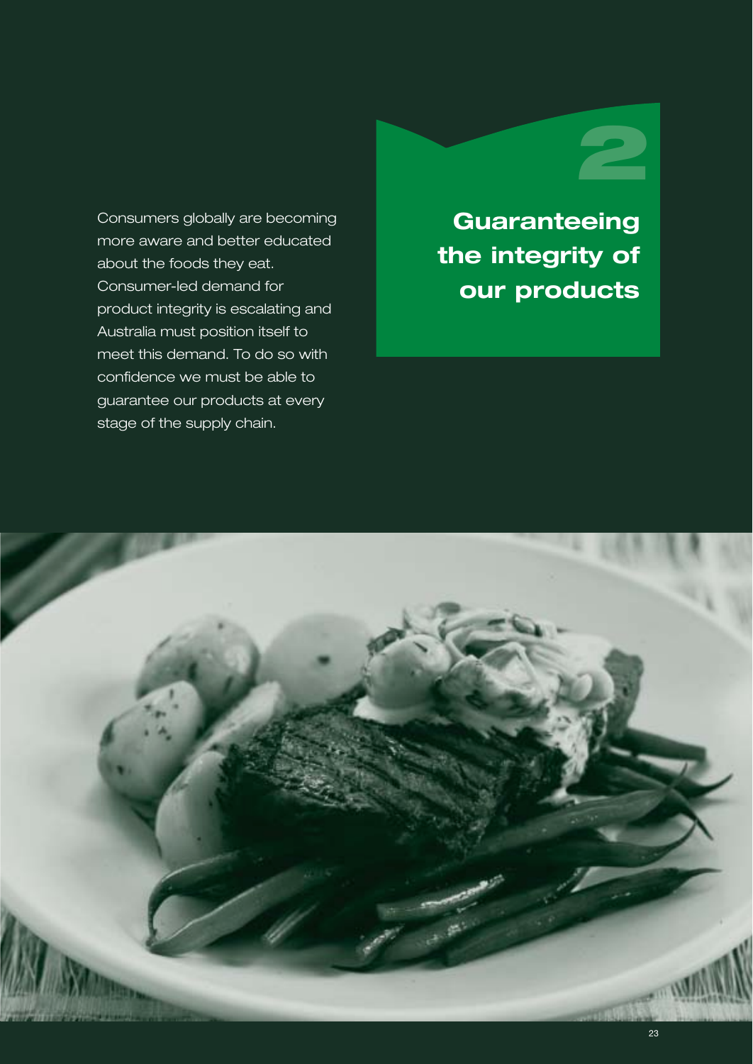Consumers globally are becoming more aware and better educated about the foods they eat. Consumer-led demand for product integrity is escalating and Australia must position itself to meet this demand. To do so with confidence we must be able to guarantee our products at every stage of the supply chain.

# **Guaranteeing 2**

**the integrity of our products**

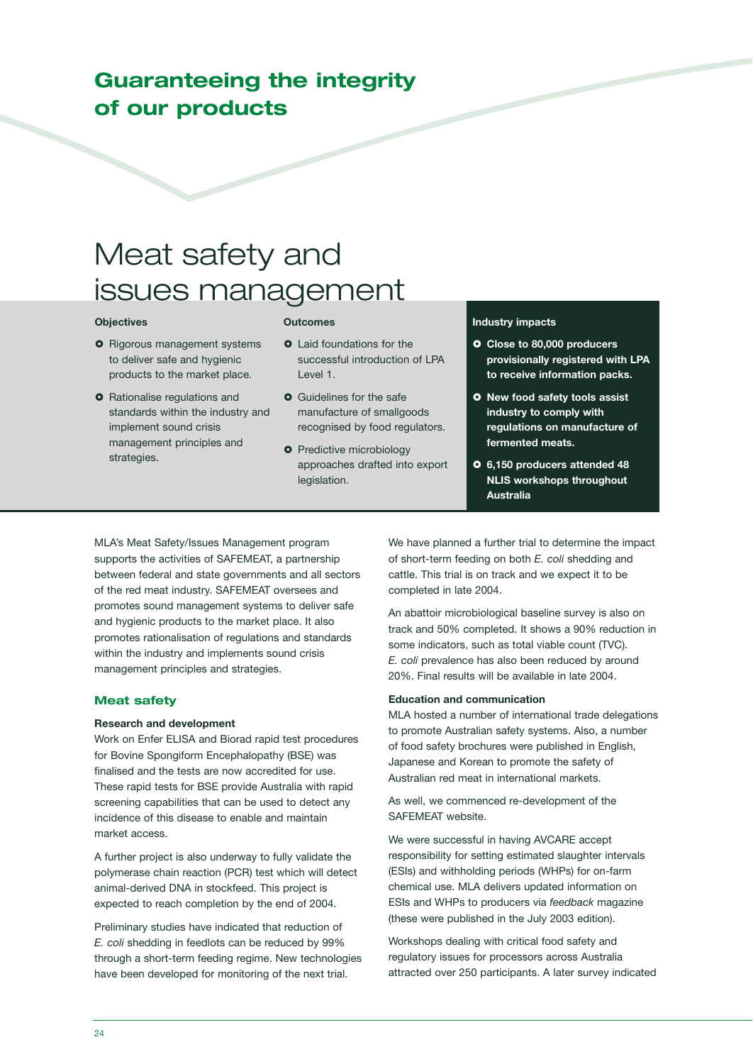### **Guaranteeing the integrity of our products**

# Meat safety and issues management

#### **Objectives**

### **Outcomes**

- **O** Rigorous management systems to deliver safe and hygienic products to the market place.
- **O** Rationalise regulations and standards within the industry and implement sound crisis management principles and strategies.
- **Q** Laid foundations for the successful introduction of LPA Level 1.
- **O** Guidelines for the safe manufacture of smallgoods recognised by food regulators.
- **O** Predictive microbiology approaches drafted into export legislation.

### **Industry impacts**

- **Close to 80,000 producers provisionally registered with LPA to receive information packs.**
- **New food safety tools assist industry to comply with regulations on manufacture of fermented meats.**
- **6,150 producers attended 48 NLIS workshops throughout Australia**

MLA's Meat Safety/Issues Management program supports the activities of SAFEMEAT, a partnership between federal and state governments and all sectors of the red meat industry. SAFEMEAT oversees and promotes sound management systems to deliver safe and hygienic products to the market place. It also promotes rationalisation of regulations and standards within the industry and implements sound crisis management principles and strategies.

### **Meat safety**

### **Research and development**

Work on Enfer ELISA and Biorad rapid test procedures for Bovine Spongiform Encephalopathy (BSE) was finalised and the tests are now accredited for use. These rapid tests for BSE provide Australia with rapid screening capabilities that can be used to detect any incidence of this disease to enable and maintain market access.

A further project is also underway to fully validate the polymerase chain reaction (PCR) test which will detect animal-derived DNA in stockfeed. This project is expected to reach completion by the end of 2004.

Preliminary studies have indicated that reduction of *E. coli* shedding in feedlots can be reduced by 99% through a short-term feeding regime. New technologies have been developed for monitoring of the next trial.

We have planned a further trial to determine the impact of short-term feeding on both *E. coli* shedding and cattle. This trial is on track and we expect it to be completed in late 2004.

An abattoir microbiological baseline survey is also on track and 50% completed. It shows a 90% reduction in some indicators, such as total viable count (TVC). *E. coli* prevalence has also been reduced by around 20%. Final results will be available in late 2004.

#### **Education and communication**

MLA hosted a number of international trade delegations to promote Australian safety systems. Also, a number of food safety brochures were published in English, Japanese and Korean to promote the safety of Australian red meat in international markets.

As well, we commenced re-development of the SAFEMEAT website.

We were successful in having AVCARE accept responsibility for setting estimated slaughter intervals (ESIs) and withholding periods (WHPs) for on-farm chemical use. MLA delivers updated information on ESIs and WHPs to producers via *feedback* magazine (these were published in the July 2003 edition).

Workshops dealing with critical food safety and regulatory issues for processors across Australia attracted over 250 participants. A later survey indicated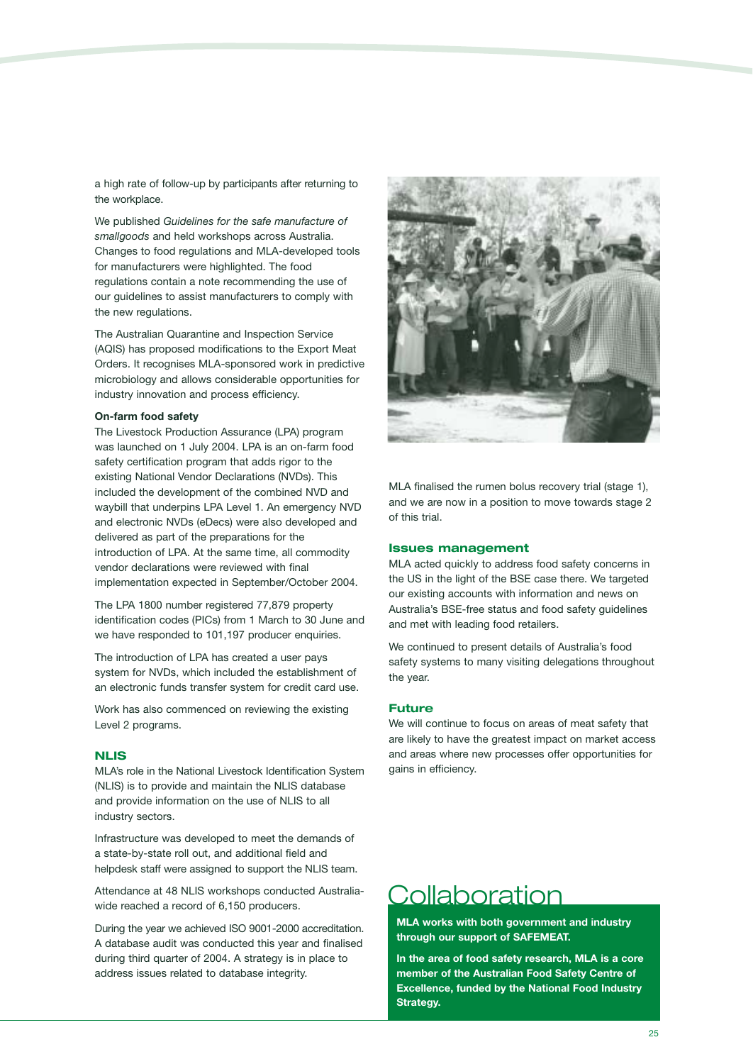a high rate of follow-up by participants after returning to the workplace.

We published *Guidelines for the safe manufacture of smallgoods* and held workshops across Australia. Changes to food regulations and MLA-developed tools for manufacturers were highlighted. The food regulations contain a note recommending the use of our guidelines to assist manufacturers to comply with the new regulations.

The Australian Quarantine and Inspection Service (AQIS) has proposed modifications to the Export Meat Orders. It recognises MLA-sponsored work in predictive microbiology and allows considerable opportunities for industry innovation and process efficiency.

### **On-farm food safety**

The Livestock Production Assurance (LPA) program was launched on 1 July 2004. LPA is an on-farm food safety certification program that adds rigor to the existing National Vendor Declarations (NVDs). This included the development of the combined NVD and waybill that underpins LPA Level 1. An emergency NVD and electronic NVDs (eDecs) were also developed and delivered as part of the preparations for the introduction of LPA. At the same time, all commodity vendor declarations were reviewed with final implementation expected in September/October 2004.

The LPA 1800 number registered 77,879 property identification codes (PICs) from 1 March to 30 June and we have responded to 101,197 producer enquiries.

The introduction of LPA has created a user pays system for NVDs, which included the establishment of an electronic funds transfer system for credit card use.

Work has also commenced on reviewing the existing Level 2 programs.

### **NLIS**

MLA's role in the National Livestock Identification System (NLIS) is to provide and maintain the NLIS database and provide information on the use of NLIS to all industry sectors.

Infrastructure was developed to meet the demands of a state-by-state roll out, and additional field and helpdesk staff were assigned to support the NLIS team.

Attendance at 48 NLIS workshops conducted Australiawide reached a record of 6,150 producers.

During the year we achieved ISO 9001-2000 accreditation. A database audit was conducted this year and finalised during third quarter of 2004. A strategy is in place to address issues related to database integrity.



MLA finalised the rumen bolus recovery trial (stage 1). and we are now in a position to move towards stage 2 of this trial.

#### **Issues management**

MLA acted quickly to address food safety concerns in the US in the light of the BSE case there. We targeted our existing accounts with information and news on Australia's BSE-free status and food safety guidelines and met with leading food retailers.

We continued to present details of Australia's food safety systems to many visiting delegations throughout the year.

### **Future**

We will continue to focus on areas of meat safety that are likely to have the greatest impact on market access and areas where new processes offer opportunities for gains in efficiency.

### **Collaboration**

**MLA works with both government and industry through our support of SAFEMEAT.**

**In the area of food safety research, MLA is a core member of the Australian Food Safety Centre of Excellence, funded by the National Food Industry Strategy.**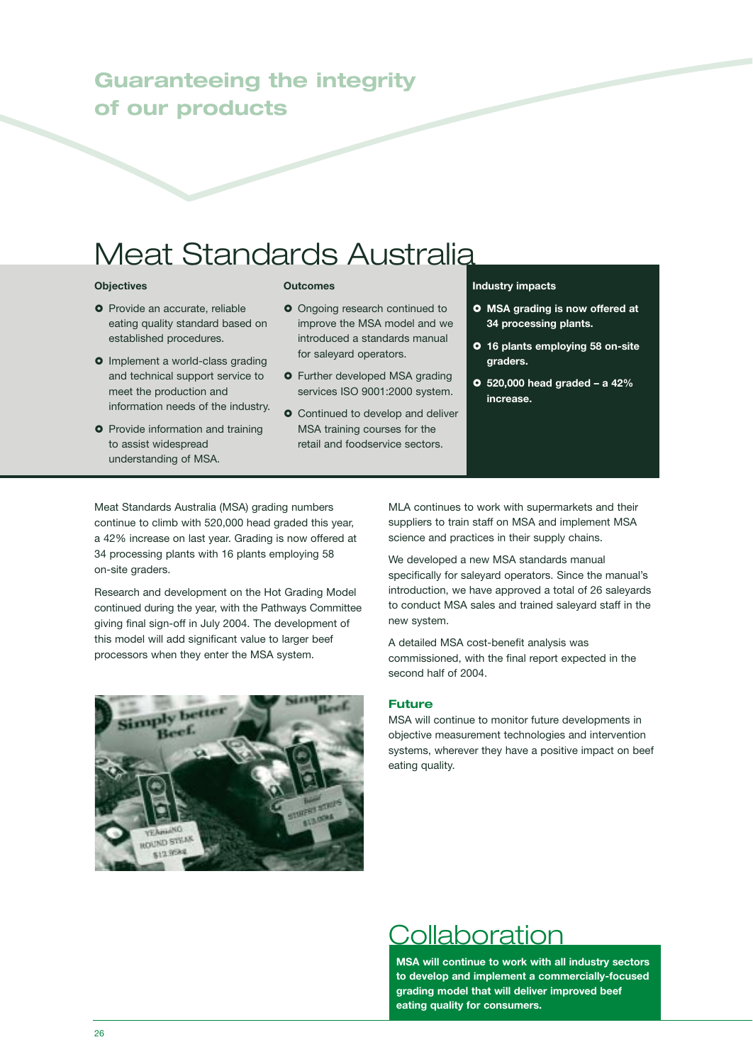### **Guaranteeing the integrity of our products**

# Meat Standards Australia

### **Objectives**

- **O** Provide an accurate, reliable eating quality standard based on established procedures.
- **o** Implement a world-class grading and technical support service to meet the production and information needs of the industry.
- **O** Provide information and training to assist widespread understanding of MSA.

### **Outcomes**

- **O** Ongoing research continued to improve the MSA model and we introduced a standards manual for saleyard operators.
- **O** Further developed MSA grading services ISO 9001:2000 system.
- **O** Continued to develop and deliver MSA training courses for the retail and foodservice sectors.

### **Industry impacts**

- **MSA grading is now offered at 34 processing plants.**
- **16 plants employing 58 on-site graders.**
- **520,000 head graded a 42% increase.**

Meat Standards Australia (MSA) grading numbers continue to climb with 520,000 head graded this year, a 42% increase on last year. Grading is now offered at 34 processing plants with 16 plants employing 58 on-site graders.

Research and development on the Hot Grading Model continued during the year, with the Pathways Committee giving final sign-off in July 2004. The development of this model will add significant value to larger beef processors when they enter the MSA system.



MLA continues to work with supermarkets and their suppliers to train staff on MSA and implement MSA science and practices in their supply chains.

We developed a new MSA standards manual specifically for saleyard operators. Since the manual's introduction, we have approved a total of 26 saleyards to conduct MSA sales and trained saleyard staff in the new system.

A detailed MSA cost-benefit analysis was commissioned, with the final report expected in the second half of 2004.

### **Future**

MSA will continue to monitor future developments in objective measurement technologies and intervention systems, wherever they have a positive impact on beef eating quality.

### Collaboration

**MSA will continue to work with all industry sectors to develop and implement a commercially-focused grading model that will deliver improved beef eating quality for consumers.**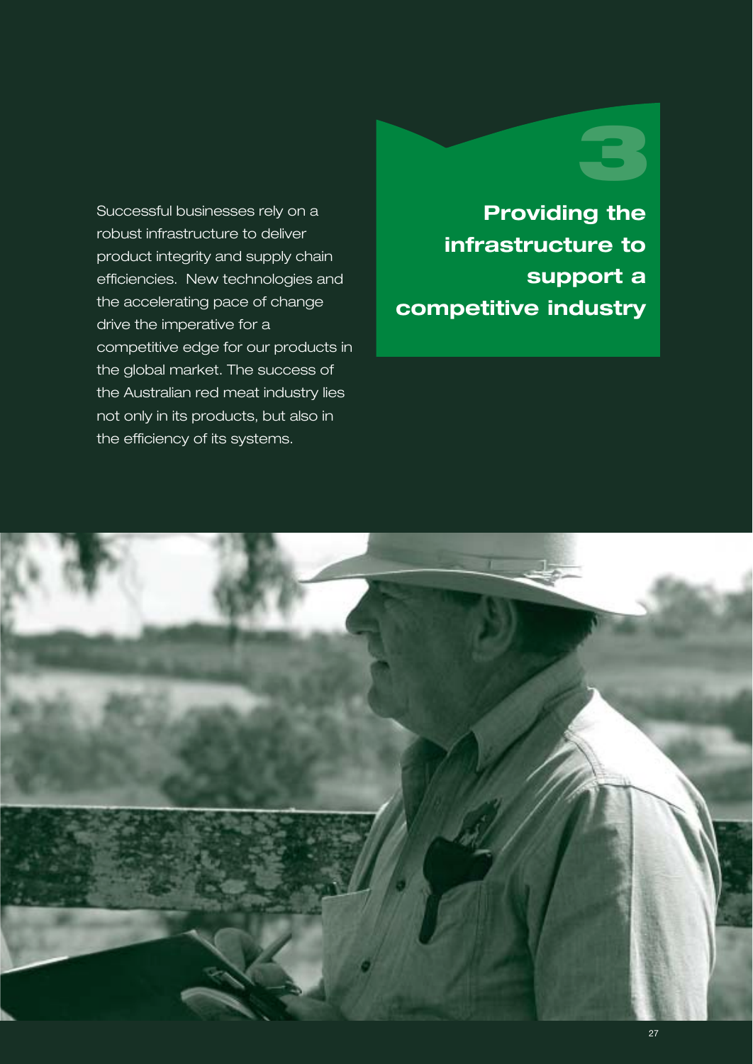### Successful businesses rely on a robust infrastructure to deliver product integrity and supply chain efficiencies. New technologies and the accelerating pace of change drive the imperative for a competitive edge for our products in the global market. The success of the Australian red meat industry lies not only in its products, but also in the efficiency of its systems.

# **3**

**Providing the infrastructure to support a competitive industry**

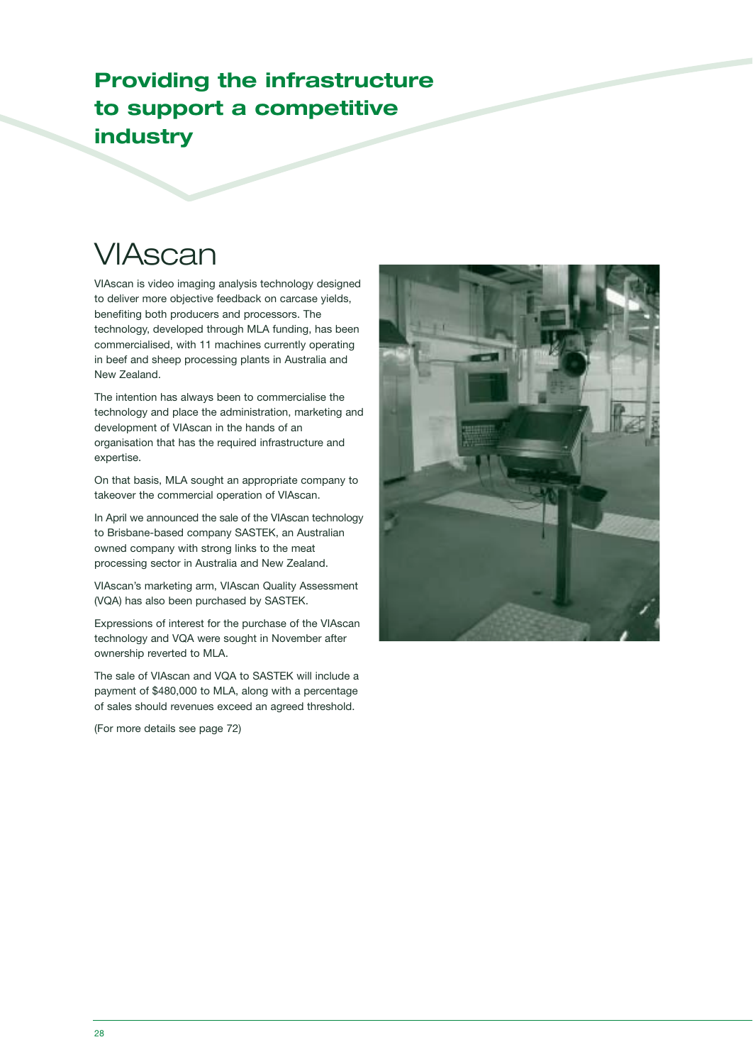### **Providing the infrastructure to support a competitive industry**

# VIAscan

VIAscan is video imaging analysis technology designed to deliver more objective feedback on carcase yields, benefiting both producers and processors. The technology, developed through MLA funding, has been commercialised, with 11 machines currently operating in beef and sheep processing plants in Australia and New Zealand.

The intention has always been to commercialise the technology and place the administration, marketing and development of VIAscan in the hands of an organisation that has the required infrastructure and expertise.

On that basis, MLA sought an appropriate company to takeover the commercial operation of VIAscan.

In April we announced the sale of the VIAscan technology to Brisbane-based company SASTEK, an Australian owned company with strong links to the meat processing sector in Australia and New Zealand.

VIAscan's marketing arm, VIAscan Quality Assessment (VQA) has also been purchased by SASTEK.

Expressions of interest for the purchase of the VIAscan technology and VQA were sought in November after ownership reverted to MLA.

The sale of VIAscan and VQA to SASTEK will include a payment of \$480,000 to MLA, along with a percentage of sales should revenues exceed an agreed threshold.

(For more details see page 72)

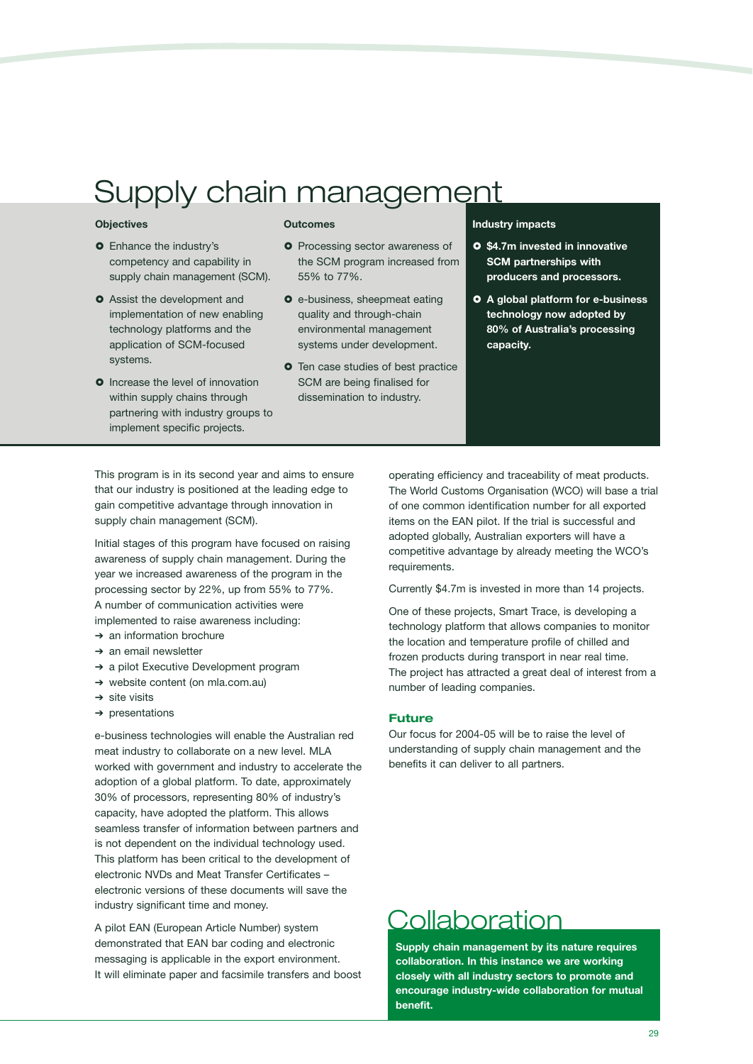# Supply chain management

### **Objectives**

- **O** Enhance the industry's competency and capability in supply chain management (SCM).
- **O** Assist the development and implementation of new enabling technology platforms and the application of SCM-focused systems.
- **O** Increase the level of innovation within supply chains through partnering with industry groups to implement specific projects.

### **Outcomes**

- **O** Processing sector awareness of the SCM program increased from 55% to 77%.
- **O** e-business, sheepmeat eating quality and through-chain environmental management systems under development.
- **O** Ten case studies of best practice SCM are being finalised for dissemination to industry.

### **Industry impacts**

- **\$4.7m invested in innovative SCM partnerships with producers and processors.**
- **A global platform for e-business technology now adopted by 80% of Australia's processing capacity.**

This program is in its second year and aims to ensure that our industry is positioned at the leading edge to gain competitive advantage through innovation in supply chain management (SCM).

Initial stages of this program have focused on raising awareness of supply chain management. During the year we increased awareness of the program in the processing sector by 22%, up from 55% to 77%. A number of communication activities were implemented to raise awareness including:

- ➔ an information brochure
- ➔ an email newsletter
- ➔ a pilot Executive Development program
- ➔ website content (on mla.com.au)
- ➔ site visits
- ➔ presentations

e-business technologies will enable the Australian red meat industry to collaborate on a new level. MLA worked with government and industry to accelerate the adoption of a global platform. To date, approximately 30% of processors, representing 80% of industry's capacity, have adopted the platform. This allows seamless transfer of information between partners and is not dependent on the individual technology used. This platform has been critical to the development of electronic NVDs and Meat Transfer Certificates – electronic versions of these documents will save the industry significant time and money.

A pilot EAN (European Article Number) system demonstrated that EAN bar coding and electronic messaging is applicable in the export environment. It will eliminate paper and facsimile transfers and boost operating efficiency and traceability of meat products. The World Customs Organisation (WCO) will base a trial of one common identification number for all exported items on the EAN pilot. If the trial is successful and adopted globally, Australian exporters will have a competitive advantage by already meeting the WCO's requirements.

Currently \$4.7m is invested in more than 14 projects.

One of these projects, Smart Trace, is developing a technology platform that allows companies to monitor the location and temperature profile of chilled and frozen products during transport in near real time. The project has attracted a great deal of interest from a number of leading companies.

### **Future**

Our focus for 2004-05 will be to raise the level of understanding of supply chain management and the benefits it can deliver to all partners.

### **Collaboration**

**Supply chain management by its nature requires collaboration. In this instance we are working closely with all industry sectors to promote and encourage industry-wide collaboration for mutual benefit.**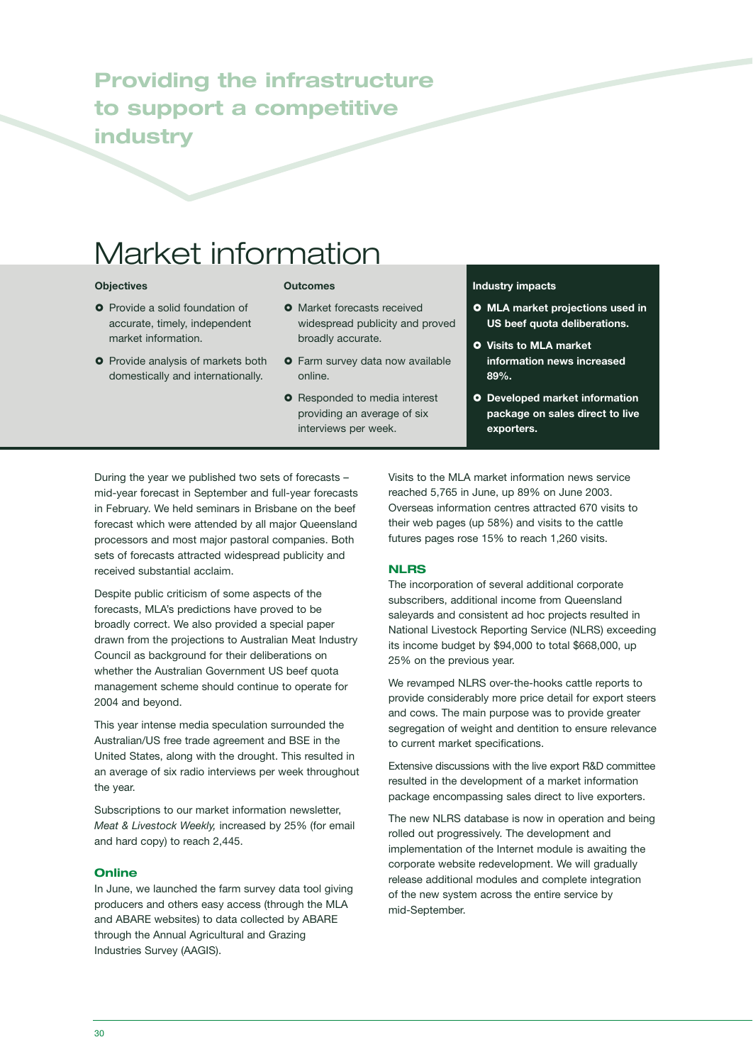### **Providing the infrastructure to support a competitive industry**

# Market information

### **Objectives**

- **O** Provide a solid foundation of accurate, timely, independent market information.
- **O** Provide analysis of markets both domestically and internationally.

#### **Outcomes**

- **O** Market forecasts received widespread publicity and proved broadly accurate.
- **O** Farm survey data now available online.
- **O** Responded to media interest providing an average of six interviews per week.

### **Industry impacts**

- **MLA market projections used in US beef quota deliberations.**
- **Visits to MLA market information news increased 89%.**
- **Developed market information package on sales direct to live exporters.**

During the year we published two sets of forecasts – mid-year forecast in September and full-year forecasts in February. We held seminars in Brisbane on the beef forecast which were attended by all major Queensland processors and most major pastoral companies. Both sets of forecasts attracted widespread publicity and received substantial acclaim.

Despite public criticism of some aspects of the forecasts, MLA's predictions have proved to be broadly correct. We also provided a special paper drawn from the projections to Australian Meat Industry Council as background for their deliberations on whether the Australian Government US beef quota management scheme should continue to operate for 2004 and beyond.

This year intense media speculation surrounded the Australian/US free trade agreement and BSE in the United States, along with the drought. This resulted in an average of six radio interviews per week throughout the year.

Subscriptions to our market information newsletter, *Meat & Livestock Weekly,* increased by 25% (for email and hard copy) to reach 2,445.

### **Online**

In June, we launched the farm survey data tool giving producers and others easy access (through the MLA and ABARE websites) to data collected by ABARE through the Annual Agricultural and Grazing Industries Survey (AAGIS).

Visits to the MLA market information news service reached 5,765 in June, up 89% on June 2003. Overseas information centres attracted 670 visits to their web pages (up 58%) and visits to the cattle futures pages rose 15% to reach 1,260 visits.

### **NLRS**

The incorporation of several additional corporate subscribers, additional income from Queensland saleyards and consistent ad hoc projects resulted in National Livestock Reporting Service (NLRS) exceeding its income budget by \$94,000 to total \$668,000, up 25% on the previous year.

We revamped NLRS over-the-hooks cattle reports to provide considerably more price detail for export steers and cows. The main purpose was to provide greater segregation of weight and dentition to ensure relevance to current market specifications.

Extensive discussions with the live export R&D committee resulted in the development of a market information package encompassing sales direct to live exporters.

The new NLRS database is now in operation and being rolled out progressively. The development and implementation of the Internet module is awaiting the corporate website redevelopment. We will gradually release additional modules and complete integration of the new system across the entire service by mid-September.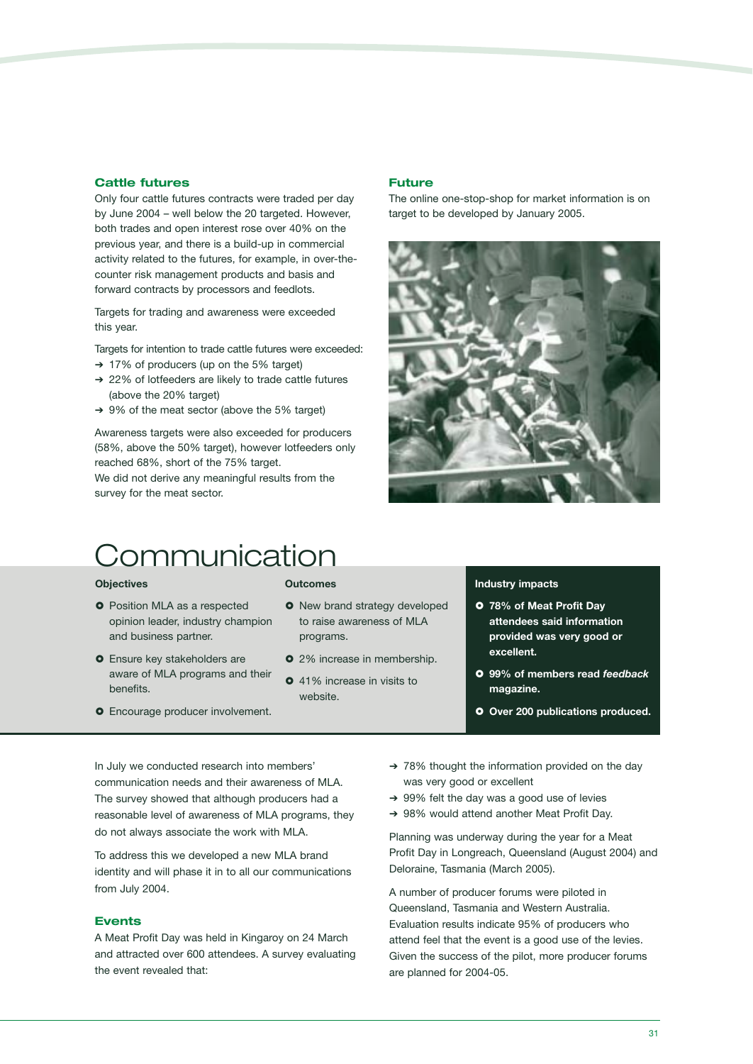### **Cattle futures**

Only four cattle futures contracts were traded per day by June 2004 – well below the 20 targeted. However, both trades and open interest rose over 40% on the previous year, and there is a build-up in commercial activity related to the futures, for example, in over-thecounter risk management products and basis and forward contracts by processors and feedlots.

Targets for trading and awareness were exceeded this year.

Targets for intention to trade cattle futures were exceeded:

- ➔ 17% of producers (up on the 5% target)
- ➔ 22% of lotfeeders are likely to trade cattle futures (above the 20% target)
- ➔ 9% of the meat sector (above the 5% target)

Awareness targets were also exceeded for producers (58%, above the 50% target), however lotfeeders only reached 68%, short of the 75% target.

We did not derive any meaningful results from the survey for the meat sector.

# Communication

#### **Objectives**

- **O** Position MLA as a respected opinion leader, industry champion and business partner.
- **O** Ensure key stakeholders are aware of MLA programs and their benefits.
- **O** Encourage producer involvement.

#### **Outcomes**

**O** New brand strategy developed to raise awareness of MLA programs.

**Future**

- **O** 2% increase in membership.
- **0** 41% increase in visits to website.

### **Industry impacts**

- **78% of Meat Profit Day attendees said information provided was very good or excellent.**
- **99% of members read** *feedback* **magazine.**
- **O** Over 200 publications produced.

In July we conducted research into members' communication needs and their awareness of MLA. The survey showed that although producers had a reasonable level of awareness of MLA programs, they do not always associate the work with MLA.

To address this we developed a new MLA brand identity and will phase it in to all our communications from July 2004.

### **Events**

A Meat Profit Day was held in Kingaroy on 24 March and attracted over 600 attendees. A survey evaluating the event revealed that:

- ➔ 78% thought the information provided on the day was very good or excellent
- ➔ 99% felt the day was a good use of levies
- ➔ 98% would attend another Meat Profit Day.

Planning was underway during the year for a Meat Profit Day in Longreach, Queensland (August 2004) and Deloraine, Tasmania (March 2005).

A number of producer forums were piloted in Queensland, Tasmania and Western Australia. Evaluation results indicate 95% of producers who attend feel that the event is a good use of the levies. Given the success of the pilot, more producer forums are planned for 2004-05.



The online one-stop-shop for market information is on

target to be developed by January 2005.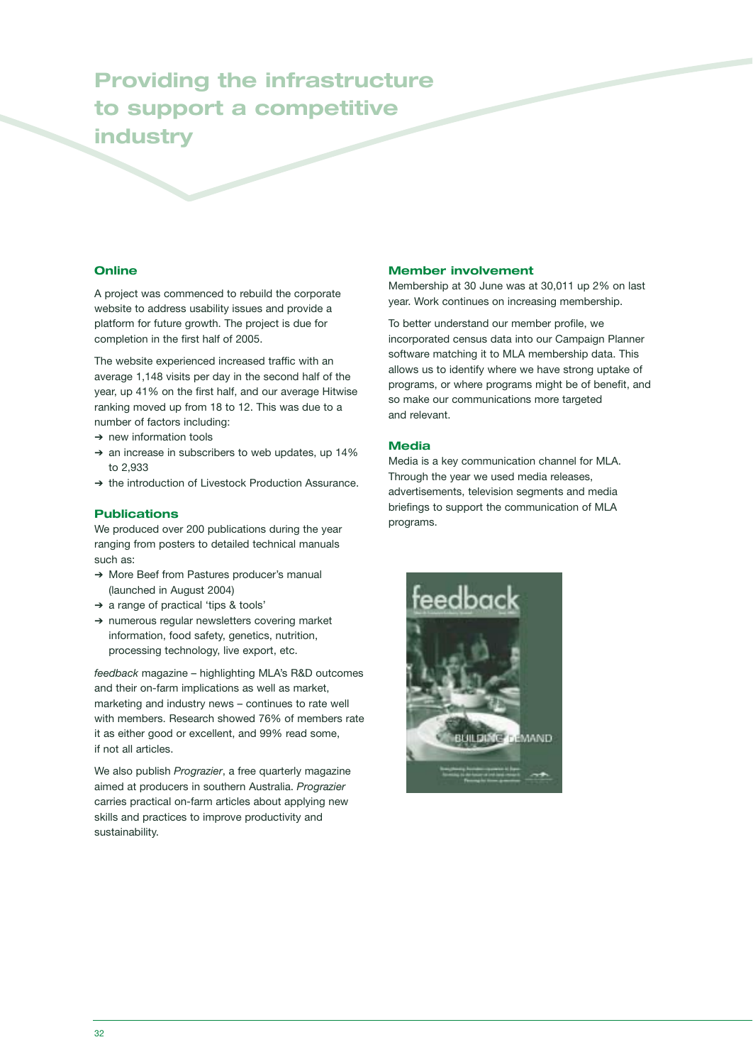### **Providing the infrastructure to support a competitive industry**

### **Online**

A project was commenced to rebuild the corporate website to address usability issues and provide a platform for future growth. The project is due for completion in the first half of 2005.

The website experienced increased traffic with an average 1,148 visits per day in the second half of the year, up 41% on the first half, and our average Hitwise ranking moved up from 18 to 12. This was due to a number of factors including:

- ➔ new information tools
- ➔ an increase in subscribers to web updates, up 14% to 2,933
- ➔ the introduction of Livestock Production Assurance.

### **Publications**

We produced over 200 publications during the year ranging from posters to detailed technical manuals such as:

- ➔ More Beef from Pastures producer's manual (launched in August 2004)
- ➔ a range of practical 'tips & tools'
- ➔ numerous regular newsletters covering market information, food safety, genetics, nutrition, processing technology, live export, etc.

*feedback* magazine – highlighting MLA's R&D outcomes and their on-farm implications as well as market, marketing and industry news – continues to rate well with members. Research showed 76% of members rate it as either good or excellent, and 99% read some, if not all articles.

We also publish *Prograzier*, a free quarterly magazine aimed at producers in southern Australia. *Prograzier* carries practical on-farm articles about applying new skills and practices to improve productivity and sustainability.

### **Member involvement**

Membership at 30 June was at 30,011 up 2% on last year. Work continues on increasing membership.

To better understand our member profile, we incorporated census data into our Campaign Planner software matching it to MLA membership data. This allows us to identify where we have strong uptake of programs, or where programs might be of benefit, and so make our communications more targeted and relevant.

### **Media**

Media is a key communication channel for MLA. Through the year we used media releases, advertisements, television segments and media briefings to support the communication of MLA programs.

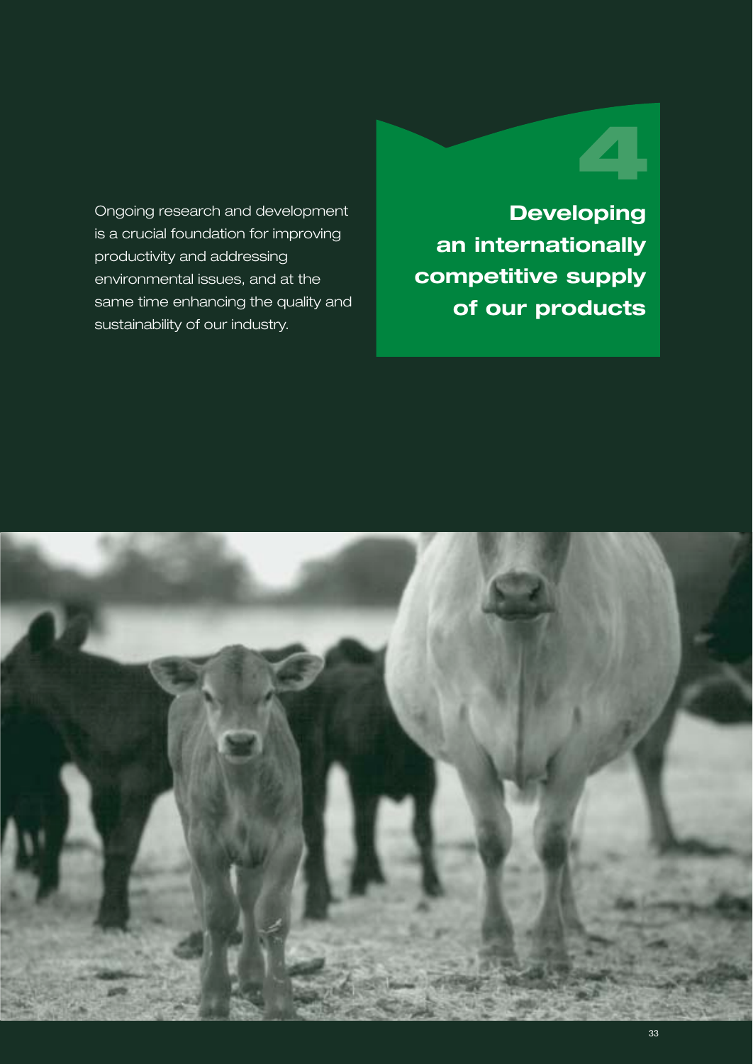### Ongoing research and development is a crucial foundation for improving productivity and addressing environmental issues, and at the same time enhancing the quality and sustainability of our industry.

# **4**

**Developing an internationally competitive supply of our products**

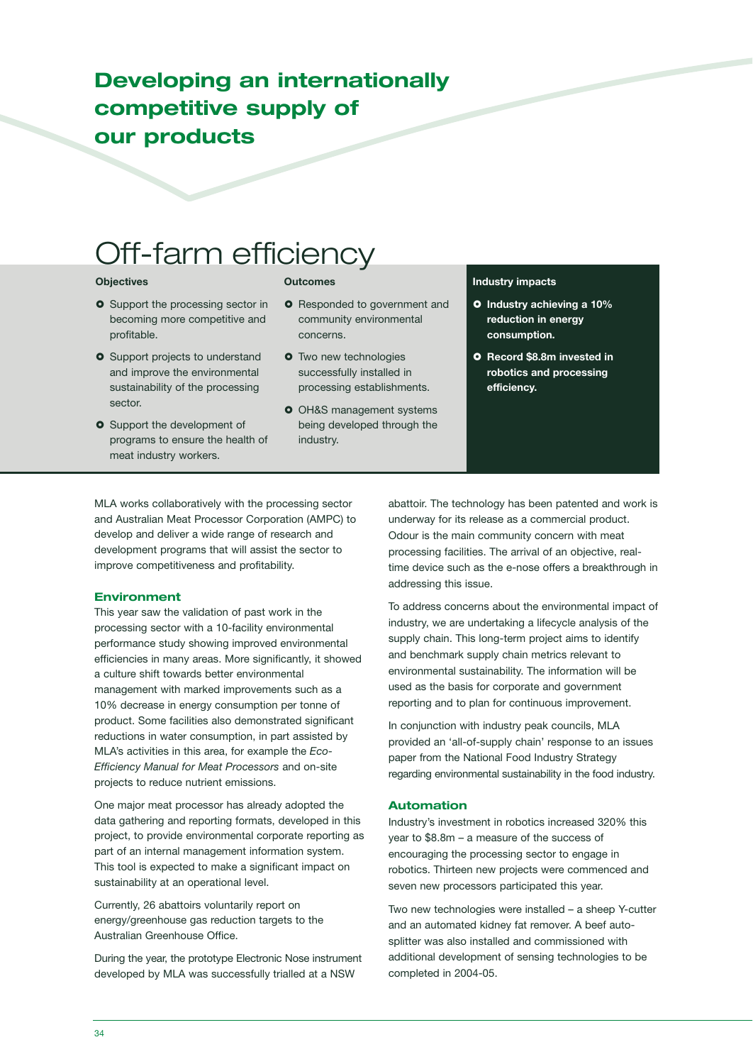### **Developing an internationally competitive supply of our products**

# Off-farm efficiency

### **Objectives**

- **O** Support the processing sector in becoming more competitive and profitable.
- **O** Support projects to understand and improve the environmental sustainability of the processing sector.
- **O** Support the development of programs to ensure the health of meat industry workers.

### **Outcomes**

- **O** Responded to government and community environmental concerns.
- **O** Two new technologies successfully installed in processing establishments.
- **O** OH&S management systems being developed through the industry.

### **Industry impacts**

- **Industry achieving a 10% reduction in energy consumption.**
- **Record \$8.8m invested in robotics and processing efficiency.**

MLA works collaboratively with the processing sector and Australian Meat Processor Corporation (AMPC) to develop and deliver a wide range of research and development programs that will assist the sector to improve competitiveness and profitability.

### **Environment**

This year saw the validation of past work in the processing sector with a 10-facility environmental performance study showing improved environmental efficiencies in many areas. More significantly, it showed a culture shift towards better environmental management with marked improvements such as a 10% decrease in energy consumption per tonne of product. Some facilities also demonstrated significant reductions in water consumption, in part assisted by MLA's activities in this area, for example the *Eco-Efficiency Manual for Meat Processors* and on-site projects to reduce nutrient emissions.

One major meat processor has already adopted the data gathering and reporting formats, developed in this project, to provide environmental corporate reporting as part of an internal management information system. This tool is expected to make a significant impact on sustainability at an operational level.

Currently, 26 abattoirs voluntarily report on energy/greenhouse gas reduction targets to the Australian Greenhouse Office.

During the year, the prototype Electronic Nose instrument developed by MLA was successfully trialled at a NSW

abattoir. The technology has been patented and work is underway for its release as a commercial product. Odour is the main community concern with meat processing facilities. The arrival of an objective, realtime device such as the e-nose offers a breakthrough in addressing this issue.

To address concerns about the environmental impact of industry, we are undertaking a lifecycle analysis of the supply chain. This long-term project aims to identify and benchmark supply chain metrics relevant to environmental sustainability. The information will be used as the basis for corporate and government reporting and to plan for continuous improvement.

In conjunction with industry peak councils, MLA provided an 'all-of-supply chain' response to an issues paper from the National Food Industry Strategy regarding environmental sustainability in the food industry.

### **Automation**

Industry's investment in robotics increased 320% this year to \$8.8m – a measure of the success of encouraging the processing sector to engage in robotics. Thirteen new projects were commenced and seven new processors participated this year.

Two new technologies were installed – a sheep Y-cutter and an automated kidney fat remover. A beef autosplitter was also installed and commissioned with additional development of sensing technologies to be completed in 2004-05.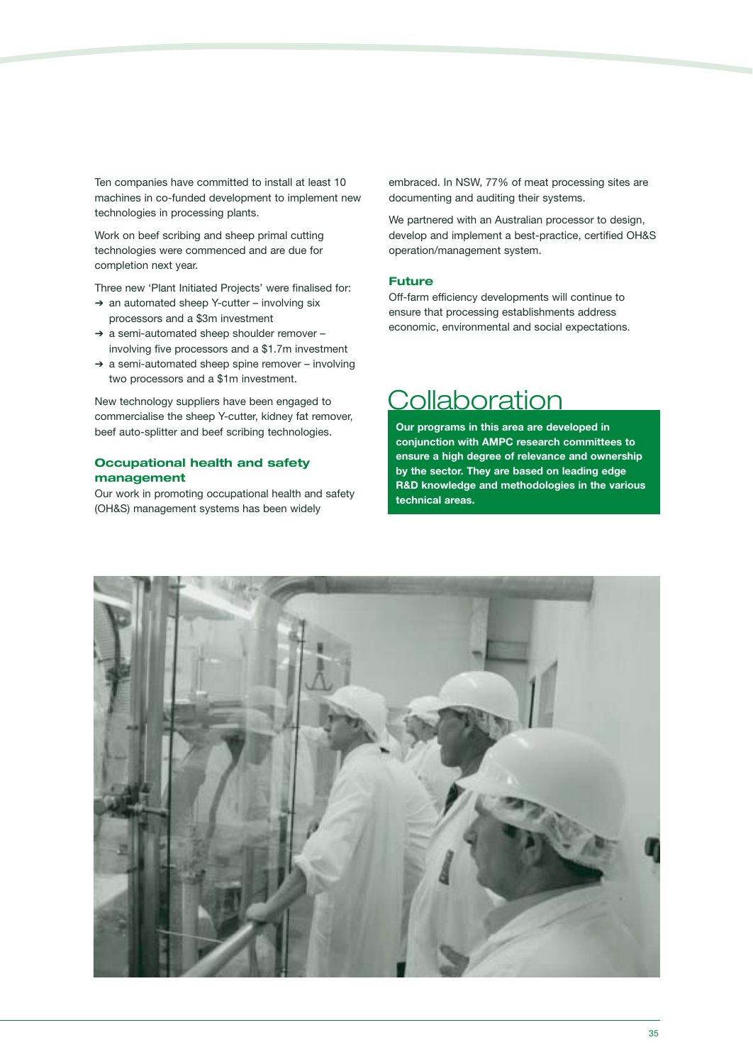Ten companies have committed to install at least 10 machines in co-funded development to implement new technologies in processing plants.

Work on beef scribing and sheep primal cutting technologies were commenced and are due for completion next year.

Three new 'Plant Initiated Projects' were finalised for:

- ➔ an automated sheep Y-cutter involving six processors and a \$3m investment
- ➔ a semi-automated sheep shoulder remover involving five processors and a \$1.7m investment
- ➔ a semi-automated sheep spine remover involving two processors and a \$1m investment.

New technology suppliers have been engaged to commercialise the sheep Y-cutter, kidney fat remover, beef auto-splitter and beef scribing technologies.

### **Occupational health and safety management**

Our work in promoting occupational health and safety (OH&S) management systems has been widely

embraced. In NSW, 77% of meat processing sites are documenting and auditing their systems.

We partnered with an Australian processor to design, develop and implement a best-practice, certified OH&S operation/management system.

### **Future**

Off-farm efficiency developments will continue to ensure that processing establishments address economic, environmental and social expectations.

## **Collaboration**

**Our programs in this area are developed in conjunction with AMPC research committees to ensure a high degree of relevance and ownership by the sector. They are based on leading edge R&D knowledge and methodologies in the various technical areas.**

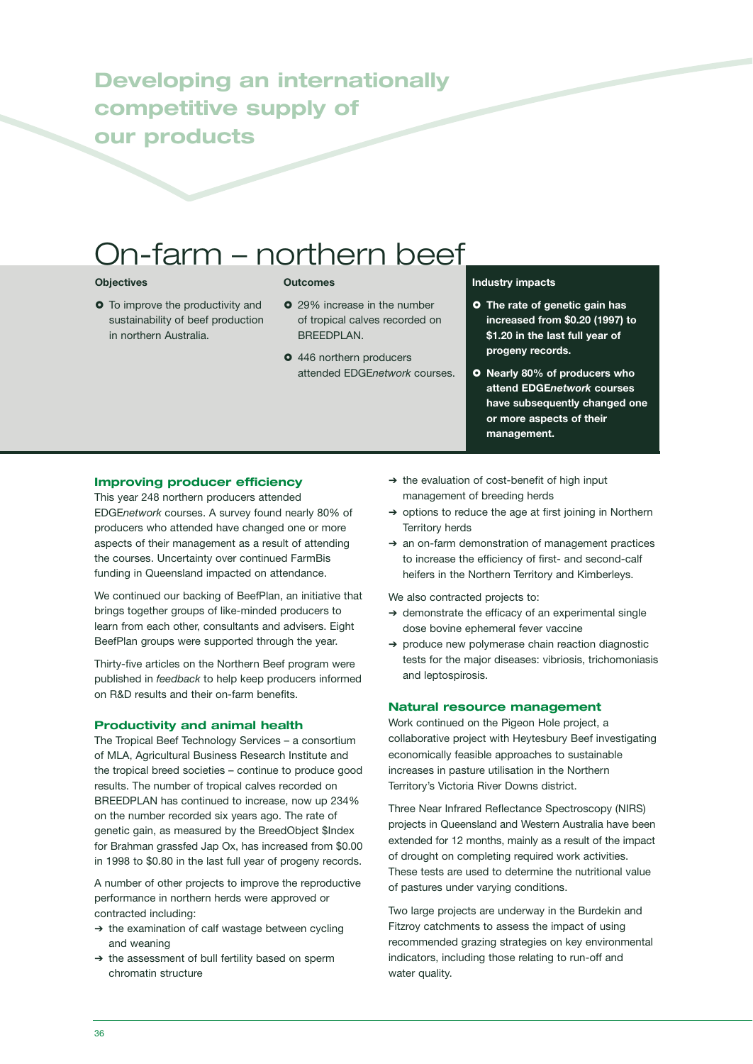## **Developing an internationally competitive supply of our products**

# On-farm – northern beef

### **Objectives**

**O** To improve the productivity and sustainability of beef production in northern Australia.

### **Outcomes**

- 29% increase in the number of tropical calves recorded on BREEDPLAN.
- $\bullet$  446 northern producers attended EDGE*network* courses.

### **Industry impacts**

- **The rate of genetic gain has increased from \$0.20 (1997) to \$1.20 in the last full year of progeny records.**
- **O** Nearly 80% of producers who **attend EDGE***network* **courses have subsequently changed one or more aspects of their management.**

### **Improving producer efficiency**

This year 248 northern producers attended EDGE*network* courses. A survey found nearly 80% of producers who attended have changed one or more aspects of their management as a result of attending the courses. Uncertainty over continued FarmBis funding in Queensland impacted on attendance.

We continued our backing of BeefPlan, an initiative that brings together groups of like-minded producers to learn from each other, consultants and advisers. Eight BeefPlan groups were supported through the year.

Thirty-five articles on the Northern Beef program were published in *feedback* to help keep producers informed on R&D results and their on-farm benefits.

### **Productivity and animal health**

The Tropical Beef Technology Services – a consortium of MLA, Agricultural Business Research Institute and the tropical breed societies – continue to produce good results. The number of tropical calves recorded on BREEDPLAN has continued to increase, now up 234% on the number recorded six years ago. The rate of genetic gain, as measured by the BreedObject \$Index for Brahman grassfed Jap Ox, has increased from \$0.00 in 1998 to \$0.80 in the last full year of progeny records.

A number of other projects to improve the reproductive performance in northern herds were approved or contracted including:

- ➔ the examination of calf wastage between cycling and weaning
- ➔ the assessment of bull fertility based on sperm chromatin structure
- ➔ the evaluation of cost-benefit of high input management of breeding herds
- ➔ options to reduce the age at first joining in Northern Territory herds
- ➔ an on-farm demonstration of management practices to increase the efficiency of first- and second-calf heifers in the Northern Territory and Kimberleys.

We also contracted projects to:

- ➔ demonstrate the efficacy of an experimental single dose bovine ephemeral fever vaccine
- ➔ produce new polymerase chain reaction diagnostic tests for the major diseases: vibriosis, trichomoniasis and leptospirosis.

### **Natural resource management**

Work continued on the Pigeon Hole project, a collaborative project with Heytesbury Beef investigating economically feasible approaches to sustainable increases in pasture utilisation in the Northern Territory's Victoria River Downs district.

Three Near Infrared Reflectance Spectroscopy (NIRS) projects in Queensland and Western Australia have been extended for 12 months, mainly as a result of the impact of drought on completing required work activities. These tests are used to determine the nutritional value of pastures under varying conditions.

Two large projects are underway in the Burdekin and Fitzroy catchments to assess the impact of using recommended grazing strategies on key environmental indicators, including those relating to run-off and water quality.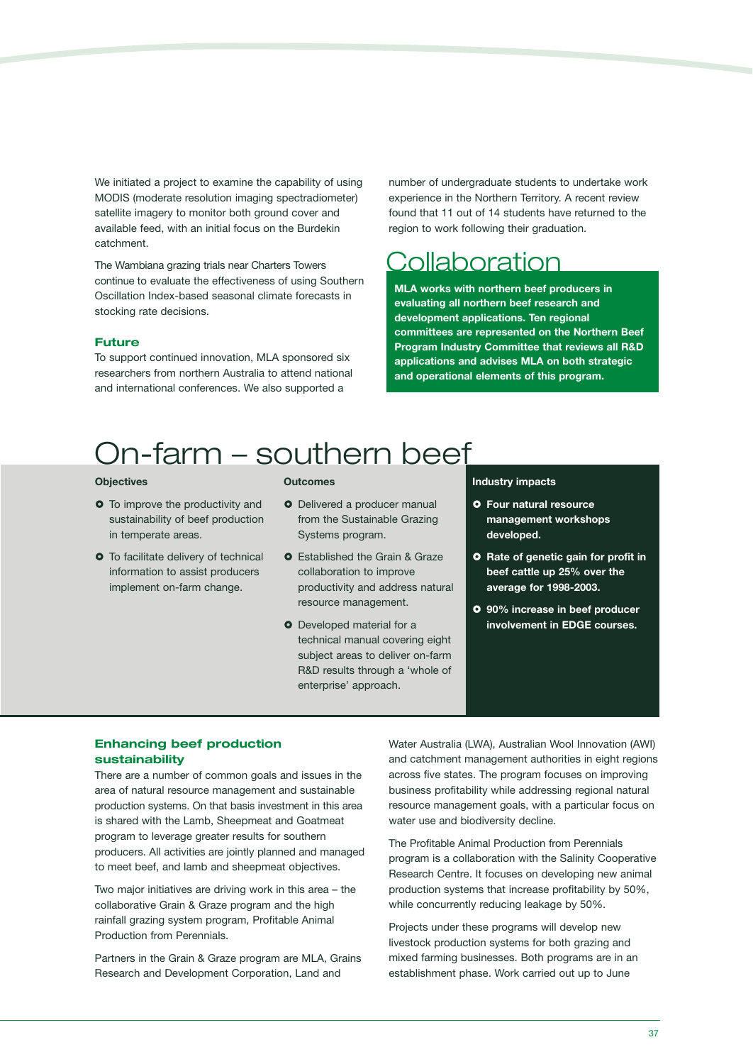We initiated a project to examine the capability of using MODIS (moderate resolution imaging spectradiometer) satellite imagery to monitor both ground cover and available feed, with an initial focus on the Burdekin catchment.

The Wambiana grazing trials near Charters Towers continue to evaluate the effectiveness of using Southern Oscillation Index-based seasonal climate forecasts in stocking rate decisions.

### **Future**

To support continued innovation, MLA sponsored six researchers from northern Australia to attend national and international conferences. We also supported a

number of undergraduate students to undertake work experience in the Northern Territory. A recent review found that 11 out of 14 students have returned to the region to work following their graduation.

## Collaboration

**MLA works with northern beef producers in evaluating all northern beef research and development applications. Ten regional committees are represented on the Northern Beef Program Industry Committee that reviews all R&D applications and advises MLA on both strategic and operational elements of this program.** 

# On-farm – southern beef

### **Objectives**

- **O** To improve the productivity and sustainability of beef production in temperate areas.
- **O** To facilitate delivery of technical information to assist producers implement on-farm change.

#### **Outcomes**

- **O** Delivered a producer manual from the Sustainable Grazing Systems program.
- **O** Established the Grain & Graze collaboration to improve productivity and address natural resource management.
- **O** Developed material for a technical manual covering eight subject areas to deliver on-farm R&D results through a 'whole of enterprise' approach.

### **Industry impacts**

- **Four natural resource management workshops developed.**
- **O** Rate of genetic gain for profit in **beef cattle up 25% over the average for 1998-2003.**
- **90% increase in beef producer involvement in EDGE courses.**

### **Enhancing beef production sustainability**

There are a number of common goals and issues in the area of natural resource management and sustainable production systems. On that basis investment in this area is shared with the Lamb, Sheepmeat and Goatmeat program to leverage greater results for southern producers. All activities are jointly planned and managed to meet beef, and lamb and sheepmeat objectives.

Two major initiatives are driving work in this area – the collaborative Grain & Graze program and the high rainfall grazing system program, Profitable Animal Production from Perennials.

Partners in the Grain & Graze program are MLA, Grains Research and Development Corporation, Land and

Water Australia (LWA), Australian Wool Innovation (AWI) and catchment management authorities in eight regions across five states. The program focuses on improving business profitability while addressing regional natural resource management goals, with a particular focus on water use and biodiversity decline.

The Profitable Animal Production from Perennials program is a collaboration with the Salinity Cooperative Research Centre. It focuses on developing new animal production systems that increase profitability by 50%, while concurrently reducing leakage by 50%.

Projects under these programs will develop new livestock production systems for both grazing and mixed farming businesses. Both programs are in an establishment phase. Work carried out up to June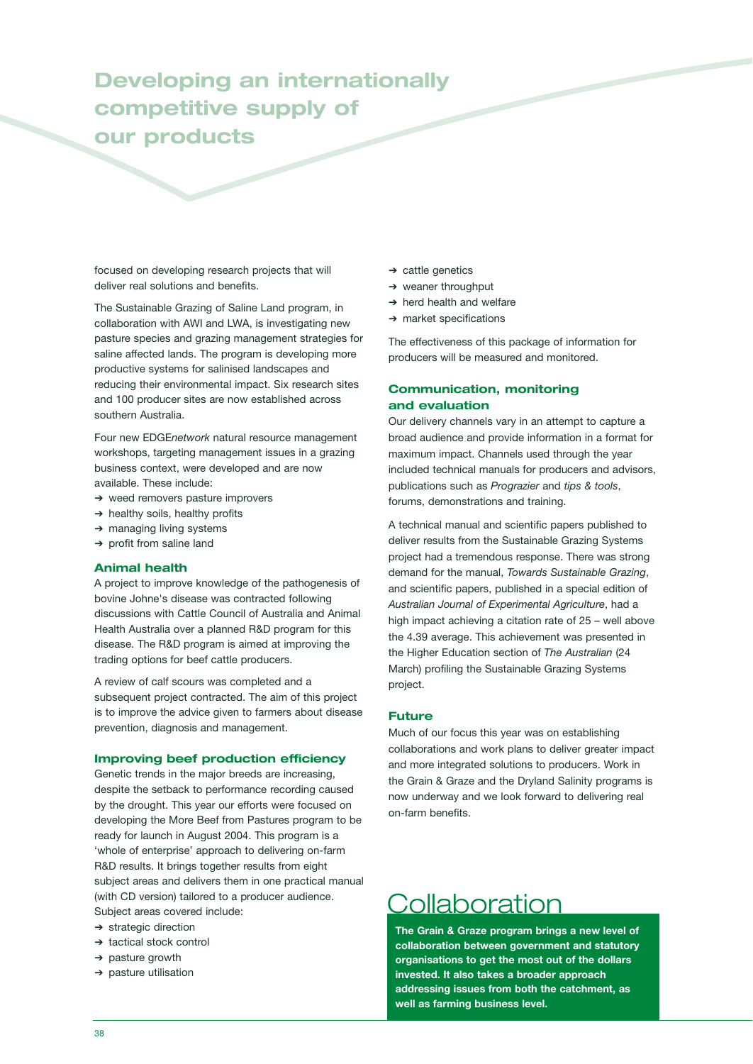## **Developing an internationally competitive supply of our products**

focused on developing research projects that will deliver real solutions and benefits.

The Sustainable Grazing of Saline Land program, in collaboration with AWI and LWA, is investigating new pasture species and grazing management strategies for saline affected lands. The program is developing more productive systems for salinised landscapes and reducing their environmental impact. Six research sites and 100 producer sites are now established across southern Australia.

Four new EDGE*network* natural resource management workshops, targeting management issues in a grazing business context, were developed and are now available. These include:

- ➔ weed removers pasture improvers
- $\rightarrow$  healthy soils, healthy profits
- ➔ managing living systems
- ➔ profit from saline land

### **Animal health**

A project to improve knowledge of the pathogenesis of bovine Johne's disease was contracted following discussions with Cattle Council of Australia and Animal Health Australia over a planned R&D program for this disease. The R&D program is aimed at improving the trading options for beef cattle producers.

A review of calf scours was completed and a subsequent project contracted. The aim of this project is to improve the advice given to farmers about disease prevention, diagnosis and management.

### **Improving beef production efficiency**

Genetic trends in the major breeds are increasing, despite the setback to performance recording caused by the drought. This year our efforts were focused on developing the More Beef from Pastures program to be ready for launch in August 2004. This program is a 'whole of enterprise' approach to delivering on-farm R&D results. It brings together results from eight subject areas and delivers them in one practical manual (with CD version) tailored to a producer audience. Subject areas covered include:

- ➔ strategic direction
- ➔ tactical stock control
- ➔ pasture growth
- ➔ pasture utilisation
- ➔ cattle genetics
- ➔ weaner throughput
- ➔ herd health and welfare
- ➔ market specifications

The effectiveness of this package of information for producers will be measured and monitored.

### **Communication, monitoring and evaluation**

Our delivery channels vary in an attempt to capture a broad audience and provide information in a format for maximum impact. Channels used through the year included technical manuals for producers and advisors, publications such as *Prograzier* and *tips & tools*, forums, demonstrations and training.

A technical manual and scientific papers published to deliver results from the Sustainable Grazing Systems project had a tremendous response. There was strong demand for the manual, *Towards Sustainable Grazing*, and scientific papers, published in a special edition of *Australian Journal of Experimental Agriculture*, had a high impact achieving a citation rate of 25 – well above the 4.39 average. This achievement was presented in the Higher Education section of *The Australian* (24 March) profiling the Sustainable Grazing Systems project.

### **Future**

Much of our focus this year was on establishing collaborations and work plans to deliver greater impact and more integrated solutions to producers. Work in the Grain & Graze and the Dryland Salinity programs is now underway and we look forward to delivering real on-farm benefits.

## Collaboration

**The Grain & Graze program brings a new level of collaboration between government and statutory organisations to get the most out of the dollars invested. It also takes a broader approach addressing issues from both the catchment, as well as farming business level.**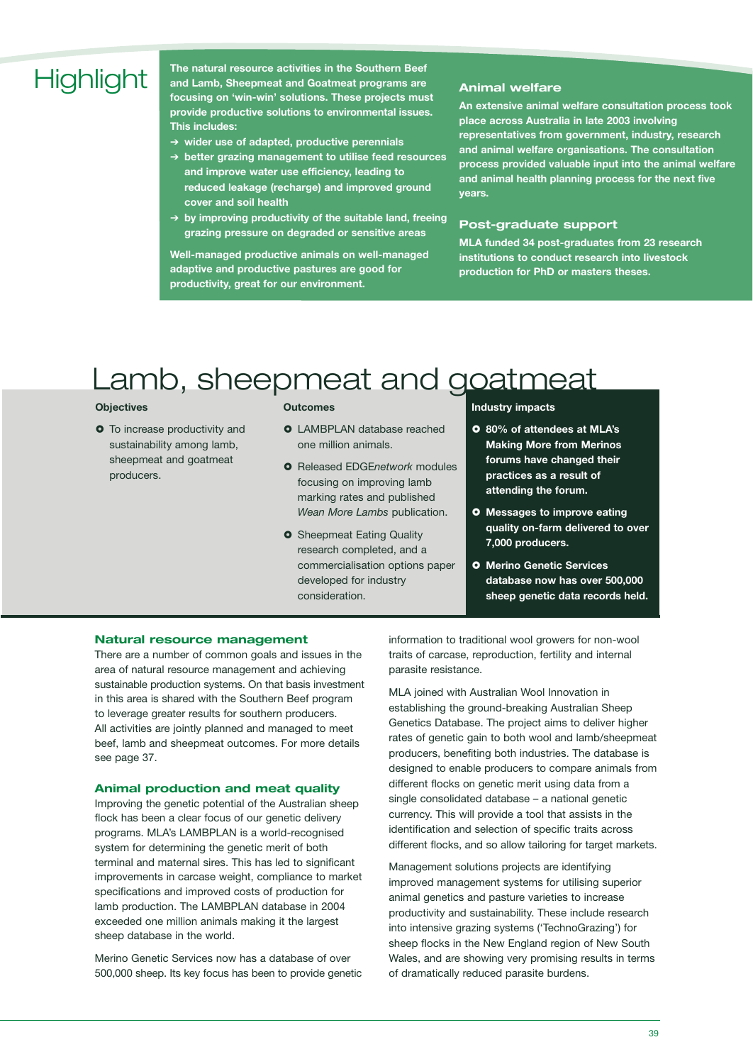# **Highlight**

**The natural resource activities in the Southern Beef and Lamb, Sheepmeat and Goatmeat programs are focusing on 'win-win' solutions. These projects must provide productive solutions to environmental issues. This includes:**

- ➔ **wider use of adapted, productive perennials**
- ➔ **better grazing management to utilise feed resources and improve water use efficiency, leading to reduced leakage (recharge) and improved ground cover and soil health**
- ➔ **by improving productivity of the suitable land, freeing grazing pressure on degraded or sensitive areas**

**Well-managed productive animals on well-managed adaptive and productive pastures are good for productivity, great for our environment.**

### **Animal welfare**

**An extensive animal welfare consultation process took place across Australia in late 2003 involving representatives from government, industry, research and animal welfare organisations. The consultation process provided valuable input into the animal welfare and animal health planning process for the next five years.** 

### **Post-graduate support**

**MLA funded 34 post-graduates from 23 research institutions to conduct research into livestock production for PhD or masters theses.**

# Lamb, sheepmeat and goatmeat

### **Objectives**

 $\bullet$  To increase productivity and sustainability among lamb, sheepmeat and goatmeat producers.

### **Outcomes**

- **O** LAMBPLAN database reached one million animals.
- Released EDGE*network* modules focusing on improving lamb marking rates and published *Wean More Lambs* publication.
- **O** Sheepmeat Eating Quality research completed, and a commercialisation options paper developed for industry consideration.

### **Industry impacts**

- **80% of attendees at MLA's Making More from Merinos forums have changed their practices as a result of attending the forum.**
- **Messages to improve eating quality on-farm delivered to over 7,000 producers.**
- **Merino Genetic Services database now has over 500,000 sheep genetic data records held.**

### **Natural resource management**

There are a number of common goals and issues in the area of natural resource management and achieving sustainable production systems. On that basis investment in this area is shared with the Southern Beef program to leverage greater results for southern producers. All activities are jointly planned and managed to meet beef, lamb and sheepmeat outcomes. For more details see page 37.

### **Animal production and meat quality**

Improving the genetic potential of the Australian sheep flock has been a clear focus of our genetic delivery programs. MLA's LAMBPLAN is a world-recognised system for determining the genetic merit of both terminal and maternal sires. This has led to significant improvements in carcase weight, compliance to market specifications and improved costs of production for lamb production. The LAMBPLAN database in 2004 exceeded one million animals making it the largest sheep database in the world.

Merino Genetic Services now has a database of over 500,000 sheep. Its key focus has been to provide genetic information to traditional wool growers for non-wool traits of carcase, reproduction, fertility and internal parasite resistance.

MLA joined with Australian Wool Innovation in establishing the ground-breaking Australian Sheep Genetics Database. The project aims to deliver higher rates of genetic gain to both wool and lamb/sheepmeat producers, benefiting both industries. The database is designed to enable producers to compare animals from different flocks on genetic merit using data from a single consolidated database – a national genetic currency. This will provide a tool that assists in the identification and selection of specific traits across different flocks, and so allow tailoring for target markets.

Management solutions projects are identifying improved management systems for utilising superior animal genetics and pasture varieties to increase productivity and sustainability. These include research into intensive grazing systems ('TechnoGrazing') for sheep flocks in the New England region of New South Wales, and are showing very promising results in terms of dramatically reduced parasite burdens.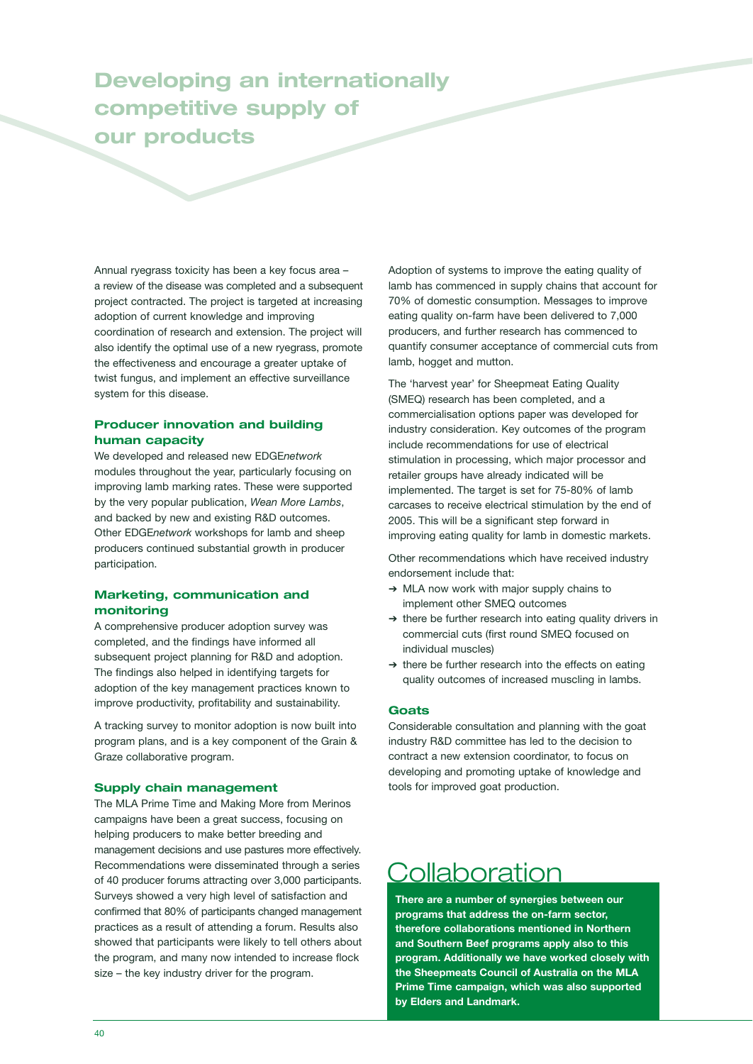## **Developing an internationally competitive supply of our products**

Annual ryegrass toxicity has been a key focus area – a review of the disease was completed and a subsequent project contracted. The project is targeted at increasing adoption of current knowledge and improving coordination of research and extension. The project will also identify the optimal use of a new ryegrass, promote the effectiveness and encourage a greater uptake of twist fungus, and implement an effective surveillance system for this disease.

### **Producer innovation and building human capacity**

We developed and released new EDGE*network* modules throughout the year, particularly focusing on improving lamb marking rates. These were supported by the very popular publication, *Wean More Lambs*, and backed by new and existing R&D outcomes. Other EDGE*network* workshops for lamb and sheep producers continued substantial growth in producer participation.

### **Marketing, communication and monitoring**

A comprehensive producer adoption survey was completed, and the findings have informed all subsequent project planning for R&D and adoption. The findings also helped in identifying targets for adoption of the key management practices known to improve productivity, profitability and sustainability.

A tracking survey to monitor adoption is now built into program plans, and is a key component of the Grain & Graze collaborative program.

### **Supply chain management**

The MLA Prime Time and Making More from Merinos campaigns have been a great success, focusing on helping producers to make better breeding and management decisions and use pastures more effectively. Recommendations were disseminated through a series of 40 producer forums attracting over 3,000 participants. Surveys showed a very high level of satisfaction and confirmed that 80% of participants changed management practices as a result of attending a forum. Results also showed that participants were likely to tell others about the program, and many now intended to increase flock size – the key industry driver for the program.

Adoption of systems to improve the eating quality of lamb has commenced in supply chains that account for 70% of domestic consumption. Messages to improve eating quality on-farm have been delivered to 7,000 producers, and further research has commenced to quantify consumer acceptance of commercial cuts from lamb, hogget and mutton.

The 'harvest year' for Sheepmeat Eating Quality (SMEQ) research has been completed, and a commercialisation options paper was developed for industry consideration. Key outcomes of the program include recommendations for use of electrical stimulation in processing, which major processor and retailer groups have already indicated will be implemented. The target is set for 75-80% of lamb carcases to receive electrical stimulation by the end of 2005. This will be a significant step forward in improving eating quality for lamb in domestic markets.

Other recommendations which have received industry endorsement include that:

- ➔ MLA now work with major supply chains to implement other SMEQ outcomes
- ➔ there be further research into eating quality drivers in commercial cuts (first round SMEQ focused on individual muscles)
- ➔ there be further research into the effects on eating quality outcomes of increased muscling in lambs.

### **Goats**

Considerable consultation and planning with the goat industry R&D committee has led to the decision to contract a new extension coordinator, to focus on developing and promoting uptake of knowledge and tools for improved goat production.

## **Collaboration**

**There are a number of synergies between our programs that address the on-farm sector, therefore collaborations mentioned in Northern and Southern Beef programs apply also to this program. Additionally we have worked closely with the Sheepmeats Council of Australia on the MLA Prime Time campaign, which was also supported by Elders and Landmark.**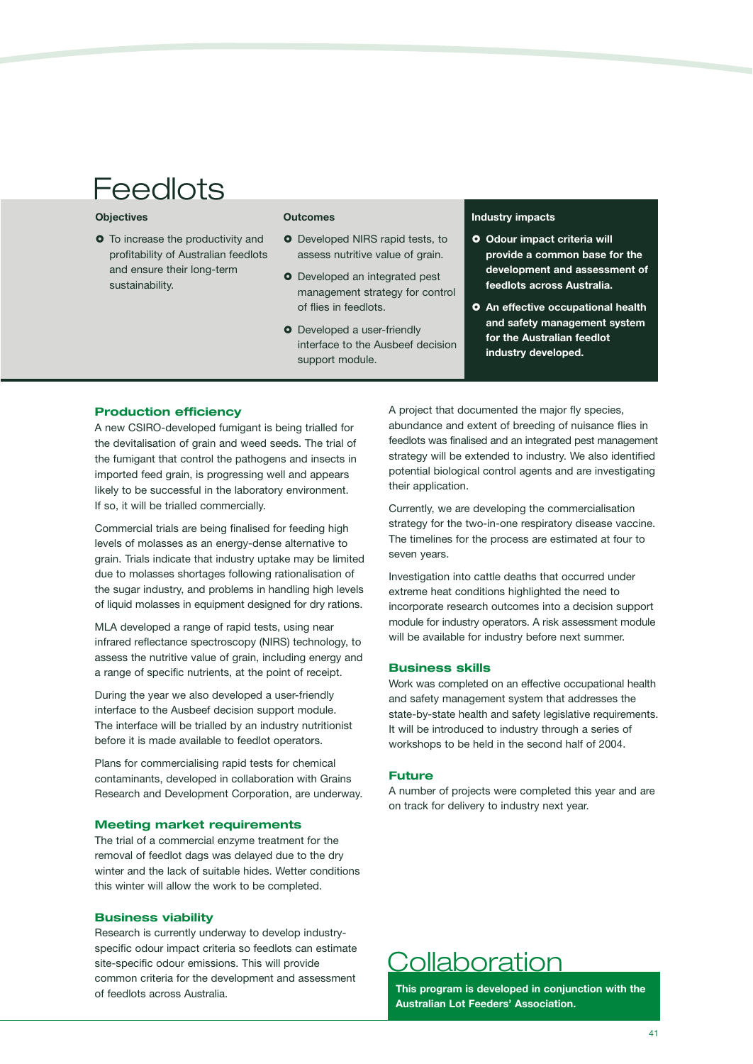# **Feedlots**

### **Objectives**

**O** To increase the productivity and profitability of Australian feedlots and ensure their long-term sustainability.

### **Outcomes**

- **O** Developed NIRS rapid tests, to assess nutritive value of grain.
- **O** Developed an integrated pest management strategy for control of flies in feedlots.
- **O** Developed a user-friendly interface to the Ausbeef decision support module.

### **Industry impacts**

- **O** Odour impact criteria will **provide a common base for the development and assessment of feedlots across Australia.**
- **An effective occupational health and safety management system for the Australian feedlot industry developed.**

### **Production efficiency**

A new CSIRO-developed fumigant is being trialled for the devitalisation of grain and weed seeds. The trial of the fumigant that control the pathogens and insects in imported feed grain, is progressing well and appears likely to be successful in the laboratory environment. If so, it will be trialled commercially.

Commercial trials are being finalised for feeding high levels of molasses as an energy-dense alternative to grain. Trials indicate that industry uptake may be limited due to molasses shortages following rationalisation of the sugar industry, and problems in handling high levels of liquid molasses in equipment designed for dry rations.

MLA developed a range of rapid tests, using near infrared reflectance spectroscopy (NIRS) technology, to assess the nutritive value of grain, including energy and a range of specific nutrients, at the point of receipt.

During the year we also developed a user-friendly interface to the Ausbeef decision support module. The interface will be trialled by an industry nutritionist before it is made available to feedlot operators.

Plans for commercialising rapid tests for chemical contaminants, developed in collaboration with Grains Research and Development Corporation, are underway.

### **Meeting market requirements**

The trial of a commercial enzyme treatment for the removal of feedlot dags was delayed due to the dry winter and the lack of suitable hides. Wetter conditions this winter will allow the work to be completed.

#### **Business viability**

Research is currently underway to develop industryspecific odour impact criteria so feedlots can estimate site-specific odour emissions. This will provide common criteria for the development and assessment of feedlots across Australia.

A project that documented the major fly species, abundance and extent of breeding of nuisance flies in feedlots was finalised and an integrated pest management strategy will be extended to industry. We also identified potential biological control agents and are investigating their application.

Currently, we are developing the commercialisation strategy for the two-in-one respiratory disease vaccine. The timelines for the process are estimated at four to seven years.

Investigation into cattle deaths that occurred under extreme heat conditions highlighted the need to incorporate research outcomes into a decision support module for industry operators. A risk assessment module will be available for industry before next summer.

### **Business skills**

Work was completed on an effective occupational health and safety management system that addresses the state-by-state health and safety legislative requirements. It will be introduced to industry through a series of workshops to be held in the second half of 2004.

### **Future**

A number of projects were completed this year and are on track for delivery to industry next year.

## Collaboration

**This program is developed in conjunction with the Australian Lot Feeders' Association.**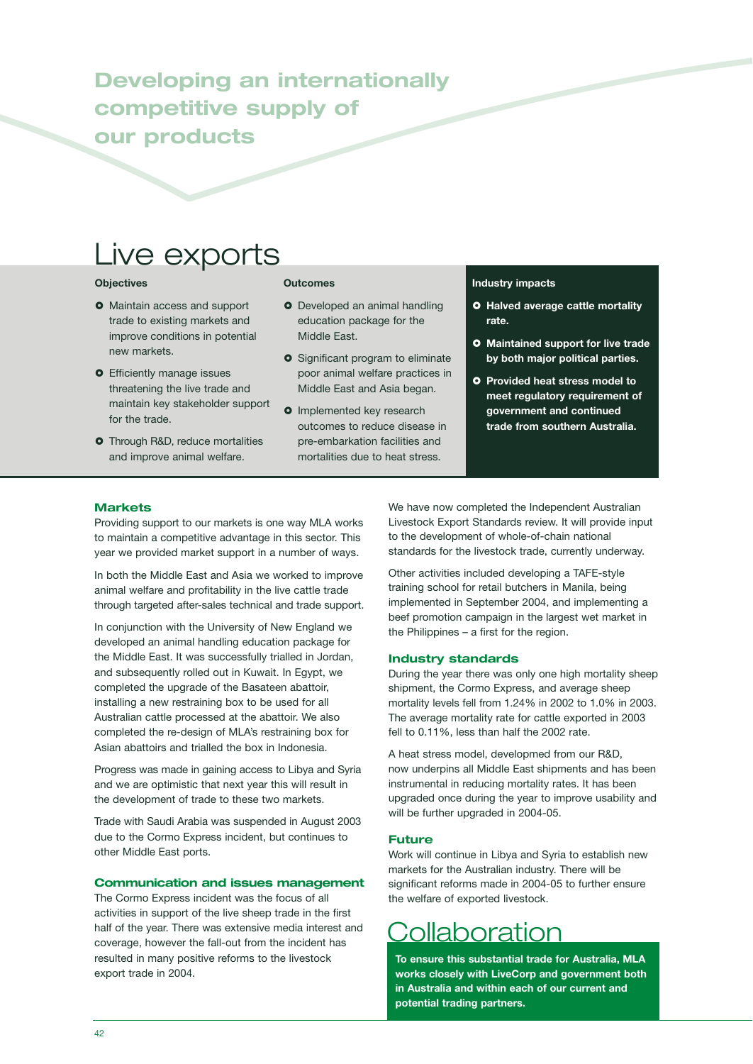## **Developing an internationally competitive supply of our products**

## Live exports

### **Objectives**

- **O** Maintain access and support trade to existing markets and improve conditions in potential new markets.
- **O** Efficiently manage issues threatening the live trade and maintain key stakeholder support for the trade.
- **O** Through R&D, reduce mortalities and improve animal welfare.

### **Outcomes**

- **O** Developed an animal handling education package for the Middle East.
- **O** Significant program to eliminate poor animal welfare practices in Middle East and Asia began.
- **O** Implemented key research outcomes to reduce disease in pre-embarkation facilities and mortalities due to heat stress.

#### **Industry impacts**

- **O** Halved average cattle mortality **rate.**
- **Maintained support for live trade by both major political parties.**
- **Provided heat stress model to meet regulatory requirement of government and continued trade from southern Australia.**

### **Markets**

Providing support to our markets is one way MLA works to maintain a competitive advantage in this sector. This year we provided market support in a number of ways.

In both the Middle East and Asia we worked to improve animal welfare and profitability in the live cattle trade through targeted after-sales technical and trade support.

In conjunction with the University of New England we developed an animal handling education package for the Middle East. It was successfully trialled in Jordan, and subsequently rolled out in Kuwait. In Egypt, we completed the upgrade of the Basateen abattoir, installing a new restraining box to be used for all Australian cattle processed at the abattoir. We also completed the re-design of MLA's restraining box for Asian abattoirs and trialled the box in Indonesia.

Progress was made in gaining access to Libya and Syria and we are optimistic that next year this will result in the development of trade to these two markets.

Trade with Saudi Arabia was suspended in August 2003 due to the Cormo Express incident, but continues to other Middle East ports.

### **Communication and issues management**

The Cormo Express incident was the focus of all activities in support of the live sheep trade in the first half of the year. There was extensive media interest and coverage, however the fall-out from the incident has resulted in many positive reforms to the livestock export trade in 2004.

We have now completed the Independent Australian Livestock Export Standards review. It will provide input to the development of whole-of-chain national standards for the livestock trade, currently underway.

Other activities included developing a TAFE-style training school for retail butchers in Manila, being implemented in September 2004, and implementing a beef promotion campaign in the largest wet market in the Philippines – a first for the region.

### **Industry standards**

During the year there was only one high mortality sheep shipment, the Cormo Express, and average sheep mortality levels fell from 1.24% in 2002 to 1.0% in 2003. The average mortality rate for cattle exported in 2003 fell to 0.11%, less than half the 2002 rate.

A heat stress model, developmed from our R&D, now underpins all Middle East shipments and has been instrumental in reducing mortality rates. It has been upgraded once during the year to improve usability and will be further upgraded in 2004-05.

### **Future**

Work will continue in Libya and Syria to establish new markets for the Australian industry. There will be significant reforms made in 2004-05 to further ensure the welfare of exported livestock.

## **Collaboration**

**To ensure this substantial trade for Australia, MLA works closely with LiveCorp and government both in Australia and within each of our current and potential trading partners.**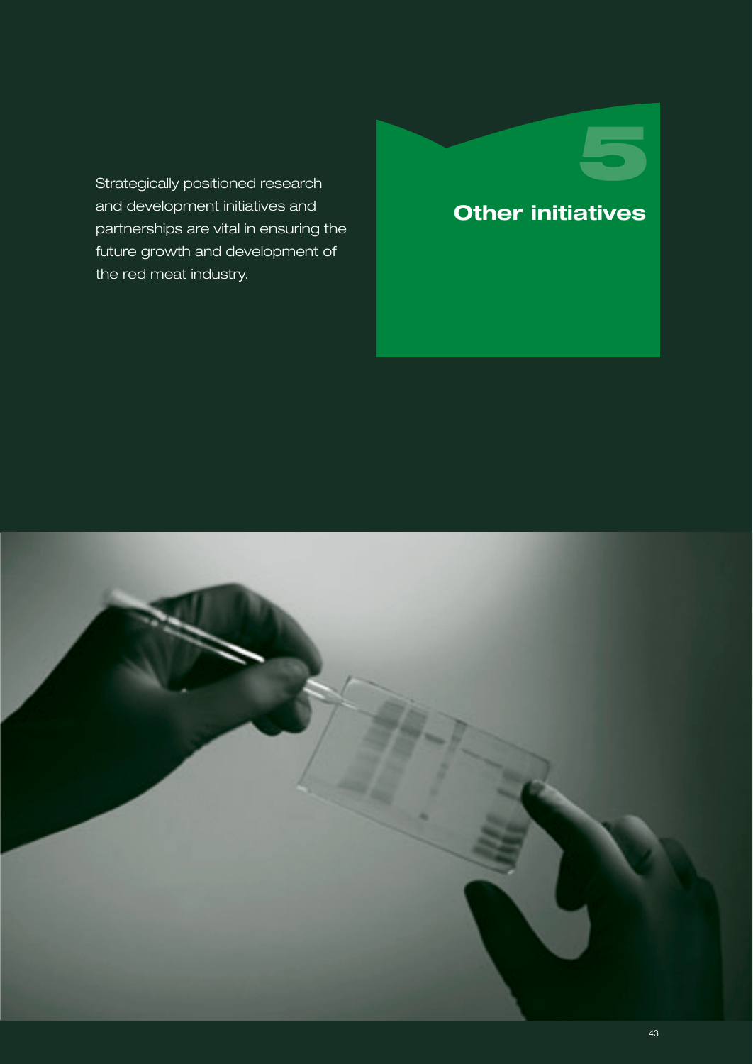Strategically positioned research and development initiatives and partnerships are vital in ensuring the future growth and development of the red meat industry.

## **Other initiatives**

**5**

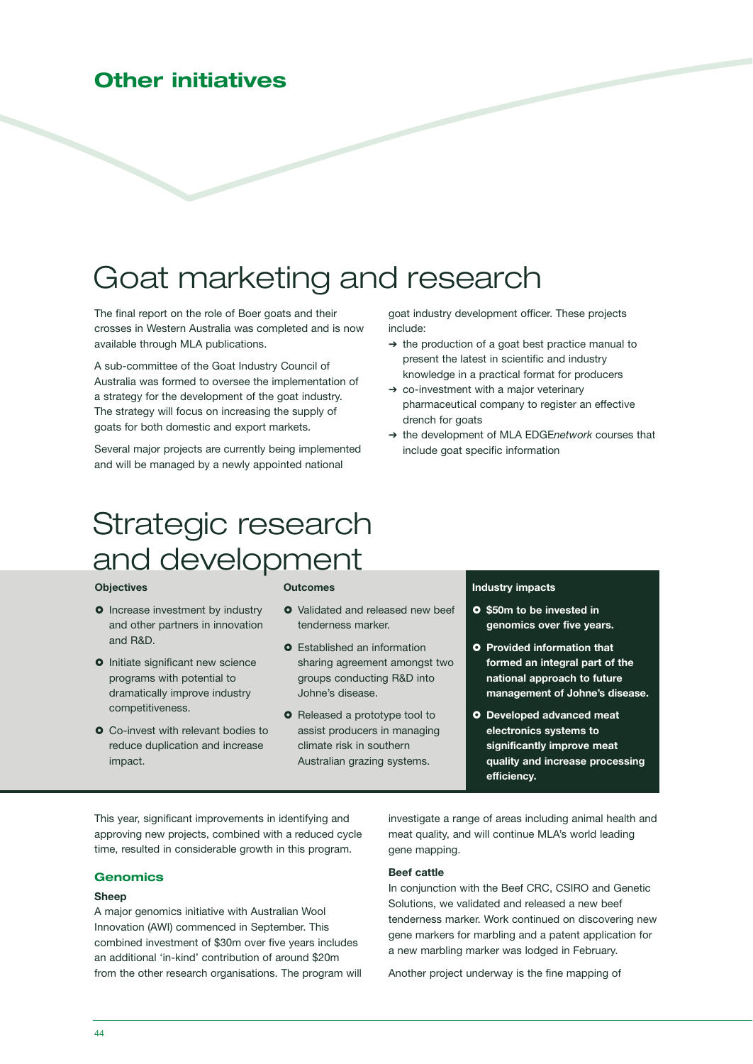### **Other initiatives**

# Goat marketing and research

The final report on the role of Boer goats and their crosses in Western Australia was completed and is now available through MLA publications.

A sub-committee of the Goat Industry Council of Australia was formed to oversee the implementation of a strategy for the development of the goat industry. The strategy will focus on increasing the supply of goats for both domestic and export markets.

Several major projects are currently being implemented and will be managed by a newly appointed national

goat industry development officer. These projects include:

- ➔ the production of a goat best practice manual to present the latest in scientific and industry knowledge in a practical format for producers
- ➔ co-investment with a major veterinary pharmaceutical company to register an effective drench for goats
- ➔ the development of MLA EDGE*network* courses that include goat specific information

# Strategic research and development

### **Objectives**

- **Outcomes**
- **O** Increase investment by industry and other partners in innovation and R&D.
- **O** Initiate significant new science programs with potential to dramatically improve industry competitiveness.
- **O** Co-invest with relevant bodies to reduce duplication and increase impact.

- **O** Validated and released new beef tenderness marker.
- **o** Established an information sharing agreement amongst two groups conducting R&D into Johne's disease.
- **O** Released a prototype tool to assist producers in managing climate risk in southern Australian grazing systems.

### **Industry impacts**

- **\$50m to be invested in genomics over five years.**
- **O** Provided information that **formed an integral part of the national approach to future management of Johne's disease.**
- **Developed advanced meat electronics systems to significantly improve meat quality and increase processing efficiency.**

This year, significant improvements in identifying and approving new projects, combined with a reduced cycle time, resulted in considerable growth in this program.

### **Genomics**

### **Sheep**

A major genomics initiative with Australian Wool Innovation (AWI) commenced in September. This combined investment of \$30m over five years includes an additional 'in-kind' contribution of around \$20m from the other research organisations. The program will investigate a range of areas including animal health and meat quality, and will continue MLA's world leading gene mapping.

### **Beef cattle**

In conjunction with the Beef CRC, CSIRO and Genetic Solutions, we validated and released a new beef tenderness marker. Work continued on discovering new gene markers for marbling and a patent application for a new marbling marker was lodged in February.

Another project underway is the fine mapping of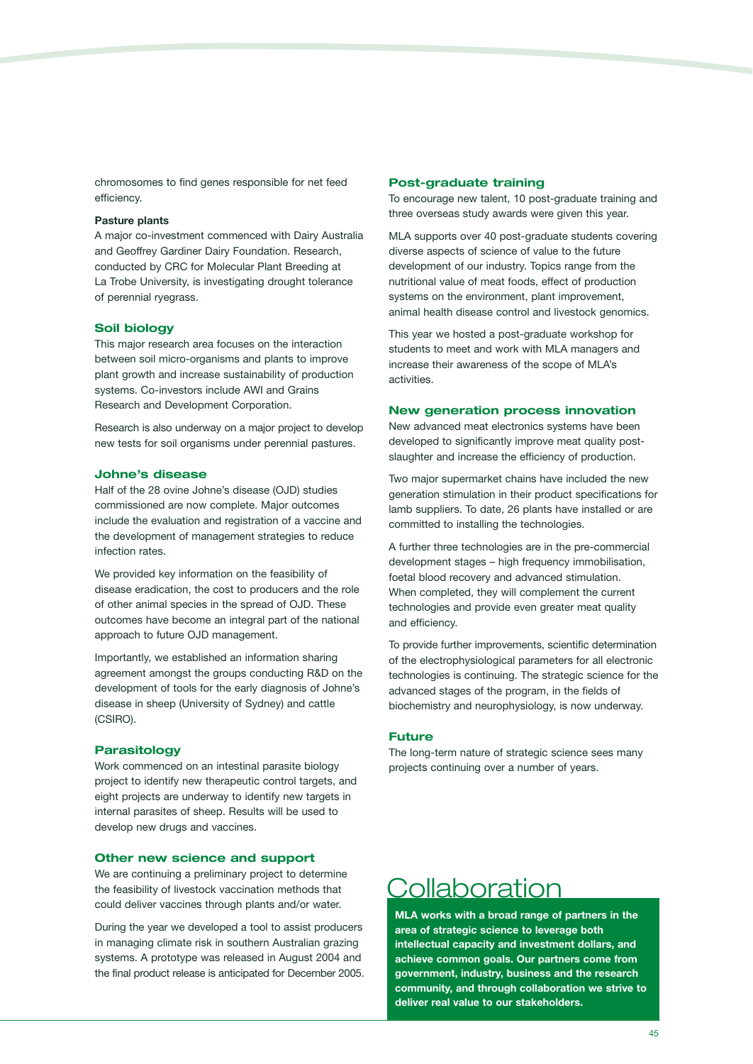chromosomes to find genes responsible for net feed efficiency.

#### **Pasture plants**

A major co-investment commenced with Dairy Australia and Geoffrey Gardiner Dairy Foundation. Research, conducted by CRC for Molecular Plant Breeding at La Trobe University, is investigating drought tolerance of perennial ryegrass.

### **Soil biology**

This major research area focuses on the interaction between soil micro-organisms and plants to improve plant growth and increase sustainability of production systems. Co-investors include AWI and Grains Research and Development Corporation.

Research is also underway on a major project to develop new tests for soil organisms under perennial pastures.

### **Johne's disease**

Half of the 28 ovine Johne's disease (OJD) studies commissioned are now complete. Major outcomes include the evaluation and registration of a vaccine and the development of management strategies to reduce infection rates.

We provided key information on the feasibility of disease eradication, the cost to producers and the role of other animal species in the spread of OJD. These outcomes have become an integral part of the national approach to future OJD management.

Importantly, we established an information sharing agreement amongst the groups conducting R&D on the development of tools for the early diagnosis of Johne's disease in sheep (University of Sydney) and cattle (CSIRO).

### **Parasitology**

Work commenced on an intestinal parasite biology project to identify new therapeutic control targets, and eight projects are underway to identify new targets in internal parasites of sheep. Results will be used to develop new drugs and vaccines.

### **Other new science and support**

We are continuing a preliminary project to determine the feasibility of livestock vaccination methods that could deliver vaccines through plants and/or water.

During the year we developed a tool to assist producers in managing climate risk in southern Australian grazing systems. A prototype was released in August 2004 and the final product release is anticipated for December 2005.

### **Post-graduate training**

To encourage new talent, 10 post-graduate training and three overseas study awards were given this year.

MLA supports over 40 post-graduate students covering diverse aspects of science of value to the future development of our industry. Topics range from the nutritional value of meat foods, effect of production systems on the environment, plant improvement, animal health disease control and livestock genomics.

This year we hosted a post-graduate workshop for students to meet and work with MLA managers and increase their awareness of the scope of MLA's activities.

### **New generation process innovation**

New advanced meat electronics systems have been developed to significantly improve meat quality postslaughter and increase the efficiency of production.

Two major supermarket chains have included the new generation stimulation in their product specifications for lamb suppliers. To date, 26 plants have installed or are committed to installing the technologies.

A further three technologies are in the pre-commercial development stages – high frequency immobilisation, foetal blood recovery and advanced stimulation. When completed, they will complement the current technologies and provide even greater meat quality and efficiency.

To provide further improvements, scientific determination of the electrophysiological parameters for all electronic technologies is continuing. The strategic science for the advanced stages of the program, in the fields of biochemistry and neurophysiology, is now underway.

### **Future**

The long-term nature of strategic science sees many projects continuing over a number of years.

## **Collaboration**

**MLA works with a broad range of partners in the area of strategic science to leverage both intellectual capacity and investment dollars, and achieve common goals. Our partners come from government, industry, business and the research community, and through collaboration we strive to deliver real value to our stakeholders.**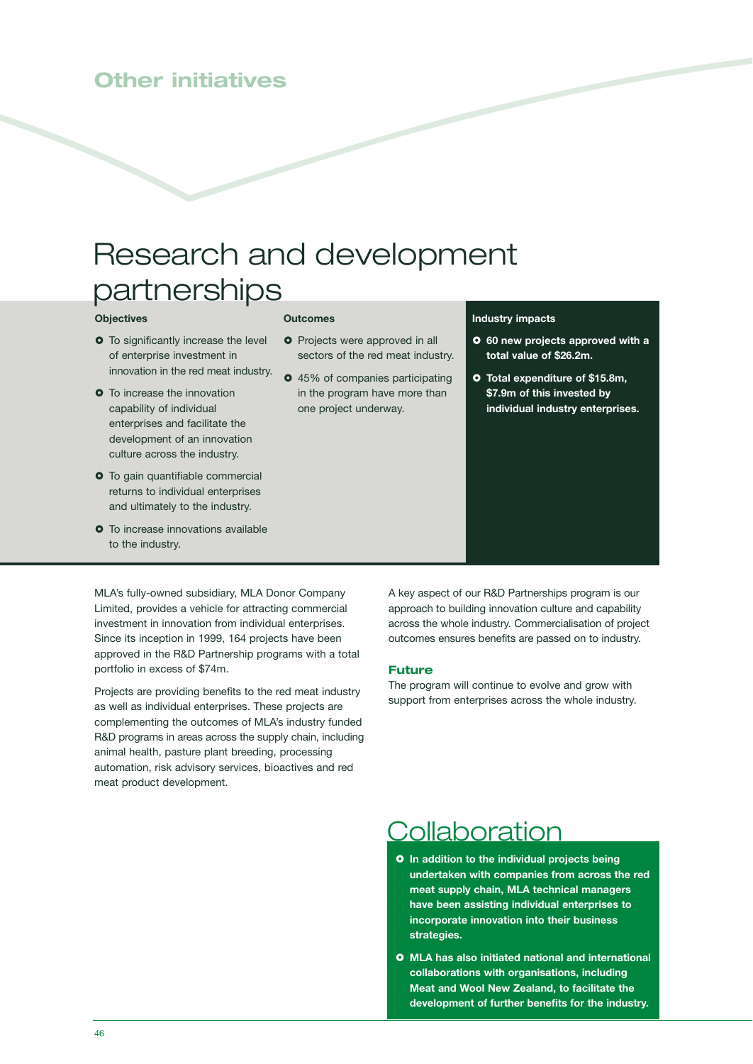### **Other initiatives**

# Research and development partnerships

### **Objectives**

- **O** To significantly increase the level of enterprise investment in innovation in the red meat industry.
- **O** To increase the innovation capability of individual enterprises and facilitate the development of an innovation culture across the industry.
- **O** To gain quantifiable commercial returns to individual enterprises and ultimately to the industry.
- **o** To increase innovations available to the industry.

### **Outcomes**

- **O** Projects were approved in all sectors of the red meat industry.
- $\bullet$  45% of companies participating in the program have more than one project underway.

### **Industry impacts**

- **60 new projects approved with a total value of \$26.2m.**
- **Total expenditure of \$15.8m, \$7.9m of this invested by individual industry enterprises.**

MLA's fully-owned subsidiary, MLA Donor Company Limited, provides a vehicle for attracting commercial investment in innovation from individual enterprises. Since its inception in 1999, 164 projects have been approved in the R&D Partnership programs with a total portfolio in excess of \$74m.

Projects are providing benefits to the red meat industry as well as individual enterprises. These projects are complementing the outcomes of MLA's industry funded R&D programs in areas across the supply chain, including animal health, pasture plant breeding, processing automation, risk advisory services, bioactives and red meat product development.

A key aspect of our R&D Partnerships program is our approach to building innovation culture and capability across the whole industry. Commercialisation of project outcomes ensures benefits are passed on to industry.

### **Future**

The program will continue to evolve and grow with support from enterprises across the whole industry.

## **Collaboration**

- **In addition to the individual projects being undertaken with companies from across the red meat supply chain, MLA technical managers have been assisting individual enterprises to incorporate innovation into their business strategies.**
- **MLA has also initiated national and international collaborations with organisations, including Meat and Wool New Zealand, to facilitate the development of further benefits for the industry.**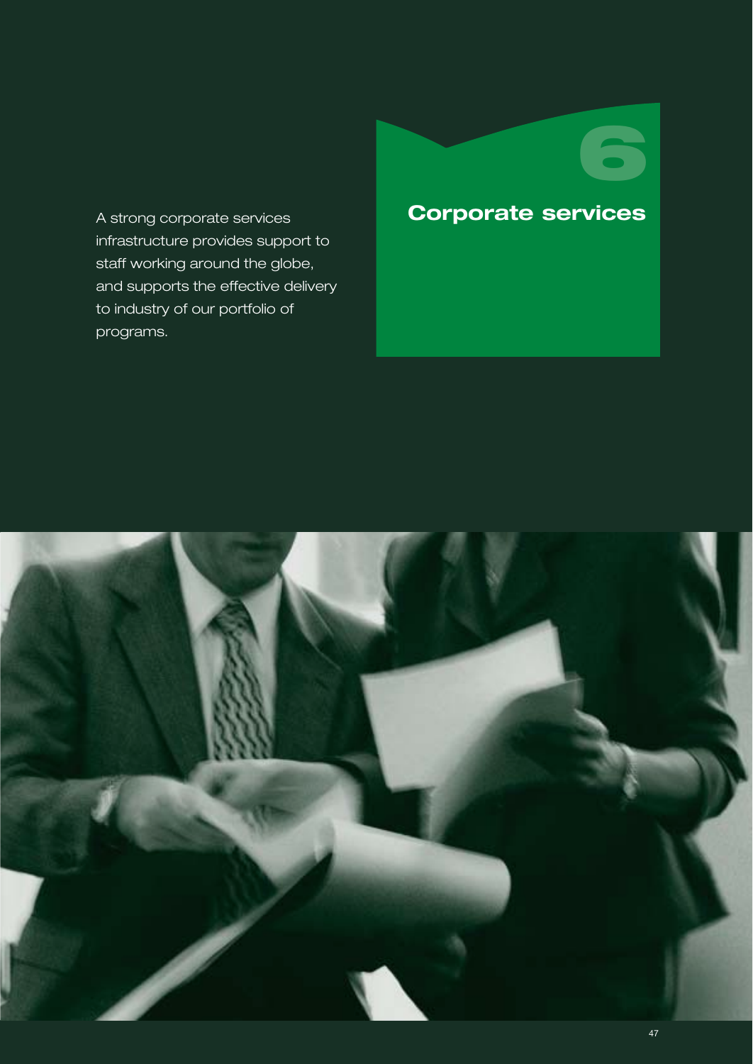A strong corporate services infrastructure provides support to staff working around the globe, and supports the effective delivery to industry of our portfolio of programs.

# **Corporate services**

**6**

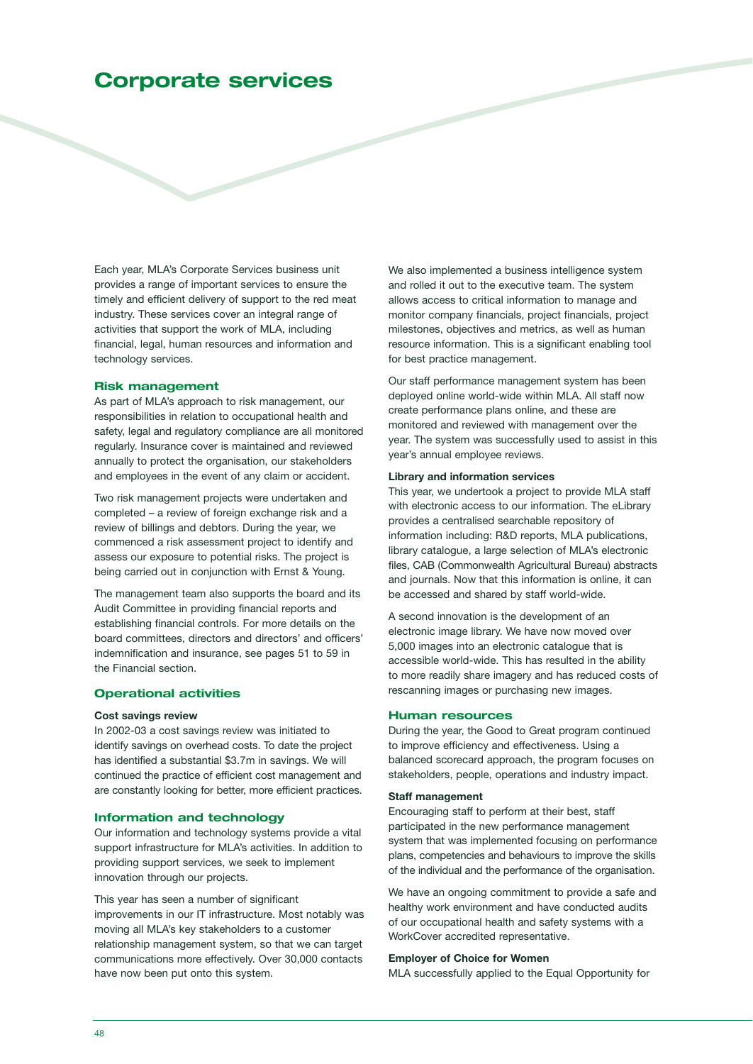### **Corporate services**

Each year, MLA's Corporate Services business unit provides a range of important services to ensure the timely and efficient delivery of support to the red meat industry. These services cover an integral range of activities that support the work of MLA, including financial, legal, human resources and information and technology services.

### **Risk management**

As part of MLA's approach to risk management, our responsibilities in relation to occupational health and safety, legal and regulatory compliance are all monitored regularly. Insurance cover is maintained and reviewed annually to protect the organisation, our stakeholders and employees in the event of any claim or accident.

Two risk management projects were undertaken and completed – a review of foreign exchange risk and a review of billings and debtors. During the year, we commenced a risk assessment project to identify and assess our exposure to potential risks. The project is being carried out in conjunction with Ernst & Young.

The management team also supports the board and its Audit Committee in providing financial reports and establishing financial controls. For more details on the board committees, directors and directors' and officers' indemnification and insurance, see pages 51 to 59 in the Financial section.

### **Operational activities**

### **Cost savings review**

In 2002-03 a cost savings review was initiated to identify savings on overhead costs. To date the project has identified a substantial \$3.7m in savings. We will continued the practice of efficient cost management and are constantly looking for better, more efficient practices.

### **Information and technology**

Our information and technology systems provide a vital support infrastructure for MLA's activities. In addition to providing support services, we seek to implement innovation through our projects.

This year has seen a number of significant improvements in our IT infrastructure. Most notably was moving all MLA's key stakeholders to a customer relationship management system, so that we can target communications more effectively. Over 30,000 contacts have now been put onto this system.

We also implemented a business intelligence system and rolled it out to the executive team. The system allows access to critical information to manage and monitor company financials, project financials, project milestones, objectives and metrics, as well as human resource information. This is a significant enabling tool for best practice management.

Our staff performance management system has been deployed online world-wide within MLA. All staff now create performance plans online, and these are monitored and reviewed with management over the year. The system was successfully used to assist in this year's annual employee reviews.

#### **Library and information services**

This year, we undertook a project to provide MLA staff with electronic access to our information. The eLibrary provides a centralised searchable repository of information including: R&D reports, MLA publications, library catalogue, a large selection of MLA's electronic files, CAB (Commonwealth Agricultural Bureau) abstracts and journals. Now that this information is online, it can be accessed and shared by staff world-wide.

A second innovation is the development of an electronic image library. We have now moved over 5,000 images into an electronic catalogue that is accessible world-wide. This has resulted in the ability to more readily share imagery and has reduced costs of rescanning images or purchasing new images.

### **Human resources**

During the year, the Good to Great program continued to improve efficiency and effectiveness. Using a balanced scorecard approach, the program focuses on stakeholders, people, operations and industry impact.

### **Staff management**

Encouraging staff to perform at their best, staff participated in the new performance management system that was implemented focusing on performance plans, competencies and behaviours to improve the skills of the individual and the performance of the organisation.

We have an ongoing commitment to provide a safe and healthy work environment and have conducted audits of our occupational health and safety systems with a WorkCover accredited representative.

### **Employer of Choice for Women**

MLA successfully applied to the Equal Opportunity for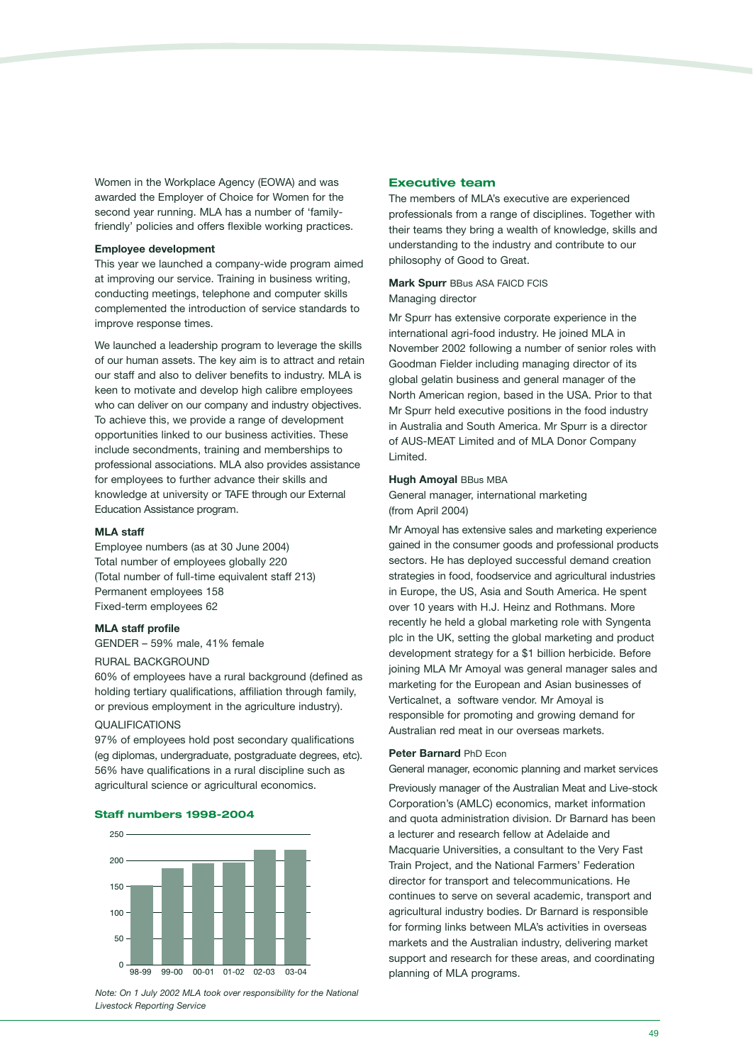Women in the Workplace Agency (EOWA) and was awarded the Employer of Choice for Women for the second year running. MLA has a number of 'familyfriendly' policies and offers flexible working practices.

#### **Employee development**

This year we launched a company-wide program aimed at improving our service. Training in business writing, conducting meetings, telephone and computer skills complemented the introduction of service standards to improve response times.

We launched a leadership program to leverage the skills of our human assets. The key aim is to attract and retain our staff and also to deliver benefits to industry. MLA is keen to motivate and develop high calibre employees who can deliver on our company and industry objectives. To achieve this, we provide a range of development opportunities linked to our business activities. These include secondments, training and memberships to professional associations. MLA also provides assistance for employees to further advance their skills and knowledge at university or TAFE through our External Education Assistance program.

### **MLA staff**

Employee numbers (as at 30 June 2004) Total number of employees globally 220 (Total number of full-time equivalent staff 213) Permanent employees 158 Fixed-term employees 62

### **MLA staff profile**

GENDER – 59% male, 41% female

### RURAL BACKGROUND

60% of employees have a rural background (defined as holding tertiary qualifications, affiliation through family, or previous employment in the agriculture industry).

### QUALIFICATIONS

97% of employees hold post secondary qualifications (eg diplomas, undergraduate, postgraduate degrees, etc). 56% have qualifications in a rural discipline such as agricultural science or agricultural economics.

### **Staff numbers 1998-2004**



*Note: On 1 July 2002 MLA took over responsibility for the National Livestock Reporting Service*

### **Executive team**

The members of MLA's executive are experienced professionals from a range of disciplines. Together with their teams they bring a wealth of knowledge, skills and understanding to the industry and contribute to our philosophy of Good to Great.

### **Mark Spurr** BBus ASA FAICD FCIS Managing director

Mr Spurr has extensive corporate experience in the international agri-food industry. He joined MLA in November 2002 following a number of senior roles with Goodman Fielder including managing director of its global gelatin business and general manager of the North American region, based in the USA. Prior to that Mr Spurr held executive positions in the food industry in Australia and South America. Mr Spurr is a director of AUS-MEAT Limited and of MLA Donor Company Limited.

### **Hugh Amoyal BBus MBA**

General manager, international marketing (from April 2004)

Mr Amoyal has extensive sales and marketing experience gained in the consumer goods and professional products sectors. He has deployed successful demand creation strategies in food, foodservice and agricultural industries in Europe, the US, Asia and South America. He spent over 10 years with H.J. Heinz and Rothmans. More recently he held a global marketing role with Syngenta plc in the UK, setting the global marketing and product development strategy for a \$1 billion herbicide. Before joining MLA Mr Amoyal was general manager sales and marketing for the European and Asian businesses of Verticalnet, a software vendor. Mr Amoyal is responsible for promoting and growing demand for Australian red meat in our overseas markets.

#### **Peter Barnard** PhD Econ

General manager, economic planning and market services Previously manager of the Australian Meat and Live-stock Corporation's (AMLC) economics, market information and quota administration division. Dr Barnard has been a lecturer and research fellow at Adelaide and Macquarie Universities, a consultant to the Very Fast Train Project, and the National Farmers' Federation director for transport and telecommunications. He continues to serve on several academic, transport and agricultural industry bodies. Dr Barnard is responsible for forming links between MLA's activities in overseas markets and the Australian industry, delivering market support and research for these areas, and coordinating planning of MLA programs.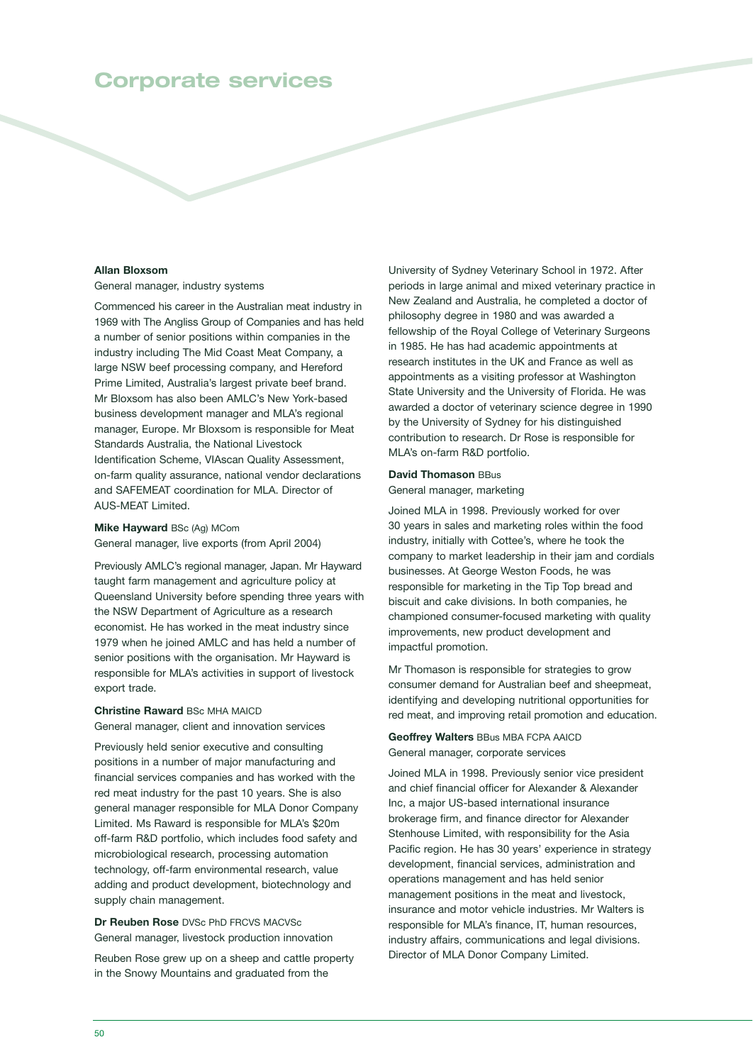### **Corporate services**

### **Allan Bloxsom**

General manager, industry systems

Commenced his career in the Australian meat industry in 1969 with The Angliss Group of Companies and has held a number of senior positions within companies in the industry including The Mid Coast Meat Company, a large NSW beef processing company, and Hereford Prime Limited, Australia's largest private beef brand. Mr Bloxsom has also been AMLC's New York-based business development manager and MLA's regional manager, Europe. Mr Bloxsom is responsible for Meat Standards Australia, the National Livestock Identification Scheme, VIAscan Quality Assessment, on-farm quality assurance, national vendor declarations and SAFEMEAT coordination for MLA. Director of AUS-MEAT Limited.

**Mike Hayward** BSc (Ag) MCom General manager, live exports (from April 2004)

Previously AMLC's regional manager, Japan. Mr Hayward taught farm management and agriculture policy at Queensland University before spending three years with the NSW Department of Agriculture as a research economist. He has worked in the meat industry since 1979 when he joined AMLC and has held a number of senior positions with the organisation. Mr Hayward is responsible for MLA's activities in support of livestock export trade.

### **Christine Raward** BSc MHA MAICD

General manager, client and innovation services

Previously held senior executive and consulting positions in a number of major manufacturing and financial services companies and has worked with the red meat industry for the past 10 years. She is also general manager responsible for MLA Donor Company Limited. Ms Raward is responsible for MLA's \$20m off-farm R&D portfolio, which includes food safety and microbiological research, processing automation technology, off-farm environmental research, value adding and product development, biotechnology and supply chain management.

**Dr Reuben Rose** DVSc PhD FRCVS MACVSc General manager, livestock production innovation

Reuben Rose grew up on a sheep and cattle property in the Snowy Mountains and graduated from the

University of Sydney Veterinary School in 1972. After periods in large animal and mixed veterinary practice in New Zealand and Australia, he completed a doctor of philosophy degree in 1980 and was awarded a fellowship of the Royal College of Veterinary Surgeons in 1985. He has had academic appointments at research institutes in the UK and France as well as appointments as a visiting professor at Washington State University and the University of Florida. He was awarded a doctor of veterinary science degree in 1990 by the University of Sydney for his distinguished contribution to research. Dr Rose is responsible for MLA's on-farm R&D portfolio.

#### **David Thomason** BBus

### General manager, marketing

Joined MLA in 1998. Previously worked for over 30 years in sales and marketing roles within the food industry, initially with Cottee's, where he took the company to market leadership in their jam and cordials businesses. At George Weston Foods, he was responsible for marketing in the Tip Top bread and biscuit and cake divisions. In both companies, he championed consumer-focused marketing with quality improvements, new product development and impactful promotion.

Mr Thomason is responsible for strategies to grow consumer demand for Australian beef and sheepmeat, identifying and developing nutritional opportunities for red meat, and improving retail promotion and education.

**Geoffrey Walters** BBus MBA FCPA AAICD General manager, corporate services

Joined MLA in 1998. Previously senior vice president and chief financial officer for Alexander & Alexander Inc, a major US-based international insurance brokerage firm, and finance director for Alexander Stenhouse Limited, with responsibility for the Asia Pacific region. He has 30 years' experience in strategy development, financial services, administration and operations management and has held senior management positions in the meat and livestock, insurance and motor vehicle industries. Mr Walters is responsible for MLA's finance, IT, human resources, industry affairs, communications and legal divisions. Director of MLA Donor Company Limited.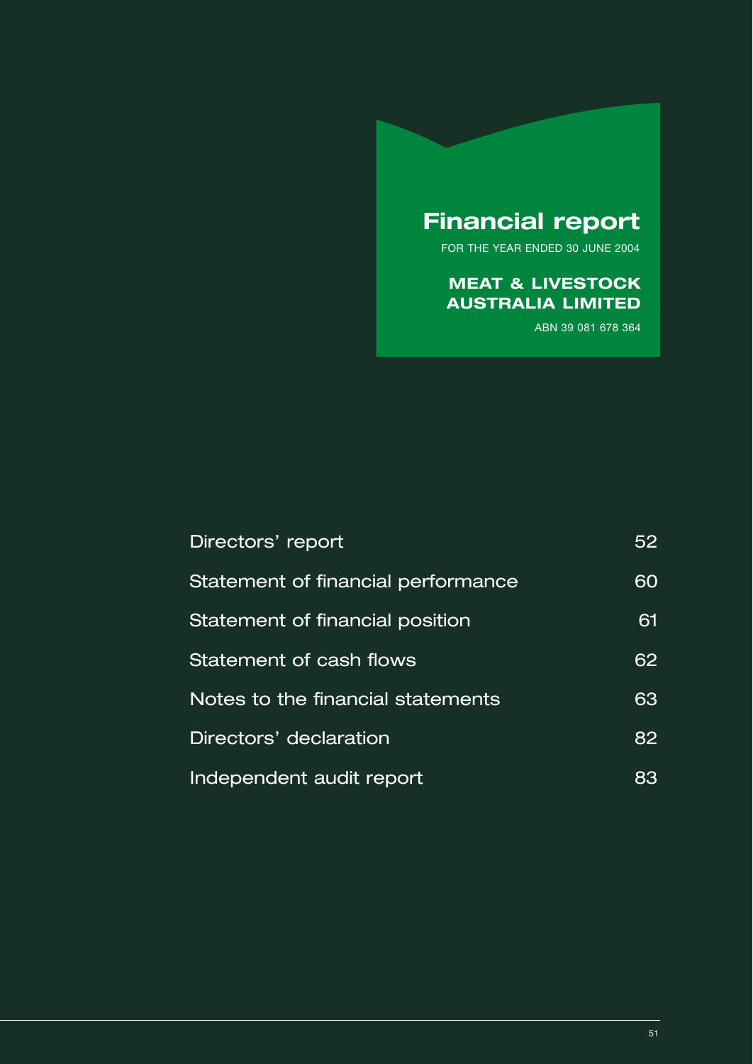## **Financial report**

FOR THE YEAR ENDED 30 JUNE 2004

### **MEAT & LIVESTOCK AUSTRALIA LIMITED**

ABN 39 081 678 364

| Directors' report                  | 52 |
|------------------------------------|----|
| Statement of financial performance | 60 |
| Statement of financial position    | 61 |
| Statement of cash flows            | 62 |
| Notes to the financial statements  | 63 |
| Directors' declaration             | 82 |
| Independent audit report           | 83 |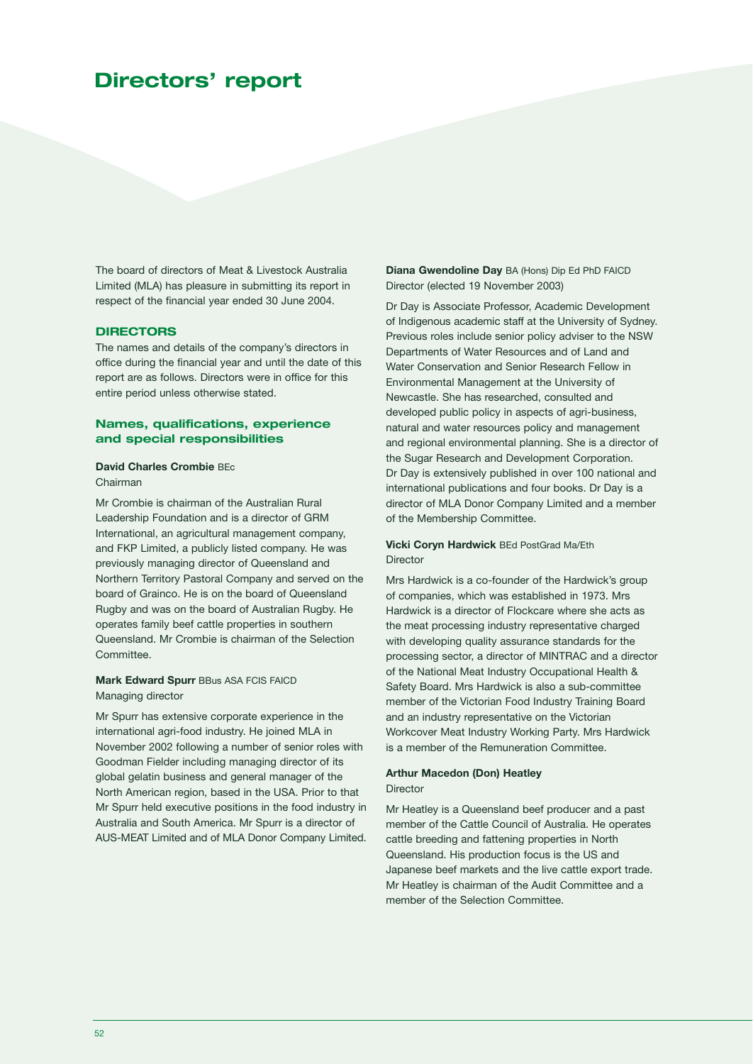### **Directors' report**

The board of directors of Meat & Livestock Australia Limited (MLA) has pleasure in submitting its report in respect of the financial year ended 30 June 2004.

### **DIRECTORS**

The names and details of the company's directors in office during the financial year and until the date of this report are as follows. Directors were in office for this entire period unless otherwise stated.

### **Names, qualifications, experience and special responsibilities**

#### **David Charles Crombie** BEc Chairman

Mr Crombie is chairman of the Australian Rural Leadership Foundation and is a director of GRM International, an agricultural management company, and FKP Limited, a publicly listed company. He was previously managing director of Queensland and Northern Territory Pastoral Company and served on the board of Grainco. He is on the board of Queensland Rugby and was on the board of Australian Rugby. He operates family beef cattle properties in southern Queensland. Mr Crombie is chairman of the Selection Committee.

### **Mark Edward Spurr** BBus ASA FCIS FAICD Managing director

Mr Spurr has extensive corporate experience in the international agri-food industry. He joined MLA in November 2002 following a number of senior roles with Goodman Fielder including managing director of its global gelatin business and general manager of the North American region, based in the USA. Prior to that Mr Spurr held executive positions in the food industry in Australia and South America. Mr Spurr is a director of AUS-MEAT Limited and of MLA Donor Company Limited. **Diana Gwendoline Day** BA (Hons) Dip Ed PhD FAICD Director (elected 19 November 2003)

Dr Day is Associate Professor, Academic Development of Indigenous academic staff at the University of Sydney. Previous roles include senior policy adviser to the NSW Departments of Water Resources and of Land and Water Conservation and Senior Research Fellow in Environmental Management at the University of Newcastle. She has researched, consulted and developed public policy in aspects of agri-business, natural and water resources policy and management and regional environmental planning. She is a director of the Sugar Research and Development Corporation. Dr Day is extensively published in over 100 national and international publications and four books. Dr Day is a director of MLA Donor Company Limited and a member of the Membership Committee.

### **Vicki Coryn Hardwick** BEd PostGrad Ma/Eth Director

Mrs Hardwick is a co-founder of the Hardwick's group of companies, which was established in 1973. Mrs Hardwick is a director of Flockcare where she acts as the meat processing industry representative charged with developing quality assurance standards for the processing sector, a director of MINTRAC and a director of the National Meat Industry Occupational Health & Safety Board. Mrs Hardwick is also a sub-committee member of the Victorian Food Industry Training Board and an industry representative on the Victorian Workcover Meat Industry Working Party. Mrs Hardwick is a member of the Remuneration Committee.

### **Arthur Macedon (Don) Heatley Director**

Mr Heatley is a Queensland beef producer and a past member of the Cattle Council of Australia. He operates cattle breeding and fattening properties in North Queensland. His production focus is the US and Japanese beef markets and the live cattle export trade. Mr Heatley is chairman of the Audit Committee and a member of the Selection Committee.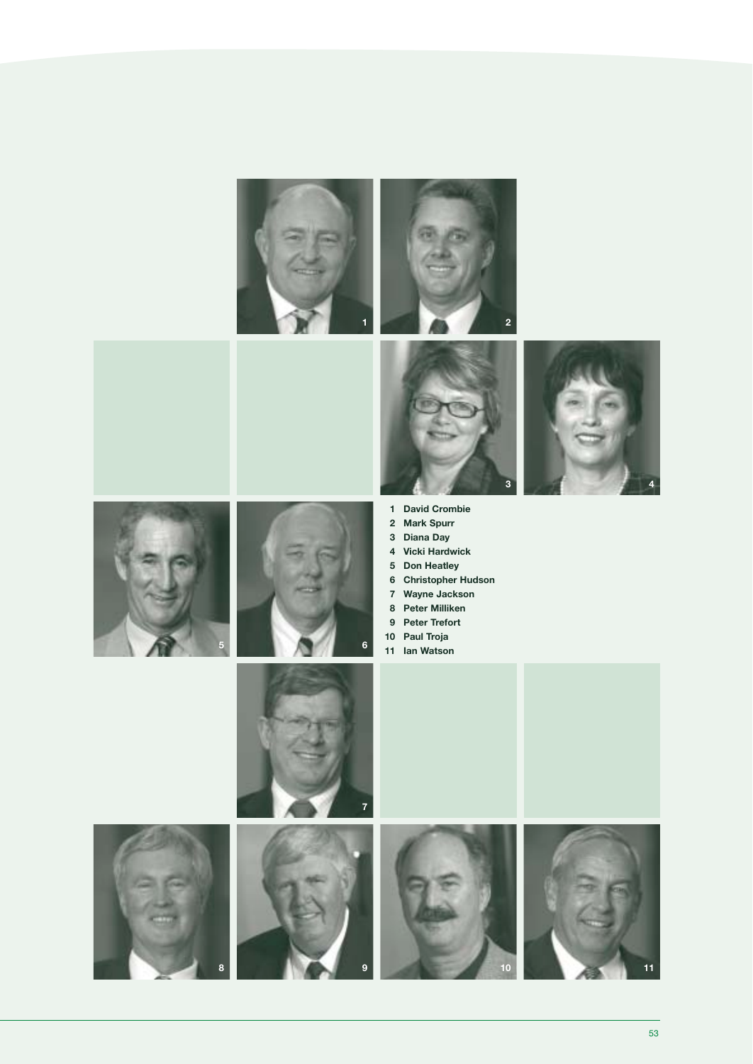









**9**

- **David Crombie**
- **Mark Spurr**
- **Diana Day**
- **4 Vicki Hardwick**
- **Don Heatley**
- **Christopher Hudson 7 Wayne Jackson**
- **Peter Milliken**
- **Peter Trefort**
- **10 Paul Troja**
- **11 Ian Watson**





**11**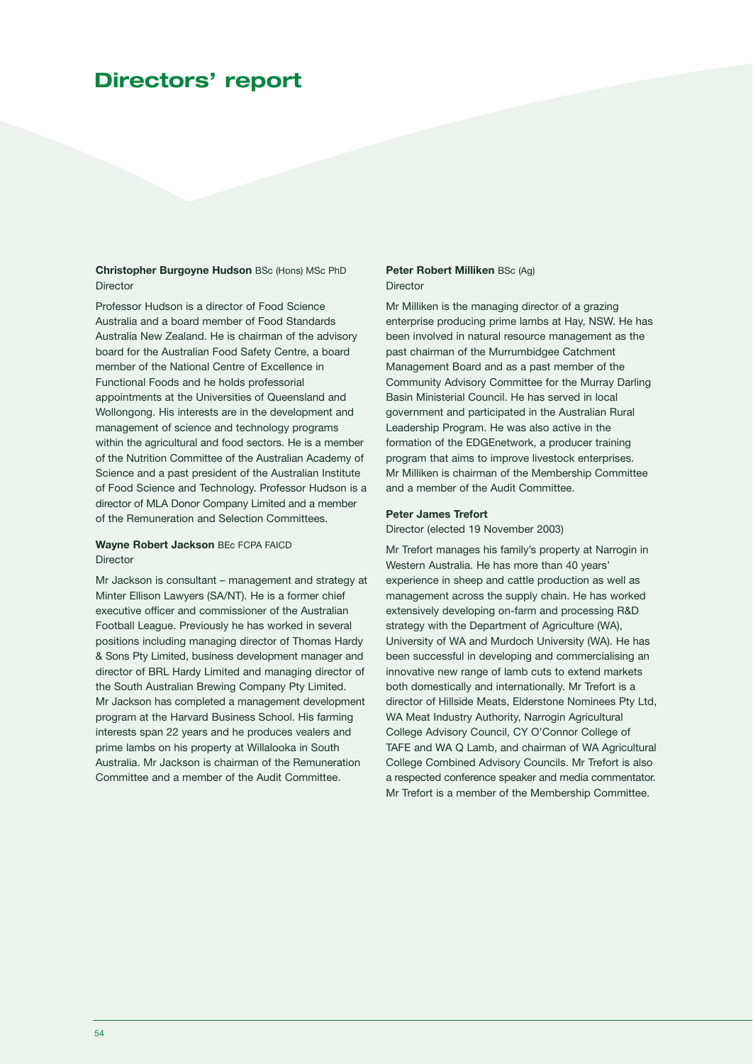### **Directors' report**

**Christopher Burgoyne Hudson** BSc (Hons) MSc PhD Director

Professor Hudson is a director of Food Science Australia and a board member of Food Standards Australia New Zealand. He is chairman of the advisory board for the Australian Food Safety Centre, a board member of the National Centre of Excellence in Functional Foods and he holds professorial appointments at the Universities of Queensland and Wollongong. His interests are in the development and management of science and technology programs within the agricultural and food sectors. He is a member of the Nutrition Committee of the Australian Academy of Science and a past president of the Australian Institute of Food Science and Technology. Professor Hudson is a director of MLA Donor Company Limited and a member of the Remuneration and Selection Committees.

**Wayne Robert Jackson** BEc FCPA FAICD Director

Mr Jackson is consultant – management and strategy at Minter Ellison Lawyers (SA/NT). He is a former chief executive officer and commissioner of the Australian Football League. Previously he has worked in several positions including managing director of Thomas Hardy & Sons Pty Limited, business development manager and director of BRL Hardy Limited and managing director of the South Australian Brewing Company Pty Limited. Mr Jackson has completed a management development program at the Harvard Business School. His farming interests span 22 years and he produces vealers and prime lambs on his property at Willalooka in South Australia. Mr Jackson is chairman of the Remuneration Committee and a member of the Audit Committee.

### **Peter Robert Milliken** BSc (Ag) **Director**

Mr Milliken is the managing director of a grazing enterprise producing prime lambs at Hay, NSW. He has been involved in natural resource management as the past chairman of the Murrumbidgee Catchment Management Board and as a past member of the Community Advisory Committee for the Murray Darling Basin Ministerial Council. He has served in local government and participated in the Australian Rural Leadership Program. He was also active in the formation of the EDGEnetwork, a producer training program that aims to improve livestock enterprises. Mr Milliken is chairman of the Membership Committee and a member of the Audit Committee.

### **Peter James Trefort**

Director (elected 19 November 2003)

Mr Trefort manages his family's property at Narrogin in Western Australia. He has more than 40 years' experience in sheep and cattle production as well as management across the supply chain. He has worked extensively developing on-farm and processing R&D strategy with the Department of Agriculture (WA), University of WA and Murdoch University (WA). He has been successful in developing and commercialising an innovative new range of lamb cuts to extend markets both domestically and internationally. Mr Trefort is a director of Hillside Meats, Elderstone Nominees Pty Ltd, WA Meat Industry Authority, Narrogin Agricultural College Advisory Council, CY O'Connor College of TAFE and WA Q Lamb, and chairman of WA Agricultural College Combined Advisory Councils. Mr Trefort is also a respected conference speaker and media commentator. Mr Trefort is a member of the Membership Committee.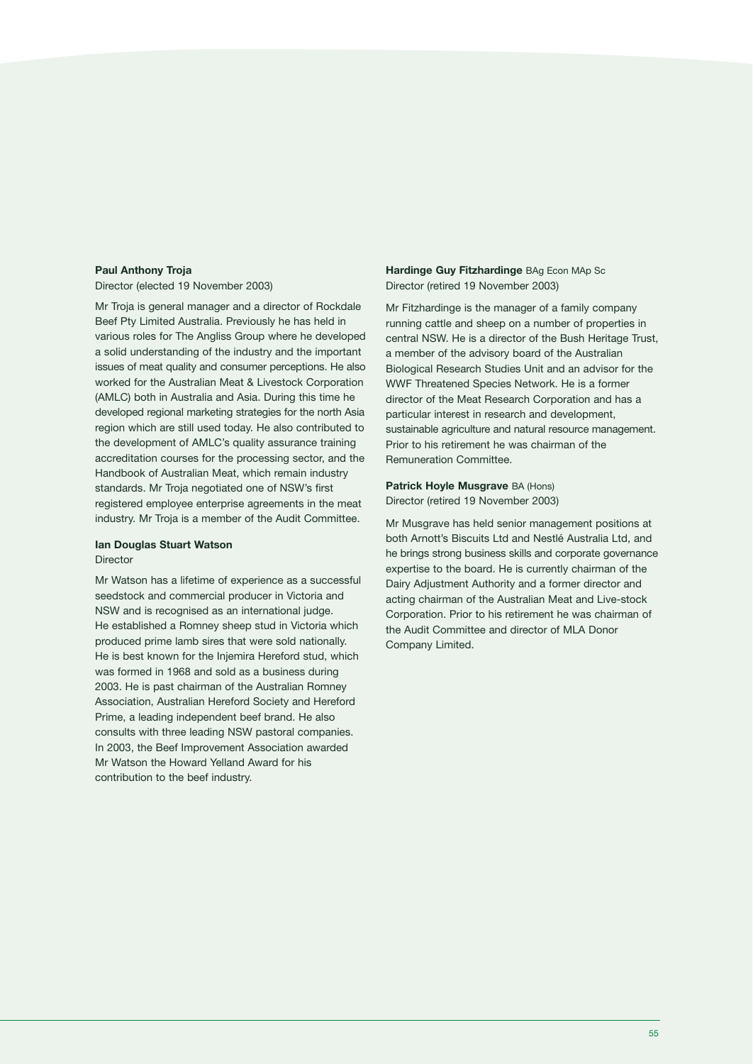### **Paul Anthony Troja**

Director (elected 19 November 2003)

Mr Troja is general manager and a director of Rockdale Beef Pty Limited Australia. Previously he has held in various roles for The Angliss Group where he developed a solid understanding of the industry and the important issues of meat quality and consumer perceptions. He also worked for the Australian Meat & Livestock Corporation (AMLC) both in Australia and Asia. During this time he developed regional marketing strategies for the north Asia region which are still used today. He also contributed to the development of AMLC's quality assurance training accreditation courses for the processing sector, and the Handbook of Australian Meat, which remain industry standards. Mr Troja negotiated one of NSW's first registered employee enterprise agreements in the meat industry. Mr Troja is a member of the Audit Committee.

### **Ian Douglas Stuart Watson** Director

Mr Watson has a lifetime of experience as a successful seedstock and commercial producer in Victoria and NSW and is recognised as an international judge. He established a Romney sheep stud in Victoria which produced prime lamb sires that were sold nationally. He is best known for the Injemira Hereford stud, which was formed in 1968 and sold as a business during 2003. He is past chairman of the Australian Romney Association, Australian Hereford Society and Hereford Prime, a leading independent beef brand. He also consults with three leading NSW pastoral companies. In 2003, the Beef Improvement Association awarded Mr Watson the Howard Yelland Award for his contribution to the beef industry.

### **Hardinge Guy Fitzhardinge** BAg Econ MAp Sc Director (retired 19 November 2003)

Mr Fitzhardinge is the manager of a family company running cattle and sheep on a number of properties in central NSW. He is a director of the Bush Heritage Trust, a member of the advisory board of the Australian Biological Research Studies Unit and an advisor for the WWF Threatened Species Network. He is a former director of the Meat Research Corporation and has a particular interest in research and development, sustainable agriculture and natural resource management. Prior to his retirement he was chairman of the Remuneration Committee.

### **Patrick Hoyle Musgrave** BA (Hons) Director (retired 19 November 2003)

Mr Musgrave has held senior management positions at both Arnott's Biscuits Ltd and Nestlé Australia Ltd, and he brings strong business skills and corporate governance expertise to the board. He is currently chairman of the Dairy Adjustment Authority and a former director and acting chairman of the Australian Meat and Live-stock Corporation. Prior to his retirement he was chairman of the Audit Committee and director of MLA Donor Company Limited.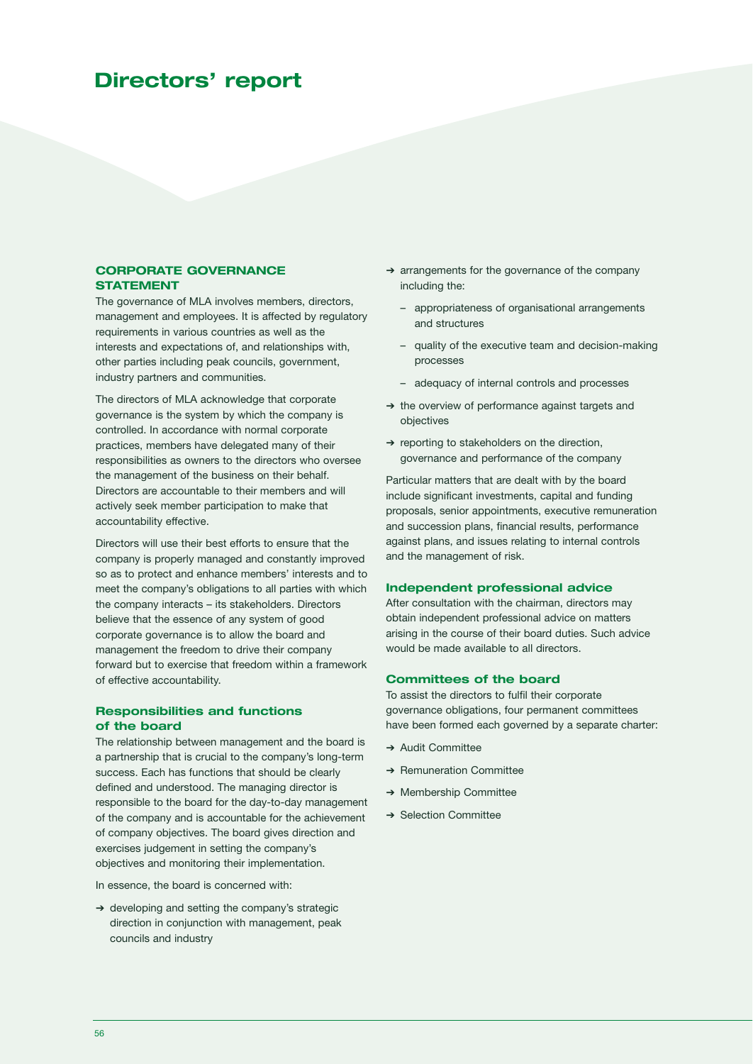### **Directors' report**

### **CORPORATE GOVERNANCE STATEMENT**

The governance of MLA involves members, directors, management and employees. It is affected by regulatory requirements in various countries as well as the interests and expectations of, and relationships with, other parties including peak councils, government, industry partners and communities.

The directors of MLA acknowledge that corporate governance is the system by which the company is controlled. In accordance with normal corporate practices, members have delegated many of their responsibilities as owners to the directors who oversee the management of the business on their behalf. Directors are accountable to their members and will actively seek member participation to make that accountability effective.

Directors will use their best efforts to ensure that the company is properly managed and constantly improved so as to protect and enhance members' interests and to meet the company's obligations to all parties with which the company interacts – its stakeholders. Directors believe that the essence of any system of good corporate governance is to allow the board and management the freedom to drive their company forward but to exercise that freedom within a framework of effective accountability.

### **Responsibilities and functions of the board**

The relationship between management and the board is a partnership that is crucial to the company's long-term success. Each has functions that should be clearly defined and understood. The managing director is responsible to the board for the day-to-day management of the company and is accountable for the achievement of company objectives. The board gives direction and exercises judgement in setting the company's objectives and monitoring their implementation.

In essence, the board is concerned with:

➔ developing and setting the company's strategic direction in conjunction with management, peak councils and industry

- ➔ arrangements for the governance of the company including the:
	- appropriateness of organisational arrangements and structures
	- quality of the executive team and decision-making processes
	- adequacy of internal controls and processes
- ➔ the overview of performance against targets and objectives
- ➔ reporting to stakeholders on the direction, governance and performance of the company

Particular matters that are dealt with by the board include significant investments, capital and funding proposals, senior appointments, executive remuneration and succession plans, financial results, performance against plans, and issues relating to internal controls and the management of risk.

### **Independent professional advice**

After consultation with the chairman, directors may obtain independent professional advice on matters arising in the course of their board duties. Such advice would be made available to all directors.

### **Committees of the board**

To assist the directors to fulfil their corporate governance obligations, four permanent committees have been formed each governed by a separate charter:

- **→ Audit Committee**
- ➔ Remuneration Committee
- ➔ Membership Committee
- **→ Selection Committee**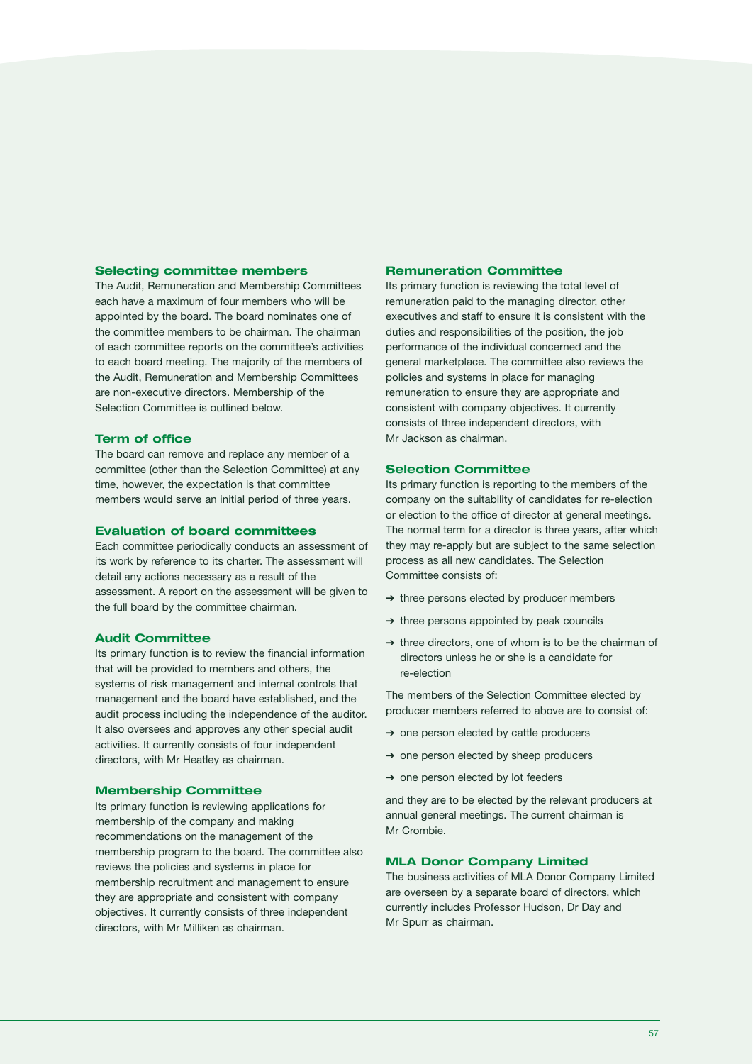### **Selecting committee members**

The Audit, Remuneration and Membership Committees each have a maximum of four members who will be appointed by the board. The board nominates one of the committee members to be chairman. The chairman of each committee reports on the committee's activities to each board meeting. The majority of the members of the Audit, Remuneration and Membership Committees are non-executive directors. Membership of the Selection Committee is outlined below.

### **Term of office**

The board can remove and replace any member of a committee (other than the Selection Committee) at any time, however, the expectation is that committee members would serve an initial period of three years.

### **Evaluation of board committees**

Each committee periodically conducts an assessment of its work by reference to its charter. The assessment will detail any actions necessary as a result of the assessment. A report on the assessment will be given to the full board by the committee chairman.

### **Audit Committee**

Its primary function is to review the financial information that will be provided to members and others, the systems of risk management and internal controls that management and the board have established, and the audit process including the independence of the auditor. It also oversees and approves any other special audit activities. It currently consists of four independent directors, with Mr Heatley as chairman.

### **Membership Committee**

Its primary function is reviewing applications for membership of the company and making recommendations on the management of the membership program to the board. The committee also reviews the policies and systems in place for membership recruitment and management to ensure they are appropriate and consistent with company objectives. It currently consists of three independent directors, with Mr Milliken as chairman.

### **Remuneration Committee**

Its primary function is reviewing the total level of remuneration paid to the managing director, other executives and staff to ensure it is consistent with the duties and responsibilities of the position, the job performance of the individual concerned and the general marketplace. The committee also reviews the policies and systems in place for managing remuneration to ensure they are appropriate and consistent with company objectives. It currently consists of three independent directors, with Mr Jackson as chairman.

### **Selection Committee**

Its primary function is reporting to the members of the company on the suitability of candidates for re-election or election to the office of director at general meetings. The normal term for a director is three years, after which they may re-apply but are subject to the same selection process as all new candidates. The Selection Committee consists of:

- ➔ three persons elected by producer members
- ➔ three persons appointed by peak councils
- ➔ three directors, one of whom is to be the chairman of directors unless he or she is a candidate for re-election

The members of the Selection Committee elected by producer members referred to above are to consist of:

- ➔ one person elected by cattle producers
- ➔ one person elected by sheep producers
- ➔ one person elected by lot feeders

and they are to be elected by the relevant producers at annual general meetings. The current chairman is Mr Crombie.

### **MLA Donor Company Limited**

The business activities of MLA Donor Company Limited are overseen by a separate board of directors, which currently includes Professor Hudson, Dr Day and Mr Spurr as chairman.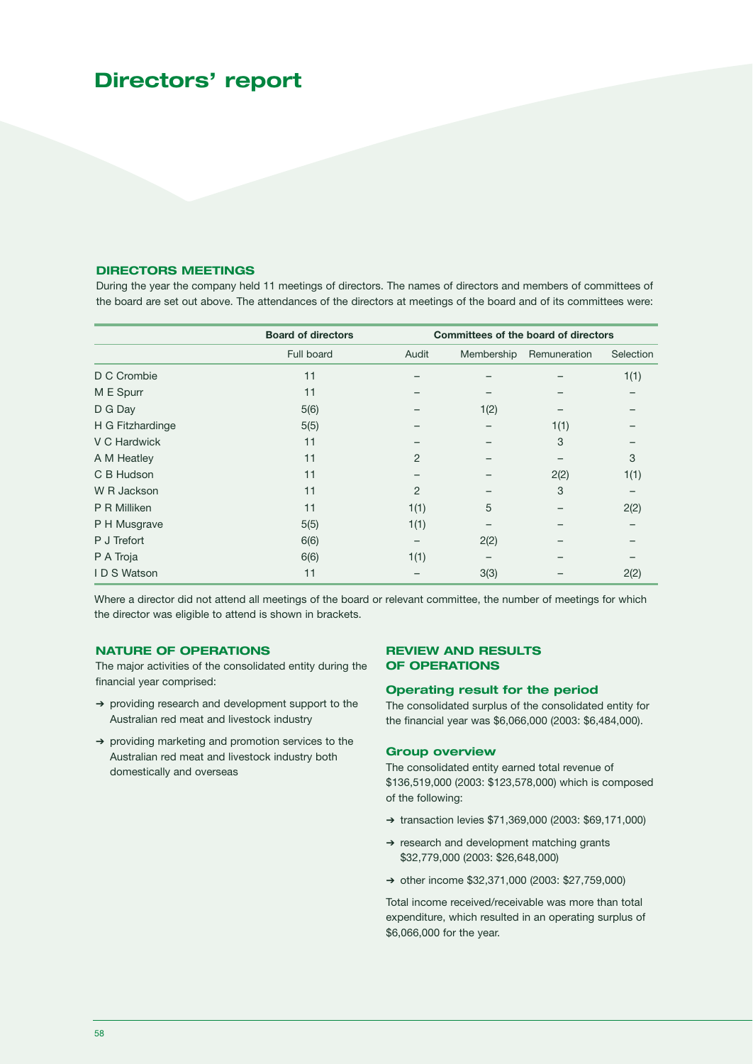### **Directors' report**

### **DIRECTORS MEETINGS**

During the year the company held 11 meetings of directors. The names of directors and members of committees of the board are set out above. The attendances of the directors at meetings of the board and of its committees were:

|                  | <b>Board of directors</b> | <b>Committees of the board of directors</b> |            |              |           |
|------------------|---------------------------|---------------------------------------------|------------|--------------|-----------|
|                  | Full board                | Audit                                       | Membership | Remuneration | Selection |
| D C Crombie      | 11                        |                                             |            |              | 1(1)      |
| M E Spurr        | 11                        |                                             |            |              |           |
| D G Day          | 5(6)                      |                                             | 1(2)       |              |           |
| H G Fitzhardinge | 5(5)                      |                                             |            | 1(1)         |           |
| V C Hardwick     | 11                        |                                             |            | 3            |           |
| A M Heatley      | 11                        | 2                                           |            |              | 3         |
| C B Hudson       | 11                        |                                             |            | 2(2)         | 1(1)      |
| W R Jackson      | 11                        | 2                                           |            | 3            |           |
| P R Milliken     | 11                        | 1(1)                                        | 5          |              | 2(2)      |
| P H Musgrave     | 5(5)                      | 1(1)                                        |            |              |           |
| P J Trefort      | 6(6)                      |                                             | 2(2)       |              |           |
| P A Troja        | 6(6)                      | 1(1)                                        |            |              |           |
| IDS Watson       | 11                        |                                             | 3(3)       |              | 2(2)      |

Where a director did not attend all meetings of the board or relevant committee, the number of meetings for which the director was eligible to attend is shown in brackets.

### **NATURE OF OPERATIONS**

The major activities of the consolidated entity during the financial year comprised:

- ➔ providing research and development support to the Australian red meat and livestock industry
- ➔ providing marketing and promotion services to the Australian red meat and livestock industry both domestically and overseas

### **REVIEW AND RESULTS OF OPERATIONS**

### **Operating result for the period**

The consolidated surplus of the consolidated entity for the financial year was \$6,066,000 (2003: \$6,484,000).

### **Group overview**

The consolidated entity earned total revenue of \$136,519,000 (2003: \$123,578,000) which is composed of the following:

- ➔ transaction levies \$71,369,000 (2003: \$69,171,000)
- ➔ research and development matching grants \$32,779,000 (2003: \$26,648,000)
- ➔ other income \$32,371,000 (2003: \$27,759,000)

Total income received/receivable was more than total expenditure, which resulted in an operating surplus of \$6,066,000 for the year.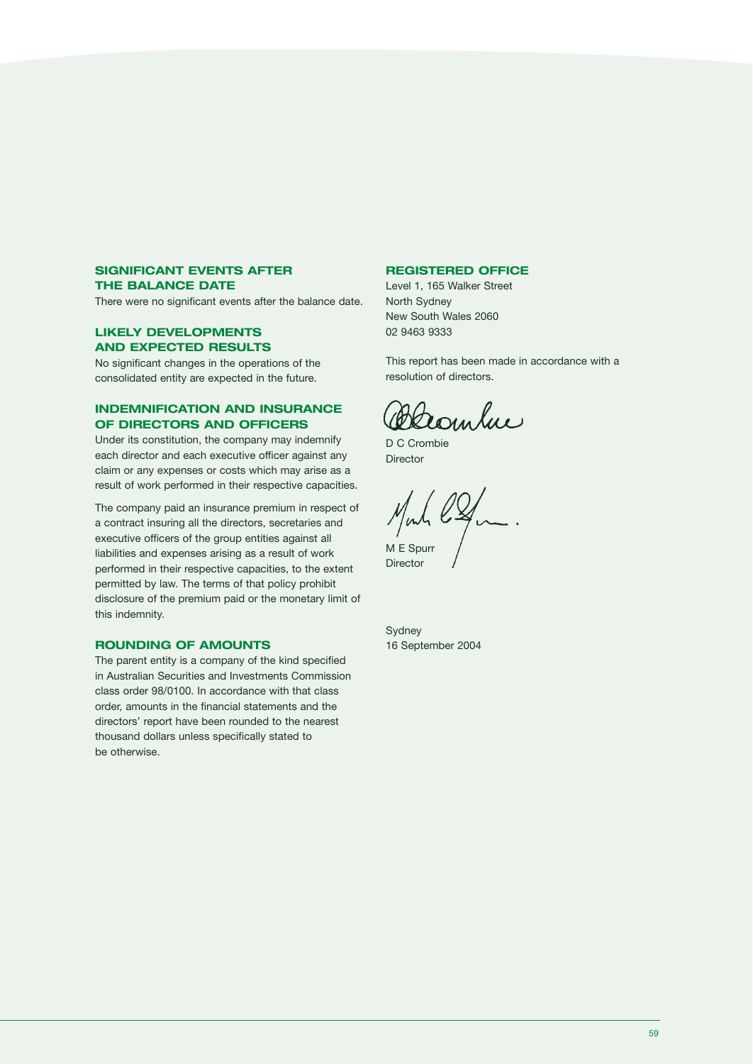### **SIGNIFICANT EVENTS AFTER THE BALANCE DATE**

There were no significant events after the balance date.

### **LIKELY DEVELOPMENTS AND EXPECTED RESULTS**

No significant changes in the operations of the consolidated entity are expected in the future.

### **INDEMNIFICATION AND INSURANCE OF DIRECTORS AND OFFICERS**

Under its constitution, the company may indemnify each director and each executive officer against any claim or any expenses or costs which may arise as a result of work performed in their respective capacities.

The company paid an insurance premium in respect of a contract insuring all the directors, secretaries and executive officers of the group entities against all liabilities and expenses arising as a result of work performed in their respective capacities, to the extent permitted by law. The terms of that policy prohibit disclosure of the premium paid or the monetary limit of this indemnity.

### **ROUNDING OF AMOUNTS**

The parent entity is a company of the kind specified in Australian Securities and Investments Commission class order 98/0100. In accordance with that class order, amounts in the financial statements and the directors' report have been rounded to the nearest thousand dollars unless specifically stated to be otherwise.

### **REGISTERED OFFICE**

Level 1, 165 Walker Street North Sydney New South Wales 2060 02 9463 9333

This report has been made in accordance with a resolution of directors.

Deanhue

D C Crombie Director

M E Spurr

Director

Sydney 16 September 2004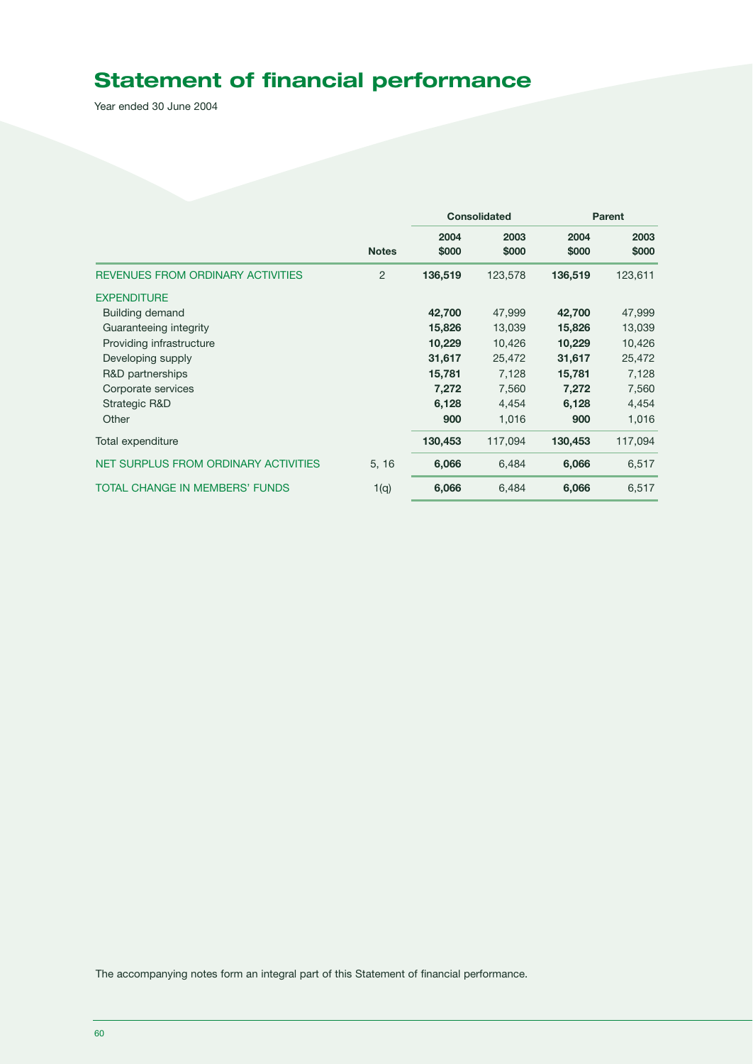## **Statement of financial performance**

Year ended 30 June 2004

|                                          |              |               | <b>Consolidated</b> |               | <b>Parent</b> |
|------------------------------------------|--------------|---------------|---------------------|---------------|---------------|
|                                          | <b>Notes</b> | 2004<br>\$000 | 2003<br>\$000       | 2004<br>\$000 | 2003<br>\$000 |
| <b>REVENUES FROM ORDINARY ACTIVITIES</b> | 2            | 136,519       | 123,578             | 136,519       | 123,611       |
| <b>EXPENDITURE</b>                       |              |               |                     |               |               |
| Building demand                          |              | 42,700        | 47,999              | 42,700        | 47,999        |
| Guaranteeing integrity                   |              | 15,826        | 13,039              | 15,826        | 13,039        |
| Providing infrastructure                 |              | 10,229        | 10,426              | 10,229        | 10,426        |
| Developing supply                        |              | 31,617        | 25,472              | 31,617        | 25,472        |
| R&D partnerships                         |              | 15,781        | 7,128               | 15,781        | 7,128         |
| Corporate services                       |              | 7,272         | 7,560               | 7,272         | 7,560         |
| Strategic R&D                            |              | 6,128         | 4,454               | 6,128         | 4,454         |
| Other                                    |              | 900           | 1,016               | 900           | 1,016         |
| Total expenditure                        |              | 130,453       | 117,094             | 130,453       | 117,094       |
| NET SURPLUS FROM ORDINARY ACTIVITIES     | 5, 16        | 6,066         | 6,484               | 6,066         | 6,517         |
| TOTAL CHANGE IN MEMBERS' FUNDS           | 1(q)         | 6,066         | 6,484               | 6,066         | 6,517         |

The accompanying notes form an integral part of this Statement of financial performance.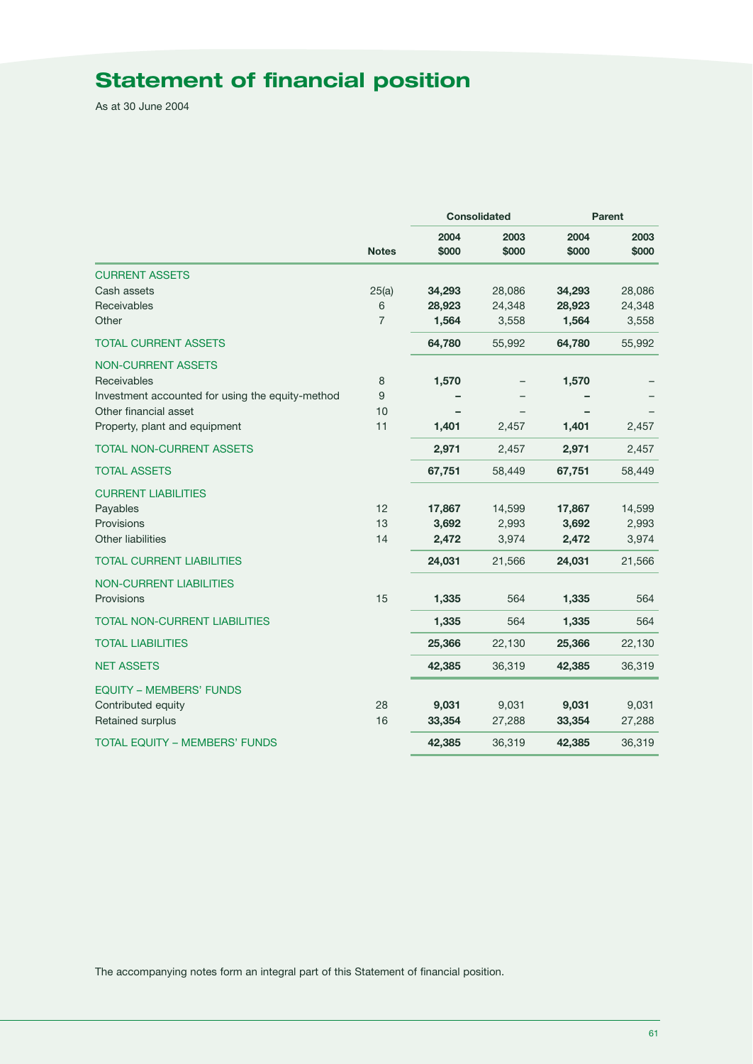## **Statement of financial position**

As at 30 June 2004

|                                                  | <b>Notes</b>   |               | <b>Consolidated</b> |               | <b>Parent</b> |
|--------------------------------------------------|----------------|---------------|---------------------|---------------|---------------|
|                                                  |                | 2004<br>\$000 | 2003<br>\$000       | 2004<br>\$000 | 2003<br>\$000 |
| <b>CURRENT ASSETS</b>                            |                |               |                     |               |               |
| Cash assets                                      | 25(a)          | 34,293        | 28,086              | 34,293        | 28,086        |
| Receivables                                      | 6              | 28,923        | 24,348              | 28,923        | 24,348        |
| Other                                            | $\overline{7}$ | 1,564         | 3,558               | 1,564         | 3,558         |
| <b>TOTAL CURRENT ASSETS</b>                      |                | 64,780        | 55,992              | 64,780        | 55,992        |
| <b>NON-CURRENT ASSETS</b>                        |                |               |                     |               |               |
| Receivables                                      | 8              | 1,570         |                     | 1,570         |               |
| Investment accounted for using the equity-method | 9              |               |                     |               |               |
| Other financial asset                            | 10             |               |                     |               |               |
| Property, plant and equipment                    | 11             | 1,401         | 2,457               | 1,401         | 2,457         |
| <b>TOTAL NON-CURRENT ASSETS</b>                  |                | 2,971         | 2,457               | 2,971         | 2,457         |
| <b>TOTAL ASSETS</b>                              |                | 67,751        | 58,449              | 67,751        | 58,449        |
| <b>CURRENT LIABILITIES</b>                       |                |               |                     |               |               |
| Payables                                         | 12             | 17,867        | 14,599              | 17,867        | 14,599        |
| Provisions                                       | 13             | 3,692         | 2,993               | 3,692         | 2,993         |
| Other liabilities                                | 14             | 2,472         | 3,974               | 2,472         | 3,974         |
| <b>TOTAL CURRENT LIABILITIES</b>                 |                | 24,031        | 21,566              | 24,031        | 21,566        |
| <b>NON-CURRENT LIABILITIES</b>                   |                |               |                     |               |               |
| Provisions                                       | 15             | 1,335         | 564                 | 1,335         | 564           |
| <b>TOTAL NON-CURRENT LIABILITIES</b>             |                | 1,335         | 564                 | 1,335         | 564           |
| <b>TOTAL LIABILITIES</b>                         |                | 25,366        | 22,130              | 25,366        | 22,130        |
| <b>NET ASSETS</b>                                |                | 42,385        | 36,319              | 42,385        | 36,319        |
| <b>EQUITY - MEMBERS' FUNDS</b>                   |                |               |                     |               |               |
| Contributed equity                               | 28             | 9,031         | 9,031               | 9,031         | 9,031         |
| Retained surplus                                 | 16             | 33,354        | 27,288              | 33,354        | 27,288        |
| <b>TOTAL EQUITY - MEMBERS' FUNDS</b>             |                | 42,385        | 36,319              | 42,385        | 36,319        |

The accompanying notes form an integral part of this Statement of financial position.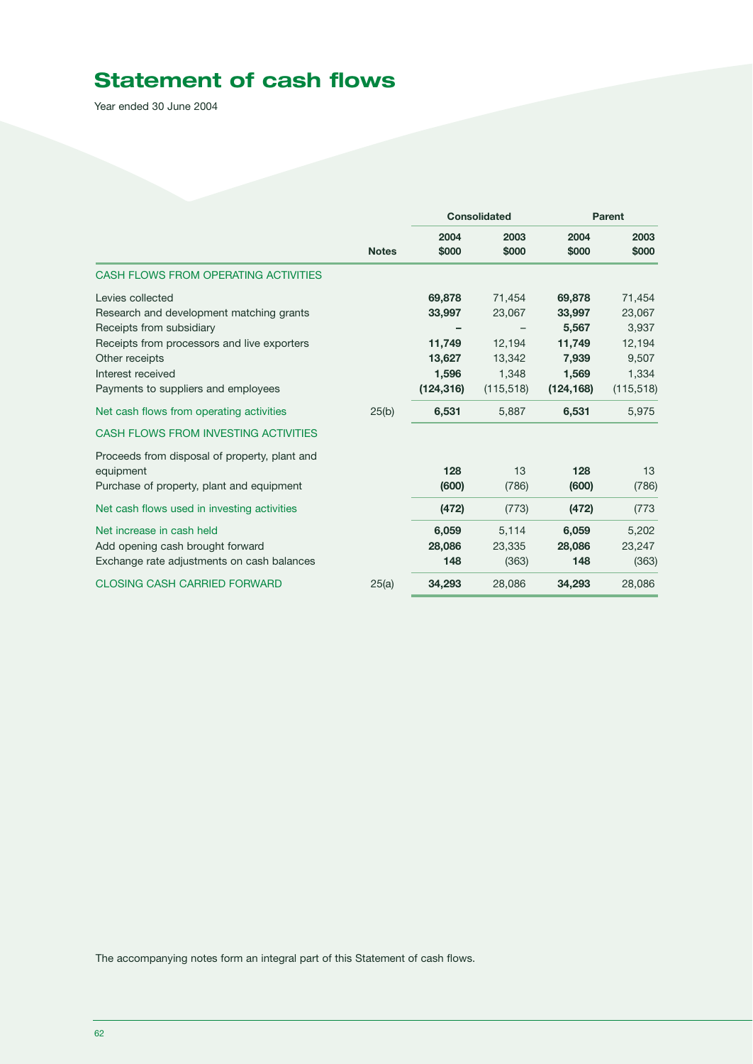## **Statement of cash flows**

Year ended 30 June 2004

|                                                                                                                                                                                                                       |              |                                                             | <b>Consolidated</b>                                         |                                                                     | <b>Parent</b>                                                       |
|-----------------------------------------------------------------------------------------------------------------------------------------------------------------------------------------------------------------------|--------------|-------------------------------------------------------------|-------------------------------------------------------------|---------------------------------------------------------------------|---------------------------------------------------------------------|
|                                                                                                                                                                                                                       | <b>Notes</b> | 2004<br>\$000                                               | 2003<br>\$000                                               | 2004<br>\$000                                                       | 2003<br>\$000                                                       |
| CASH FLOWS FROM OPERATING ACTIVITIES                                                                                                                                                                                  |              |                                                             |                                                             |                                                                     |                                                                     |
| Levies collected<br>Research and development matching grants<br>Receipts from subsidiary<br>Receipts from processors and live exporters<br>Other receipts<br>Interest received<br>Payments to suppliers and employees |              | 69,878<br>33,997<br>11,749<br>13,627<br>1,596<br>(124, 316) | 71,454<br>23,067<br>12.194<br>13,342<br>1,348<br>(115, 518) | 69,878<br>33,997<br>5,567<br>11,749<br>7,939<br>1,569<br>(124, 168) | 71,454<br>23,067<br>3,937<br>12,194<br>9,507<br>1,334<br>(115, 518) |
| Net cash flows from operating activities                                                                                                                                                                              | 25(b)        | 6,531                                                       | 5,887                                                       | 6,531                                                               | 5,975                                                               |
| CASH FLOWS FROM INVESTING ACTIVITIES                                                                                                                                                                                  |              |                                                             |                                                             |                                                                     |                                                                     |
| Proceeds from disposal of property, plant and<br>equipment<br>Purchase of property, plant and equipment                                                                                                               |              | 128<br>(600)                                                | 13<br>(786)                                                 | 128<br>(600)                                                        | 13<br>(786)                                                         |
| Net cash flows used in investing activities                                                                                                                                                                           |              | (472)                                                       | (773)                                                       | (472)                                                               | (773)                                                               |
| Net increase in cash held<br>Add opening cash brought forward<br>Exchange rate adjustments on cash balances                                                                                                           |              | 6,059<br>28,086<br>148                                      | 5,114<br>23,335<br>(363)                                    | 6,059<br>28,086<br>148                                              | 5,202<br>23,247<br>(363)                                            |
| <b>CLOSING CASH CARRIED FORWARD</b>                                                                                                                                                                                   | 25(a)        | 34,293                                                      | 28,086                                                      | 34,293                                                              | 28,086                                                              |

The accompanying notes form an integral part of this Statement of cash flows.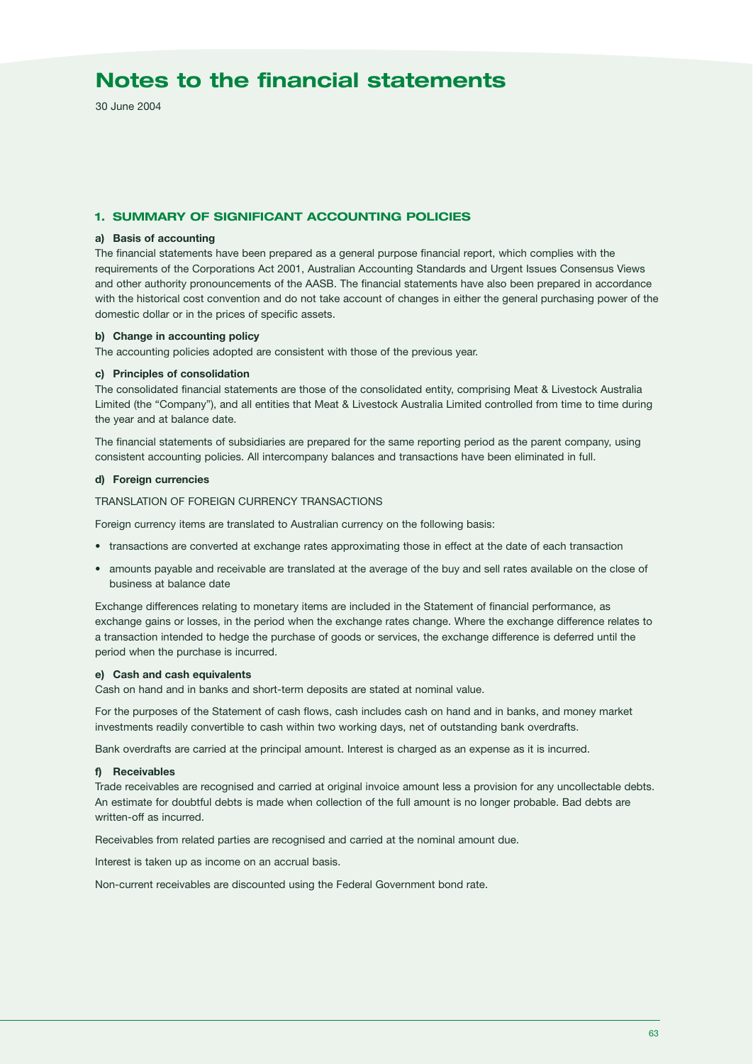30 June 2004

### **1. SUMMARY OF SIGNIFICANT ACCOUNTING POLICIES**

### **a) Basis of accounting**

The financial statements have been prepared as a general purpose financial report, which complies with the requirements of the Corporations Act 2001, Australian Accounting Standards and Urgent Issues Consensus Views and other authority pronouncements of the AASB. The financial statements have also been prepared in accordance with the historical cost convention and do not take account of changes in either the general purchasing power of the domestic dollar or in the prices of specific assets.

### **b) Change in accounting policy**

The accounting policies adopted are consistent with those of the previous year.

### **c) Principles of consolidation**

The consolidated financial statements are those of the consolidated entity, comprising Meat & Livestock Australia Limited (the "Company"), and all entities that Meat & Livestock Australia Limited controlled from time to time during the year and at balance date.

The financial statements of subsidiaries are prepared for the same reporting period as the parent company, using consistent accounting policies. All intercompany balances and transactions have been eliminated in full.

### **d) Foreign currencies**

### TRANSLATION OF FOREIGN CURRENCY TRANSACTIONS

Foreign currency items are translated to Australian currency on the following basis:

- transactions are converted at exchange rates approximating those in effect at the date of each transaction
- amounts payable and receivable are translated at the average of the buy and sell rates available on the close of business at balance date

Exchange differences relating to monetary items are included in the Statement of financial performance, as exchange gains or losses, in the period when the exchange rates change. Where the exchange difference relates to a transaction intended to hedge the purchase of goods or services, the exchange difference is deferred until the period when the purchase is incurred.

### **e) Cash and cash equivalents**

Cash on hand and in banks and short-term deposits are stated at nominal value.

For the purposes of the Statement of cash flows, cash includes cash on hand and in banks, and money market investments readily convertible to cash within two working days, net of outstanding bank overdrafts.

Bank overdrafts are carried at the principal amount. Interest is charged as an expense as it is incurred.

### **f) Receivables**

Trade receivables are recognised and carried at original invoice amount less a provision for any uncollectable debts. An estimate for doubtful debts is made when collection of the full amount is no longer probable. Bad debts are written-off as incurred.

Receivables from related parties are recognised and carried at the nominal amount due.

Interest is taken up as income on an accrual basis.

Non-current receivables are discounted using the Federal Government bond rate.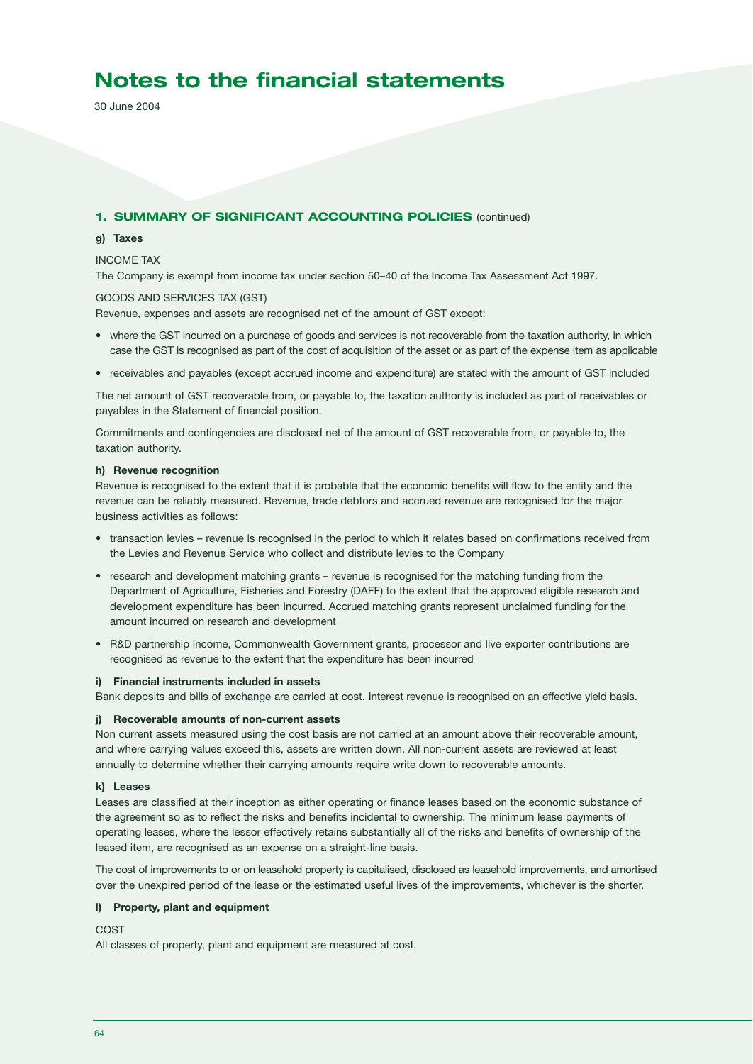30 June 2004

### **1. SUMMARY OF SIGNIFICANT ACCOUNTING POLICIES** (continued)

### **g) Taxes**

### INCOME TAX

The Company is exempt from income tax under section 50–40 of the Income Tax Assessment Act 1997.

### GOODS AND SERVICES TAX (GST)

Revenue, expenses and assets are recognised net of the amount of GST except:

- where the GST incurred on a purchase of goods and services is not recoverable from the taxation authority, in which case the GST is recognised as part of the cost of acquisition of the asset or as part of the expense item as applicable
- receivables and payables (except accrued income and expenditure) are stated with the amount of GST included

The net amount of GST recoverable from, or payable to, the taxation authority is included as part of receivables or payables in the Statement of financial position.

Commitments and contingencies are disclosed net of the amount of GST recoverable from, or payable to, the taxation authority.

### **h) Revenue recognition**

Revenue is recognised to the extent that it is probable that the economic benefits will flow to the entity and the revenue can be reliably measured. Revenue, trade debtors and accrued revenue are recognised for the major business activities as follows:

- transaction levies revenue is recognised in the period to which it relates based on confirmations received from the Levies and Revenue Service who collect and distribute levies to the Company
- research and development matching grants revenue is recognised for the matching funding from the Department of Agriculture, Fisheries and Forestry (DAFF) to the extent that the approved eligible research and development expenditure has been incurred. Accrued matching grants represent unclaimed funding for the amount incurred on research and development
- R&D partnership income, Commonwealth Government grants, processor and live exporter contributions are recognised as revenue to the extent that the expenditure has been incurred

### **i) Financial instruments included in assets**

Bank deposits and bills of exchange are carried at cost. Interest revenue is recognised on an effective yield basis.

### **j) Recoverable amounts of non-current assets**

Non current assets measured using the cost basis are not carried at an amount above their recoverable amount, and where carrying values exceed this, assets are written down. All non-current assets are reviewed at least annually to determine whether their carrying amounts require write down to recoverable amounts.

### **k) Leases**

Leases are classified at their inception as either operating or finance leases based on the economic substance of the agreement so as to reflect the risks and benefits incidental to ownership. The minimum lease payments of operating leases, where the lessor effectively retains substantially all of the risks and benefits of ownership of the leased item, are recognised as an expense on a straight-line basis.

The cost of improvements to or on leasehold property is capitalised, disclosed as leasehold improvements, and amortised over the unexpired period of the lease or the estimated useful lives of the improvements, whichever is the shorter.

### **l) Property, plant and equipment**

### COST

All classes of property, plant and equipment are measured at cost.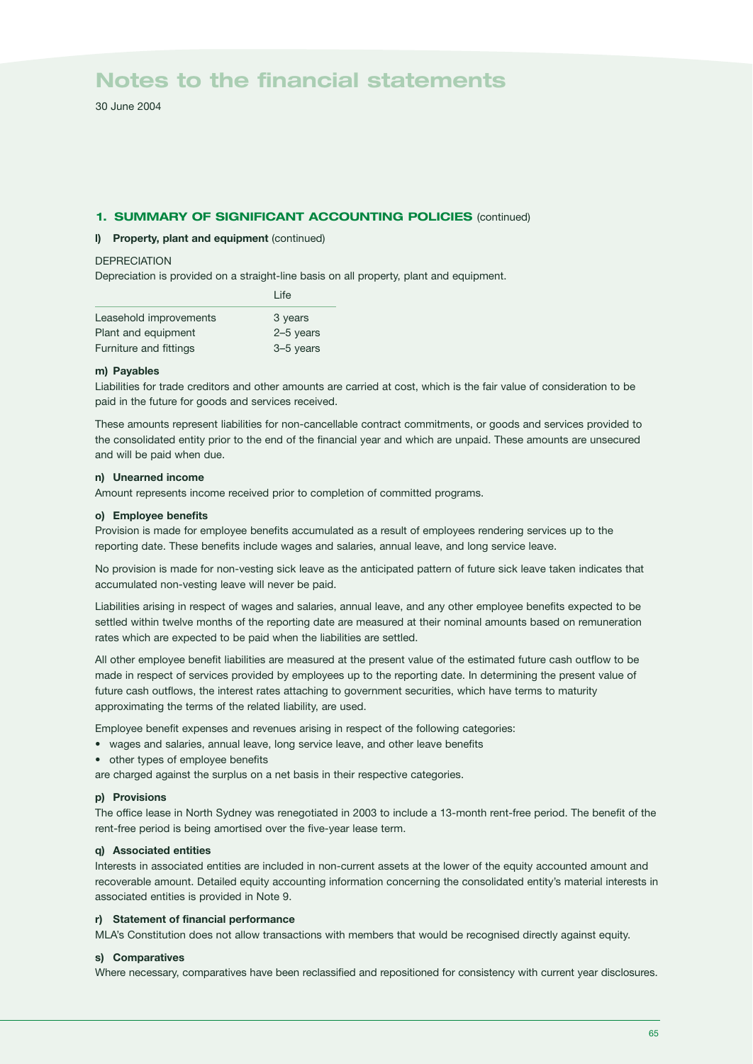30 June 2004

### **1. SUMMARY OF SIGNIFICANT ACCOUNTING POLICIES** (continued)

### **l) Property, plant and equipment** (continued)

### **DEPRECIATION**

Depreciation is provided on a straight-line basis on all property, plant and equipment.

|                        | I ife       |
|------------------------|-------------|
| Leasehold improvements | 3 years     |
| Plant and equipment    | $2-5$ years |
| Furniture and fittings | 3-5 years   |

### **m) Payables**

Liabilities for trade creditors and other amounts are carried at cost, which is the fair value of consideration to be paid in the future for goods and services received.

These amounts represent liabilities for non-cancellable contract commitments, or goods and services provided to the consolidated entity prior to the end of the financial year and which are unpaid. These amounts are unsecured and will be paid when due.

### **n) Unearned income**

Amount represents income received prior to completion of committed programs.

### **o) Employee benefits**

Provision is made for employee benefits accumulated as a result of employees rendering services up to the reporting date. These benefits include wages and salaries, annual leave, and long service leave.

No provision is made for non-vesting sick leave as the anticipated pattern of future sick leave taken indicates that accumulated non-vesting leave will never be paid.

Liabilities arising in respect of wages and salaries, annual leave, and any other employee benefits expected to be settled within twelve months of the reporting date are measured at their nominal amounts based on remuneration rates which are expected to be paid when the liabilities are settled.

All other employee benefit liabilities are measured at the present value of the estimated future cash outflow to be made in respect of services provided by employees up to the reporting date. In determining the present value of future cash outflows, the interest rates attaching to government securities, which have terms to maturity approximating the terms of the related liability, are used.

Employee benefit expenses and revenues arising in respect of the following categories:

- wages and salaries, annual leave, long service leave, and other leave benefits
- other types of employee benefits

are charged against the surplus on a net basis in their respective categories.

### **p) Provisions**

The office lease in North Sydney was renegotiated in 2003 to include a 13-month rent-free period. The benefit of the rent-free period is being amortised over the five-year lease term.

### **q) Associated entities**

Interests in associated entities are included in non-current assets at the lower of the equity accounted amount and recoverable amount. Detailed equity accounting information concerning the consolidated entity's material interests in associated entities is provided in Note 9.

### **r) Statement of financial performance**

MLA's Constitution does not allow transactions with members that would be recognised directly against equity.

### **s) Comparatives**

Where necessary, comparatives have been reclassified and repositioned for consistency with current year disclosures.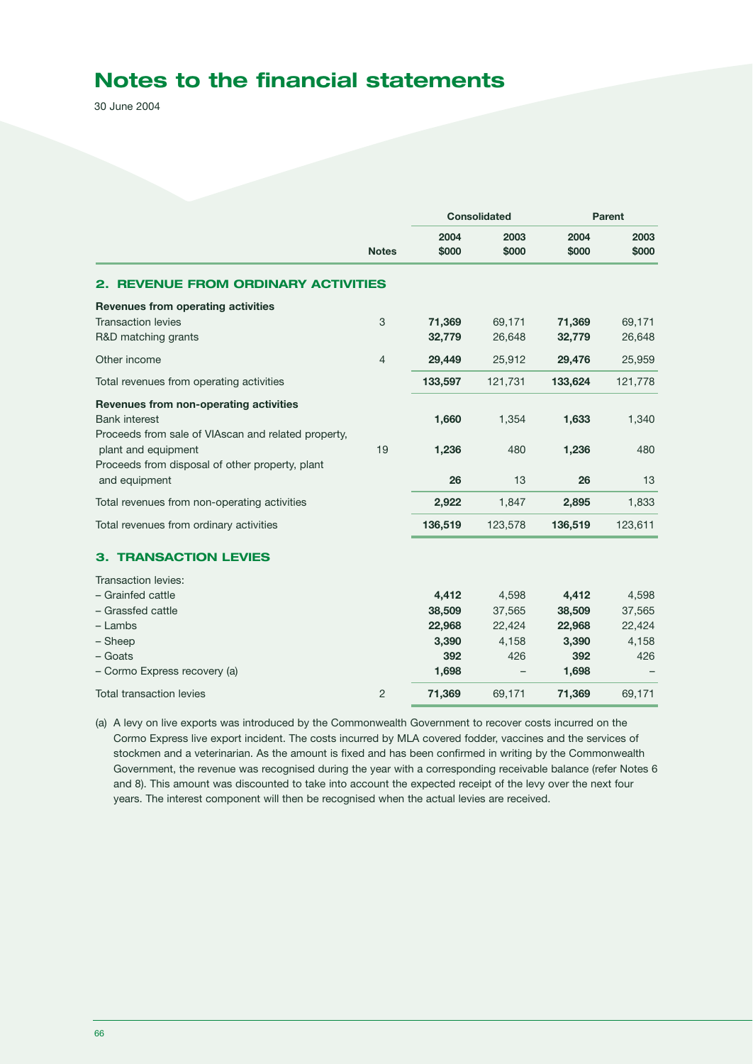30 June 2004

|                                                                  | <b>Notes</b>   | <b>Consolidated</b> |               | Parent        |               |  |
|------------------------------------------------------------------|----------------|---------------------|---------------|---------------|---------------|--|
|                                                                  |                | 2004<br>\$000       | 2003<br>\$000 | 2004<br>\$000 | 2003<br>\$000 |  |
| <b>2. REVENUE FROM ORDINARY ACTIVITIES</b>                       |                |                     |               |               |               |  |
| Revenues from operating activities                               |                |                     |               |               |               |  |
| <b>Transaction levies</b>                                        | 3              | 71,369              | 69,171        | 71,369        | 69,171        |  |
| R&D matching grants                                              |                | 32,779              | 26,648        | 32,779        | 26,648        |  |
| Other income                                                     | $\overline{4}$ | 29,449              | 25,912        | 29,476        | 25,959        |  |
| Total revenues from operating activities                         |                | 133,597             | 121,731       | 133,624       | 121,778       |  |
| Revenues from non-operating activities                           |                |                     |               |               |               |  |
| <b>Bank interest</b>                                             |                | 1,660               | 1,354         | 1,633         | 1,340         |  |
| Proceeds from sale of VIAscan and related property,              |                |                     |               |               |               |  |
| plant and equipment                                              | 19             | 1,236               | 480           | 1,236         | 480           |  |
| Proceeds from disposal of other property, plant<br>and equipment |                | 26                  | 13            | 26            | 13            |  |
|                                                                  |                |                     |               |               |               |  |
| Total revenues from non-operating activities                     |                | 2,922               | 1,847         | 2,895         | 1,833         |  |
| Total revenues from ordinary activities                          |                | 136,519             | 123,578       | 136,519       | 123,611       |  |
| <b>3. TRANSACTION LEVIES</b>                                     |                |                     |               |               |               |  |
| Transaction levies:                                              |                |                     |               |               |               |  |
| - Grainfed cattle                                                |                | 4,412               | 4,598         | 4,412         | 4,598         |  |
| - Grassfed cattle                                                |                | 38,509              | 37,565        | 38,509        | 37,565        |  |
| $-$ Lambs                                                        |                | 22.968              | 22,424        | 22,968        | 22,424        |  |
| - Sheep                                                          |                | 3,390               | 4,158         | 3,390         | 4,158         |  |
| - Goats                                                          |                | 392                 | 426           | 392           | 426           |  |
| - Cormo Express recovery (a)                                     |                | 1,698               |               | 1,698         |               |  |
| <b>Total transaction levies</b>                                  | $\overline{c}$ | 71,369              | 69,171        | 71,369        | 69,171        |  |

(a) A levy on live exports was introduced by the Commonwealth Government to recover costs incurred on the Cormo Express live export incident. The costs incurred by MLA covered fodder, vaccines and the services of stockmen and a veterinarian. As the amount is fixed and has been confirmed in writing by the Commonwealth Government, the revenue was recognised during the year with a corresponding receivable balance (refer Notes 6 and 8). This amount was discounted to take into account the expected receipt of the levy over the next four years. The interest component will then be recognised when the actual levies are received.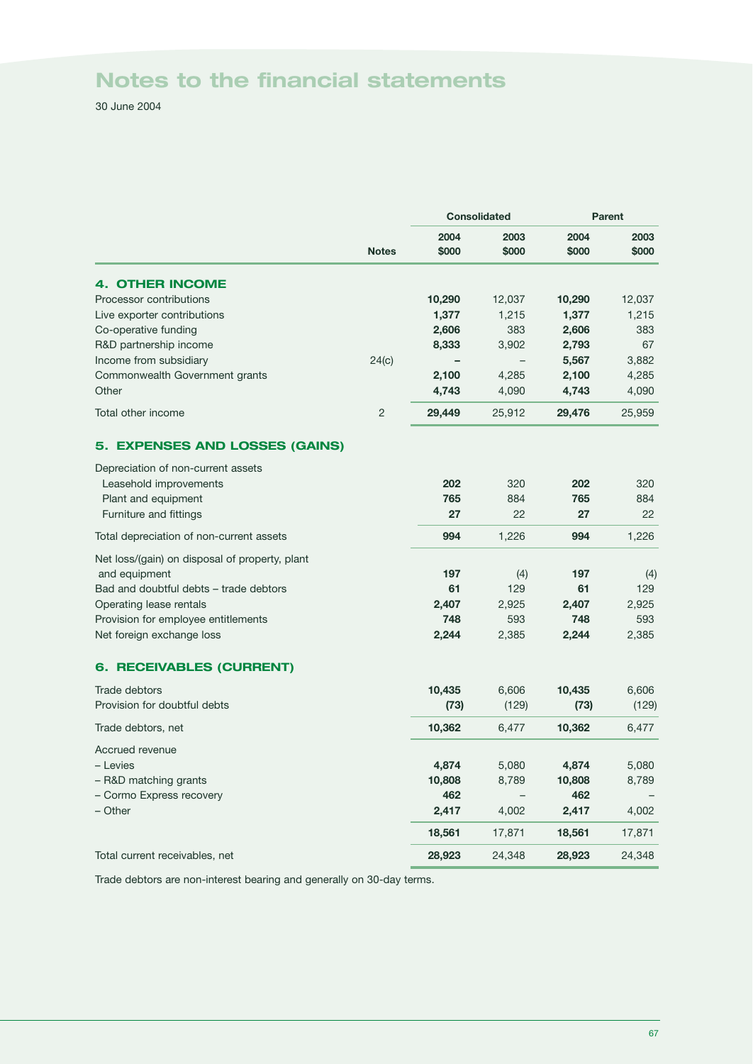30 June 2004

|                                                | <b>Consolidated</b> |               | <b>Parent</b> |               |               |
|------------------------------------------------|---------------------|---------------|---------------|---------------|---------------|
|                                                | <b>Notes</b>        | 2004<br>\$000 | 2003<br>\$000 | 2004<br>\$000 | 2003<br>\$000 |
| <b>4. OTHER INCOME</b>                         |                     |               |               |               |               |
| Processor contributions                        |                     | 10,290        | 12,037        | 10,290        | 12,037        |
| Live exporter contributions                    |                     | 1,377         | 1,215         | 1,377         | 1,215         |
| Co-operative funding                           |                     | 2,606         | 383           | 2,606         | 383           |
| R&D partnership income                         |                     | 8,333         | 3,902         | 2,793         | 67            |
| Income from subsidiary                         | 24(c)               |               |               | 5,567         | 3,882         |
| Commonwealth Government grants                 |                     | 2,100         | 4,285         | 2,100         | 4,285         |
| Other                                          |                     | 4,743         | 4,090         | 4,743         | 4,090         |
| Total other income                             | $\overline{c}$      | 29,449        | 25,912        | 29,476        | 25,959        |
| 5. EXPENSES AND LOSSES (GAINS)                 |                     |               |               |               |               |
| Depreciation of non-current assets             |                     |               |               |               |               |
| Leasehold improvements                         |                     | 202           | 320           | 202           | 320           |
| Plant and equipment                            |                     | 765           | 884           | 765           | 884           |
| Furniture and fittings                         |                     | 27            | 22            | 27            | 22            |
| Total depreciation of non-current assets       |                     | 994           | 1,226         | 994           | 1,226         |
| Net loss/(gain) on disposal of property, plant |                     |               |               |               |               |
| and equipment                                  |                     | 197           | (4)           | 197           | (4)           |
| Bad and doubtful debts - trade debtors         |                     | 61            | 129           | 61            | 129           |
| Operating lease rentals                        |                     | 2,407         | 2,925         | 2,407         | 2,925         |
| Provision for employee entitlements            |                     | 748           | 593           | 748           | 593           |
| Net foreign exchange loss                      |                     | 2,244         | 2,385         | 2,244         | 2,385         |
| <b>6. RECEIVABLES (CURRENT)</b>                |                     |               |               |               |               |
| Trade debtors                                  |                     | 10,435        | 6,606         | 10,435        | 6,606         |
| Provision for doubtful debts                   |                     | (73)          | (129)         | (73)          | (129)         |
| Trade debtors, net                             |                     | 10,362        | 6,477         | 10,362        | 6,477         |
| Accrued revenue                                |                     |               |               |               |               |
| - Levies                                       |                     | 4,874         | 5,080         | 4,874         | 5,080         |
| - R&D matching grants                          |                     | 10,808        | 8,789         | 10,808        | 8,789         |
| - Cormo Express recovery                       |                     | 462           |               | 462           |               |
| - Other                                        |                     | 2,417         | 4,002         | 2,417         | 4,002         |
|                                                |                     | 18,561        | 17,871        | 18,561        | 17,871        |
| Total current receivables, net                 |                     | 28,923        | 24,348        | 28,923        | 24,348        |

Trade debtors are non-interest bearing and generally on 30-day terms.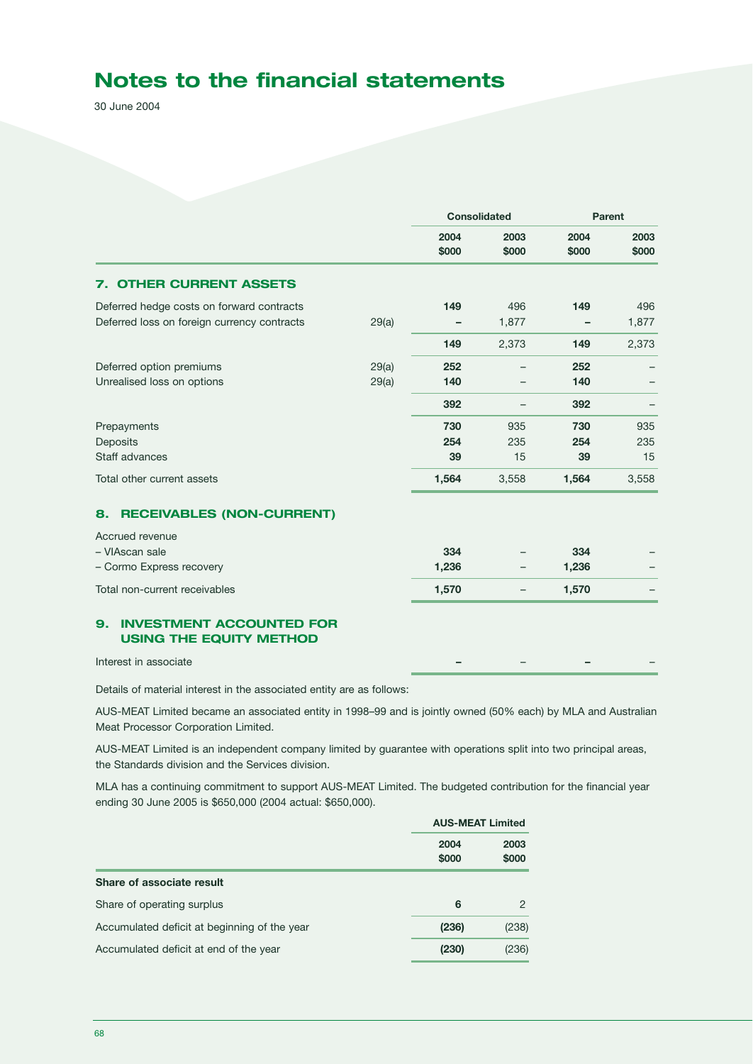30 June 2004

|                                                                                                      |                | <b>Consolidated</b> |                   | Parent           |                  |
|------------------------------------------------------------------------------------------------------|----------------|---------------------|-------------------|------------------|------------------|
|                                                                                                      |                | 2004<br>\$000       | 2003<br>\$000     | 2004<br>\$000    | 2003<br>\$000    |
| <b>OTHER CURRENT ASSETS</b><br>7.                                                                    |                |                     |                   |                  |                  |
| Deferred hedge costs on forward contracts<br>Deferred loss on foreign currency contracts             | 29(a)          | 149                 | 496<br>1,877      | 149              | 496<br>1,877     |
|                                                                                                      |                | 149                 | 2,373             | 149              | 2,373            |
| Deferred option premiums<br>Unrealised loss on options                                               | 29(a)<br>29(a) | 252<br>140          |                   | 252<br>140       |                  |
|                                                                                                      |                | 392                 |                   | 392              |                  |
| Prepayments<br>Deposits<br>Staff advances                                                            |                | 730<br>254<br>39    | 935<br>235<br>15  | 730<br>254<br>39 | 935<br>235<br>15 |
| Total other current assets                                                                           |                | 1,564               | 3,558             | 1,564            | 3,558            |
| <b>RECEIVABLES (NON-CURRENT)</b><br>8.                                                               |                |                     |                   |                  |                  |
| Accrued revenue<br>- VIAscan sale<br>- Cormo Express recovery                                        |                | 334<br>1,236        |                   | 334<br>1,236     |                  |
| Total non-current receivables                                                                        |                | 1,570               | $\qquad \qquad -$ | 1,570            |                  |
| <b>INVESTMENT ACCOUNTED FOR</b><br>9.<br><b>USING THE EQUITY METHOD</b><br>$\sim$ $\sim$<br>$\cdots$ |                |                     |                   |                  |                  |

Interest in associate

Details of material interest in the associated entity are as follows:

AUS-MEAT Limited became an associated entity in 1998–99 and is jointly owned (50% each) by MLA and Australian Meat Processor Corporation Limited.

AUS-MEAT Limited is an independent company limited by guarantee with operations split into two principal areas, the Standards division and the Services division.

MLA has a continuing commitment to support AUS-MEAT Limited. The budgeted contribution for the financial year ending 30 June 2005 is \$650,000 (2004 actual: \$650,000).

|                                              | <b>AUS-MEAT Limited</b> |               |  |
|----------------------------------------------|-------------------------|---------------|--|
|                                              | 2004<br>\$000           | 2003<br>\$000 |  |
| Share of associate result                    |                         |               |  |
| Share of operating surplus                   | 6                       | 2             |  |
| Accumulated deficit at beginning of the year | (236)                   | (238)         |  |
| Accumulated deficit at end of the year       | (230)                   | (236)         |  |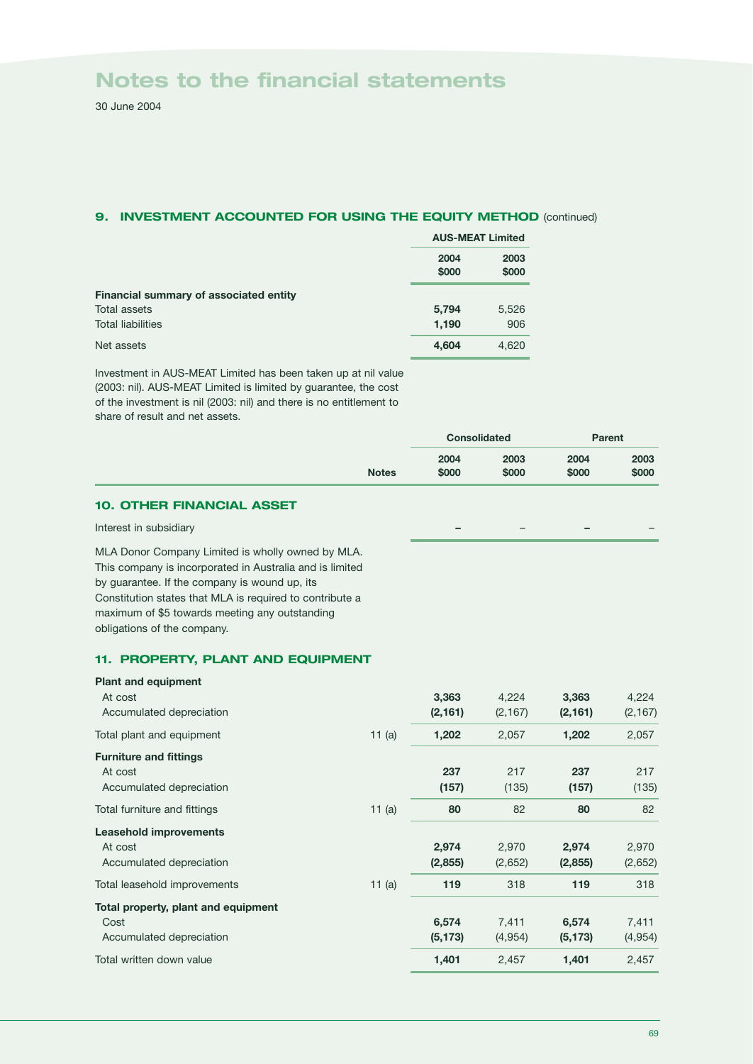30 June 2004

### **9. INVESTMENT ACCOUNTED FOR USING THE EQUITY METHOD** (continued)

|                                        | <b>AUS-MEAT Limited</b> |               |  |
|----------------------------------------|-------------------------|---------------|--|
|                                        | 2004<br>\$000           | 2003<br>\$000 |  |
| Financial summary of associated entity |                         |               |  |
| Total assets                           | 5,794                   | 5,526         |  |
| <b>Total liabilities</b>               | 1,190                   | 906           |  |
| Net assets                             | 4,604                   | 4,620         |  |

Investment in AUS-MEAT Limited has been taken up at nil value (2003: nil). AUS-MEAT Limited is limited by guarantee, the cost of the investment is nil (2003: nil) and there is no entitlement to share of result and net assets.

|              | <b>Consolidated</b> |               | Parent        |               |
|--------------|---------------------|---------------|---------------|---------------|
| <b>Notes</b> | 2004<br>\$000       | 2003<br>\$000 | 2004<br>\$000 | 2003<br>\$000 |
|              |                     |               |               |               |

### **10. OTHER FINANCIAL ASSET**

### Interest in subsidiary **–** – **–** –

MLA Donor Company Limited is wholly owned by MLA. This company is incorporated in Australia and is limited by guarantee. If the company is wound up, its Constitution states that MLA is required to contribute a maximum of \$5 towards meeting any outstanding obligations of the company.

### **11. PROPERTY, PLANT AND EQUIPMENT**

| <b>Plant and equipment</b>          |          |          |          |          |          |
|-------------------------------------|----------|----------|----------|----------|----------|
| At cost                             |          | 3,363    | 4,224    | 3,363    | 4,224    |
| Accumulated depreciation            |          | (2, 161) | (2, 167) | (2, 161) | (2, 167) |
| Total plant and equipment           | 11 $(a)$ | 1,202    | 2,057    | 1,202    | 2,057    |
| <b>Furniture and fittings</b>       |          |          |          |          |          |
| At cost                             |          | 237      | 217      | 237      | 217      |
| Accumulated depreciation            |          | (157)    | (135)    | (157)    | (135)    |
| Total furniture and fittings        | 11 $(a)$ | 80       | 82       | 80       | 82       |
| <b>Leasehold improvements</b>       |          |          |          |          |          |
| At cost                             |          | 2,974    | 2,970    | 2,974    | 2,970    |
| Accumulated depreciation            |          | (2,855)  | (2,652)  | (2,855)  | (2,652)  |
| Total leasehold improvements        | 11 $(a)$ | 119      | 318      | 119      | 318      |
| Total property, plant and equipment |          |          |          |          |          |
| Cost                                |          | 6,574    | 7,411    | 6,574    | 7,411    |
| Accumulated depreciation            |          | (5, 173) | (4,954)  | (5, 173) | (4,954)  |
| Total written down value            |          | 1,401    | 2,457    | 1,401    | 2,457    |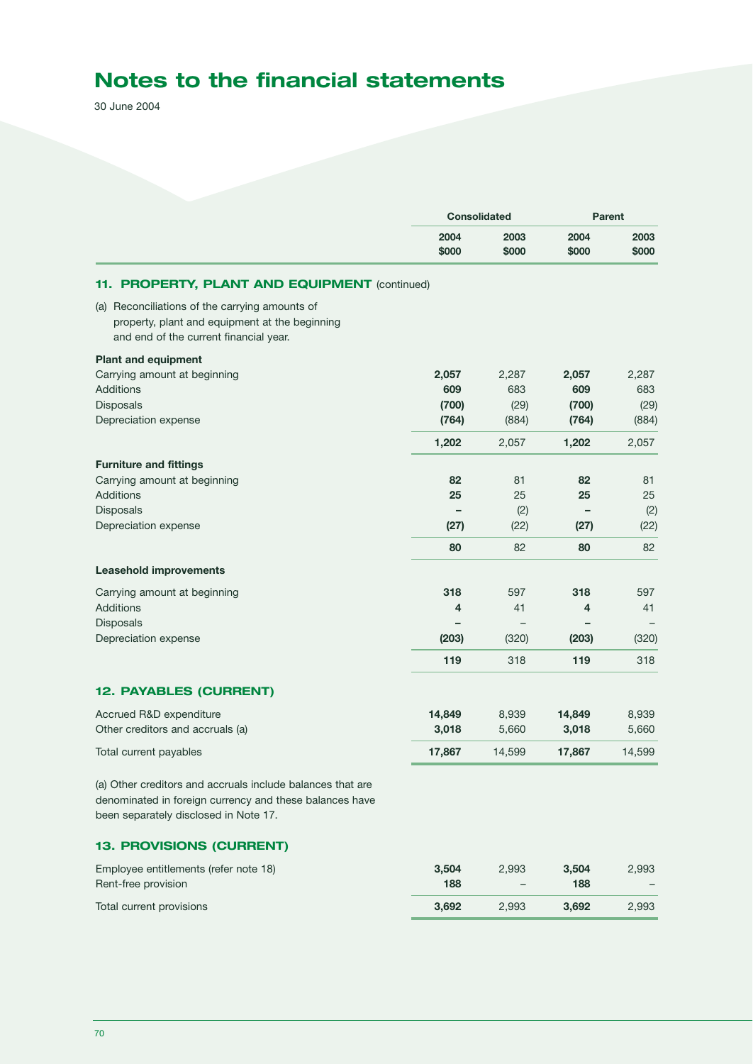30 June 2004

|                                                                                                                                                                |               | <b>Consolidated</b> |               | <b>Parent</b> |  |
|----------------------------------------------------------------------------------------------------------------------------------------------------------------|---------------|---------------------|---------------|---------------|--|
|                                                                                                                                                                | 2004<br>\$000 | 2003<br>\$000       | 2004<br>\$000 | 2003<br>\$000 |  |
| <b>PROPERTY, PLANT AND EQUIPMENT (continued)</b><br>11.                                                                                                        |               |                     |               |               |  |
| (a) Reconciliations of the carrying amounts of<br>property, plant and equipment at the beginning<br>and end of the current financial year.                     |               |                     |               |               |  |
| <b>Plant and equipment</b>                                                                                                                                     |               |                     |               |               |  |
| Carrying amount at beginning                                                                                                                                   | 2,057         | 2,287               | 2,057         | 2,287         |  |
| <b>Additions</b>                                                                                                                                               | 609           | 683                 | 609           | 683           |  |
| Disposals                                                                                                                                                      | (700)         | (29)                | (700)         | (29)          |  |
| Depreciation expense                                                                                                                                           | (764)         | (884)               | (764)         | (884)         |  |
|                                                                                                                                                                | 1,202         | 2,057               | 1,202         | 2,057         |  |
| <b>Furniture and fittings</b>                                                                                                                                  |               |                     |               |               |  |
| Carrying amount at beginning                                                                                                                                   | 82            | 81                  | 82            | 81            |  |
| <b>Additions</b>                                                                                                                                               | 25            | 25                  | 25            | 25            |  |
| Disposals                                                                                                                                                      |               | (2)                 | -             | (2)           |  |
| Depreciation expense                                                                                                                                           | (27)          | (22)                | (27)          | (22)          |  |
|                                                                                                                                                                | 80            | 82                  | 80            | 82            |  |
| <b>Leasehold improvements</b>                                                                                                                                  |               |                     |               |               |  |
| Carrying amount at beginning                                                                                                                                   | 318           | 597                 | 318           | 597           |  |
| <b>Additions</b>                                                                                                                                               | 4             | 41                  | 4             | 41            |  |
| Disposals                                                                                                                                                      |               |                     |               |               |  |
| Depreciation expense                                                                                                                                           | (203)         | (320)               | (203)         | (320)         |  |
|                                                                                                                                                                | 119           | 318                 | 119           | 318           |  |
| <b>12. PAYABLES (CURRENT)</b>                                                                                                                                  |               |                     |               |               |  |
| Accrued R&D expenditure                                                                                                                                        | 14,849        | 8,939               | 14,849        | 8,939         |  |
| Other creditors and accruals (a)                                                                                                                               | 3,018         | 5,660               | 3,018         | 5,660         |  |
| Total current payables                                                                                                                                         | 17,867        | 14,599              | 17,867        | 14,599        |  |
| (a) Other creditors and accruals include balances that are<br>denominated in foreign currency and these balances have<br>been separately disclosed in Note 17. |               |                     |               |               |  |
| 13. PROVISIONS (CURRENT)                                                                                                                                       |               |                     |               |               |  |
| Employee entitlements (refer note 18)                                                                                                                          | 3,504         | 2,993               | 3,504         | 2,993         |  |
| Rent-free provision                                                                                                                                            | 188           |                     | 188           |               |  |
| Total current provisions                                                                                                                                       | 3,692         | 2,993               | 3,692         | 2,993         |  |
|                                                                                                                                                                |               |                     |               |               |  |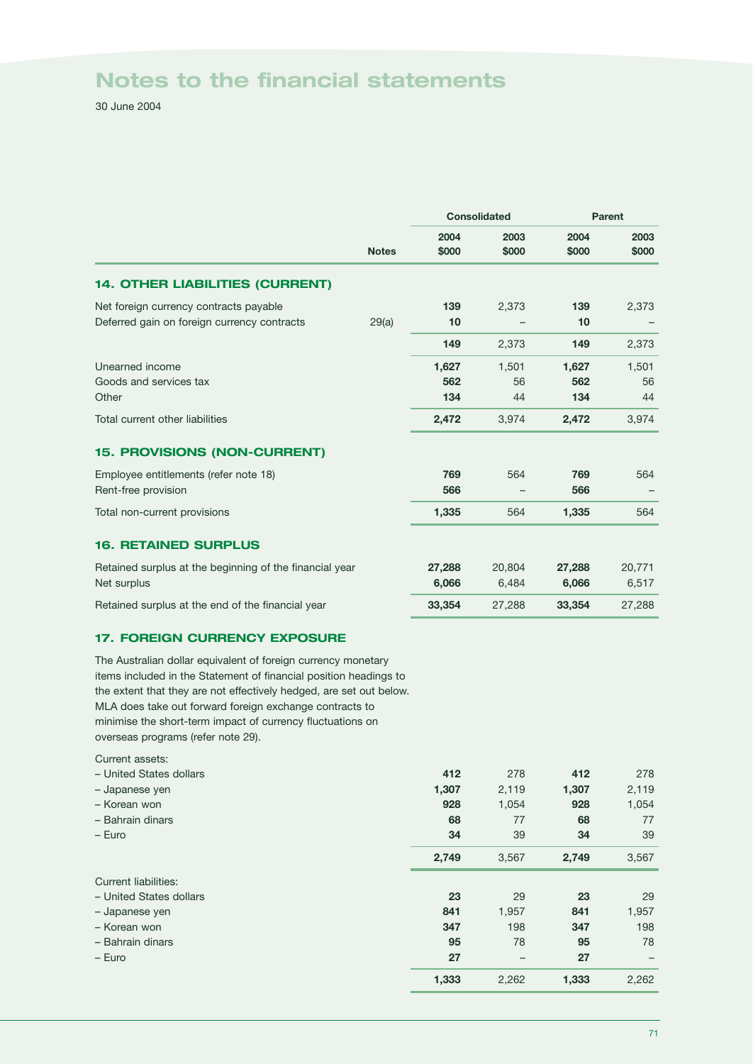30 June 2004

|                                                                                                                                                                                                                                                                                                                                                                          |              | <b>Consolidated</b> |                   | Parent              |                   |
|--------------------------------------------------------------------------------------------------------------------------------------------------------------------------------------------------------------------------------------------------------------------------------------------------------------------------------------------------------------------------|--------------|---------------------|-------------------|---------------------|-------------------|
|                                                                                                                                                                                                                                                                                                                                                                          | <b>Notes</b> | 2004<br>\$000       | 2003<br>\$000     | 2004<br>\$000       | 2003<br>\$000     |
| <b>14. OTHER LIABILITIES (CURRENT)</b>                                                                                                                                                                                                                                                                                                                                   |              |                     |                   |                     |                   |
| Net foreign currency contracts payable<br>Deferred gain on foreign currency contracts                                                                                                                                                                                                                                                                                    | 29(a)        | 139<br>10           | 2,373             | 139<br>10           | 2,373             |
|                                                                                                                                                                                                                                                                                                                                                                          |              | 149                 | 2,373             | 149                 | 2,373             |
| Unearned income<br>Goods and services tax<br>Other                                                                                                                                                                                                                                                                                                                       |              | 1,627<br>562<br>134 | 1,501<br>56<br>44 | 1,627<br>562<br>134 | 1,501<br>56<br>44 |
| Total current other liabilities                                                                                                                                                                                                                                                                                                                                          |              | 2,472               | 3,974             | 2,472               | 3,974             |
| 15. PROVISIONS (NON-CURRENT)                                                                                                                                                                                                                                                                                                                                             |              |                     |                   |                     |                   |
| Employee entitlements (refer note 18)<br>Rent-free provision                                                                                                                                                                                                                                                                                                             |              | 769<br>566          | 564               | 769<br>566          | 564               |
| Total non-current provisions                                                                                                                                                                                                                                                                                                                                             |              | 1,335               | 564               | 1,335               | 564               |
| <b>16. RETAINED SURPLUS</b>                                                                                                                                                                                                                                                                                                                                              |              |                     |                   |                     |                   |
| Retained surplus at the beginning of the financial year<br>Net surplus                                                                                                                                                                                                                                                                                                   |              | 27,288<br>6,066     | 20,804<br>6,484   | 27,288<br>6,066     | 20,771<br>6,517   |
| Retained surplus at the end of the financial year                                                                                                                                                                                                                                                                                                                        |              | 33,354              | 27,288            | 33,354              | 27,288            |
| <b>17. FOREIGN CURRENCY EXPOSURE</b>                                                                                                                                                                                                                                                                                                                                     |              |                     |                   |                     |                   |
| The Australian dollar equivalent of foreign currency monetary<br>items included in the Statement of financial position headings to<br>the extent that they are not effectively hedged, are set out below.<br>MLA does take out forward foreign exchange contracts to<br>minimise the short-term impact of currency fluctuations on<br>overseas programs (refer note 29). |              |                     |                   |                     |                   |
| Current assets:                                                                                                                                                                                                                                                                                                                                                          |              |                     |                   |                     |                   |
| - United States dollars<br>- Japanese yen                                                                                                                                                                                                                                                                                                                                |              | 412<br>1,307        | 278<br>2,119      | 412<br>1,307        | 278<br>2,119      |
| - Korean won                                                                                                                                                                                                                                                                                                                                                             |              | 928                 | 1,054             | 928                 | 1,054             |
| - Bahrain dinars                                                                                                                                                                                                                                                                                                                                                         |              | 68                  | 77                | 68                  | 77                |
| $-$ Euro                                                                                                                                                                                                                                                                                                                                                                 |              | 34                  | 39                | 34                  | 39                |
|                                                                                                                                                                                                                                                                                                                                                                          |              | 2,749               | 3,567             | 2,749               | 3,567             |
| <b>Current liabilities:</b>                                                                                                                                                                                                                                                                                                                                              |              |                     |                   |                     |                   |
| - United States dollars                                                                                                                                                                                                                                                                                                                                                  |              | 23                  | 29                | 23                  | 29                |
| - Japanese yen                                                                                                                                                                                                                                                                                                                                                           |              | 841                 | 1,957             | 841                 | 1,957             |
| - Korean won                                                                                                                                                                                                                                                                                                                                                             |              | 347                 | 198               | 347                 | 198               |
| - Bahrain dinars                                                                                                                                                                                                                                                                                                                                                         |              | 95                  | 78                | 95                  | 78                |

– Euro **27** – **27** –

**1,333** 2,262 **1,333** 2,262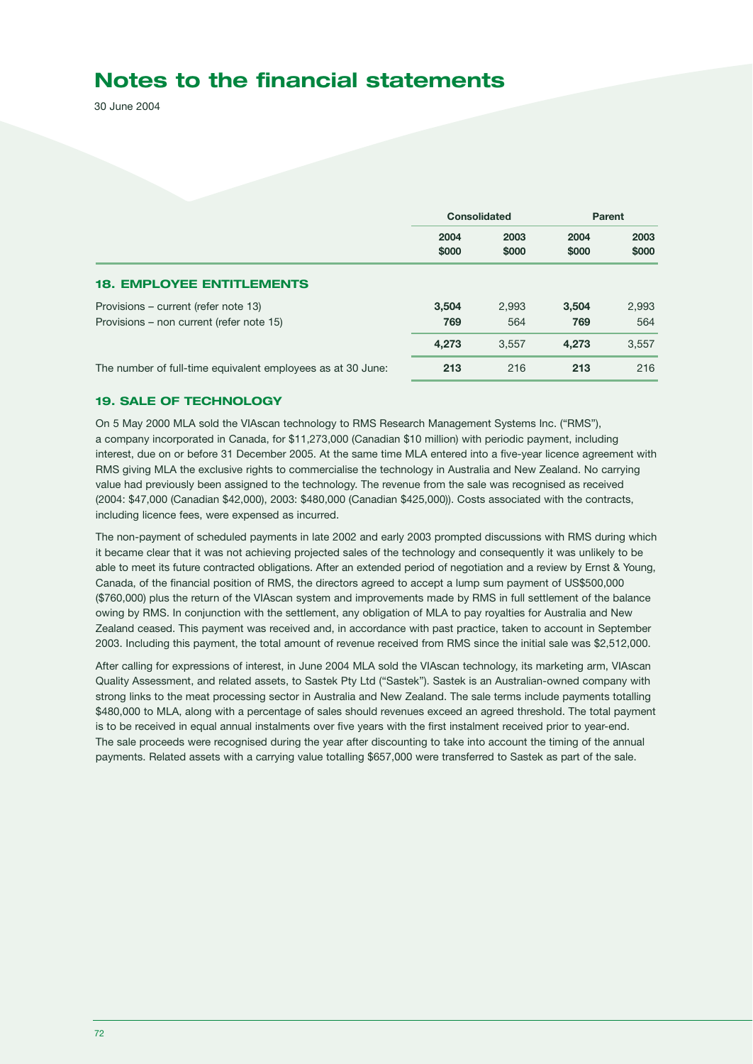30 June 2004

|                                                                                  | <b>Consolidated</b> |               | Parent        |               |
|----------------------------------------------------------------------------------|---------------------|---------------|---------------|---------------|
|                                                                                  | 2004<br>\$000       | 2003<br>\$000 | 2004<br>\$000 | 2003<br>\$000 |
| <b>18. EMPLOYEE ENTITLEMENTS</b>                                                 |                     |               |               |               |
| Provisions – current (refer note 13)<br>Provisions – non current (refer note 15) | 3,504<br>769        | 2,993<br>564  | 3.504<br>769  | 2,993<br>564  |
|                                                                                  | 4,273               | 3,557         | 4,273         | 3,557         |
| The number of full-time equivalent employees as at 30 June:                      | 213                 | 216           | 213           | 216           |

### **19. SALE OF TECHNOLOGY**

On 5 May 2000 MLA sold the VIAscan technology to RMS Research Management Systems Inc. ("RMS"), a company incorporated in Canada, for \$11,273,000 (Canadian \$10 million) with periodic payment, including interest, due on or before 31 December 2005. At the same time MLA entered into a five-year licence agreement with RMS giving MLA the exclusive rights to commercialise the technology in Australia and New Zealand. No carrying value had previously been assigned to the technology. The revenue from the sale was recognised as received (2004: \$47,000 (Canadian \$42,000), 2003: \$480,000 (Canadian \$425,000)). Costs associated with the contracts, including licence fees, were expensed as incurred.

The non-payment of scheduled payments in late 2002 and early 2003 prompted discussions with RMS during which it became clear that it was not achieving projected sales of the technology and consequently it was unlikely to be able to meet its future contracted obligations. After an extended period of negotiation and a review by Ernst & Young, Canada, of the financial position of RMS, the directors agreed to accept a lump sum payment of US\$500,000 (\$760,000) plus the return of the VIAscan system and improvements made by RMS in full settlement of the balance owing by RMS. In conjunction with the settlement, any obligation of MLA to pay royalties for Australia and New Zealand ceased. This payment was received and, in accordance with past practice, taken to account in September 2003. Including this payment, the total amount of revenue received from RMS since the initial sale was \$2,512,000.

After calling for expressions of interest, in June 2004 MLA sold the VIAscan technology, its marketing arm, VIAscan Quality Assessment, and related assets, to Sastek Pty Ltd ("Sastek"). Sastek is an Australian-owned company with strong links to the meat processing sector in Australia and New Zealand. The sale terms include payments totalling \$480,000 to MLA, along with a percentage of sales should revenues exceed an agreed threshold. The total payment is to be received in equal annual instalments over five years with the first instalment received prior to year-end. The sale proceeds were recognised during the year after discounting to take into account the timing of the annual payments. Related assets with a carrying value totalling \$657,000 were transferred to Sastek as part of the sale.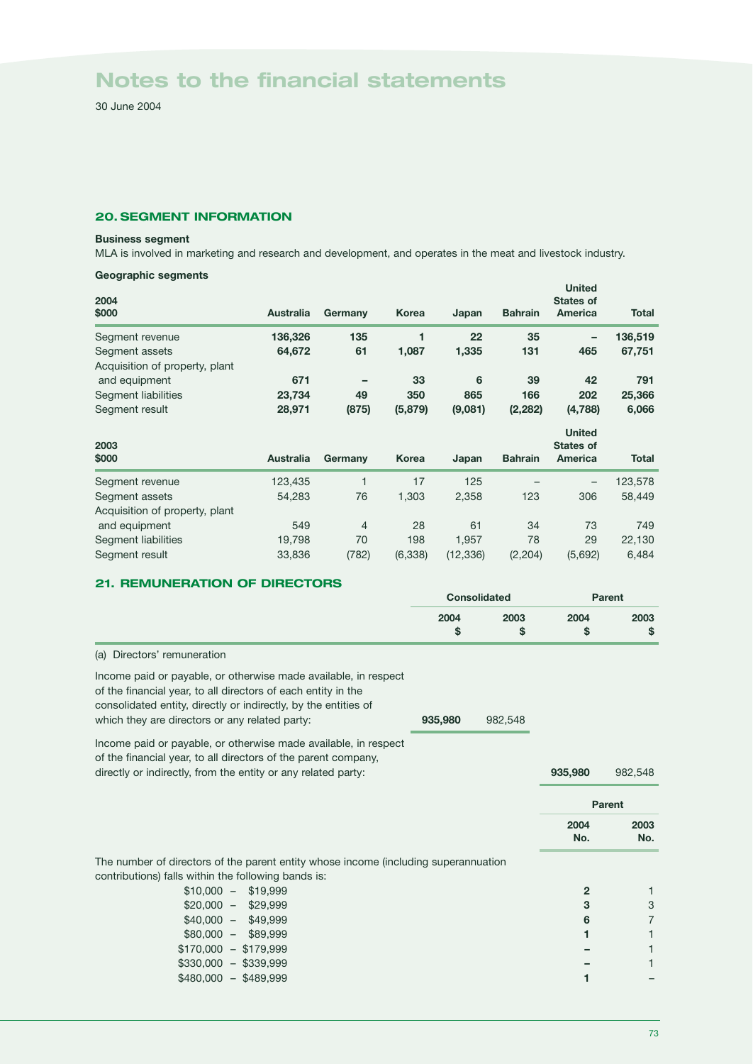30 June 2004

## **20. SEGMENT INFORMATION**

#### **Business segment**

MLA is involved in marketing and research and development, and operates in the meat and livestock industry.

## **Geographic segments**

| 2004<br>\$000                                    | <b>Australia</b> | Germany        | <b>Korea</b> | Japan   | <b>Bahrain</b> | <b>United</b><br><b>States of</b><br>America        | <b>Total</b> |
|--------------------------------------------------|------------------|----------------|--------------|---------|----------------|-----------------------------------------------------|--------------|
| Segment revenue                                  | 136,326          | 135            | 1            | 22      | 35             | -                                                   | 136,519      |
| Segment assets                                   | 64,672           | 61             | 1,087        | 1,335   | 131            | 465                                                 | 67,751       |
| Acquisition of property, plant                   |                  |                |              |         |                |                                                     |              |
| and equipment                                    | 671              |                | 33           | 6       | 39             | 42                                                  | 791          |
| Segment liabilities                              | 23,734           | 49             | 350          | 865     | 166            | 202                                                 | 25,366       |
| Segment result                                   | 28,971           | (875)          | (5,879)      | (9,081) | (2, 282)       | (4,788)                                             | 6,066        |
|                                                  |                  |                |              |         |                |                                                     |              |
| 2003<br>\$000                                    | <b>Australia</b> |                | <b>Korea</b> |         | <b>Bahrain</b> | <b>United</b><br><b>States of</b><br><b>America</b> | <b>Total</b> |
|                                                  |                  | Germany        |              | Japan   |                |                                                     |              |
| Segment revenue                                  | 123,435          | 1              | 17           | 125     |                |                                                     | 123,578      |
| Segment assets<br>Acquisition of property, plant | 54,283           | 76             | 1,303        | 2,358   | 123            | 306                                                 | 58,449       |
| and equipment                                    | 549              | $\overline{4}$ | 28           | 61      | 34             | 73                                                  | 749          |
| Segment liabilities                              | 19,798           | 70             | 198          | 1,957   | 78             | 29                                                  | 22,130       |

# **21. REMUNERATION OF DIRECTORS**

|                                                                                                                                                                                                                                                       | <b>Consolidated</b> |            | <b>Parent</b>  |                |
|-------------------------------------------------------------------------------------------------------------------------------------------------------------------------------------------------------------------------------------------------------|---------------------|------------|----------------|----------------|
|                                                                                                                                                                                                                                                       | 2004<br>\$          | 2003<br>\$ | 2004<br>\$     | 2003<br>\$     |
| Directors' remuneration<br>(a)                                                                                                                                                                                                                        |                     |            |                |                |
| Income paid or payable, or otherwise made available, in respect<br>of the financial year, to all directors of each entity in the<br>consolidated entity, directly or indirectly, by the entities of<br>which they are directors or any related party: | 935,980             | 982,548    |                |                |
| Income paid or payable, or otherwise made available, in respect<br>of the financial year, to all directors of the parent company,<br>directly or indirectly, from the entity or any related party:                                                    |                     |            | 935,980        | 982,548        |
|                                                                                                                                                                                                                                                       |                     |            |                | Parent         |
|                                                                                                                                                                                                                                                       |                     |            | 2004<br>No.    | 2003<br>No.    |
| The number of directors of the parent entity whose income (including superannuation<br>contributions) falls within the following bands is:                                                                                                            |                     |            |                |                |
| $$10,000 - $19,999$                                                                                                                                                                                                                                   |                     |            | $\overline{2}$ | 1              |
| $$20,000 - $29,999$                                                                                                                                                                                                                                   |                     |            | 3              | 3              |
| $$40,000 - $49,999$                                                                                                                                                                                                                                   |                     |            | 6              | $\overline{7}$ |
| $$80.000 - $89.999$                                                                                                                                                                                                                                   |                     |            | 1              | 1              |
| $$170,000 - $179,999$                                                                                                                                                                                                                                 |                     |            |                |                |
| $$330,000 - $339,999$                                                                                                                                                                                                                                 |                     |            |                | 1              |
| $$480,000 - $489,999$                                                                                                                                                                                                                                 |                     |            | 1              |                |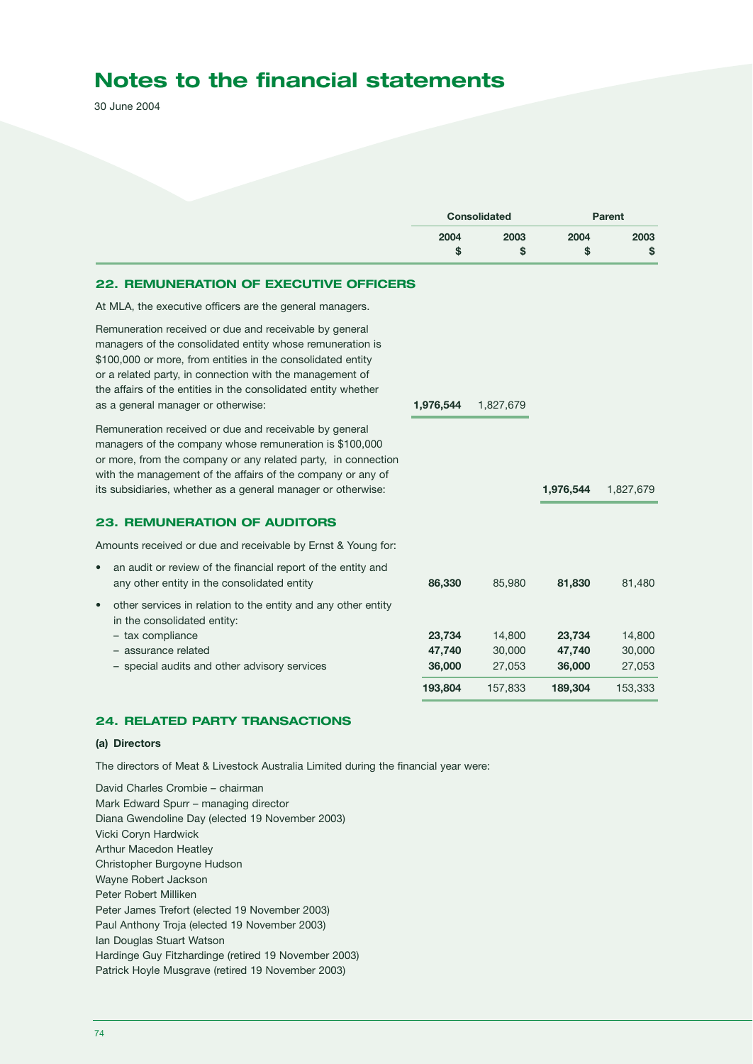30 June 2004

|                                                                                                                                                                                                                                                                                                                                                        | <b>Consolidated</b> |                  | Parent           |                  |
|--------------------------------------------------------------------------------------------------------------------------------------------------------------------------------------------------------------------------------------------------------------------------------------------------------------------------------------------------------|---------------------|------------------|------------------|------------------|
|                                                                                                                                                                                                                                                                                                                                                        | 2004                | 2003             | 2004             | 2003             |
|                                                                                                                                                                                                                                                                                                                                                        | \$                  | \$               | \$               | \$               |
| <b>22. REMUNERATION OF EXECUTIVE OFFICERS</b>                                                                                                                                                                                                                                                                                                          |                     |                  |                  |                  |
| At MLA, the executive officers are the general managers.                                                                                                                                                                                                                                                                                               |                     |                  |                  |                  |
| Remuneration received or due and receivable by general<br>managers of the consolidated entity whose remuneration is<br>\$100,000 or more, from entities in the consolidated entity<br>or a related party, in connection with the management of<br>the affairs of the entities in the consolidated entity whether<br>as a general manager or otherwise: | 1,976,544           | 1,827,679        |                  |                  |
| Remuneration received or due and receivable by general<br>managers of the company whose remuneration is \$100,000<br>or more, from the company or any related party, in connection<br>with the management of the affairs of the company or any of<br>its subsidiaries, whether as a general manager or otherwise:                                      |                     |                  | 1,976,544        | 1,827,679        |
| <b>23. REMUNERATION OF AUDITORS</b>                                                                                                                                                                                                                                                                                                                    |                     |                  |                  |                  |
| Amounts received or due and receivable by Ernst & Young for:                                                                                                                                                                                                                                                                                           |                     |                  |                  |                  |
| an audit or review of the financial report of the entity and<br>$\bullet$<br>any other entity in the consolidated entity                                                                                                                                                                                                                               | 86,330              | 85,980           | 81,830           | 81,480           |
| other services in relation to the entity and any other entity<br>$\bullet$<br>in the consolidated entity:                                                                                                                                                                                                                                              |                     |                  |                  |                  |
| - tax compliance                                                                                                                                                                                                                                                                                                                                       | 23,734              | 14,800           | 23,734           | 14,800           |
| - assurance related<br>- special audits and other advisory services                                                                                                                                                                                                                                                                                    | 47,740<br>36,000    | 30,000<br>27,053 | 47,740<br>36,000 | 30,000<br>27,053 |
|                                                                                                                                                                                                                                                                                                                                                        | 193,804             | 157,833          | 189,304          | 153,333          |
|                                                                                                                                                                                                                                                                                                                                                        |                     |                  |                  |                  |

# **24. RELATED PARTY TRANSACTIONS**

#### **(a) Directors**

The directors of Meat & Livestock Australia Limited during the financial year were:

David Charles Crombie – chairman Mark Edward Spurr – managing director Diana Gwendoline Day (elected 19 November 2003) Vicki Coryn Hardwick Arthur Macedon Heatley Christopher Burgoyne Hudson Wayne Robert Jackson Peter Robert Milliken Peter James Trefort (elected 19 November 2003) Paul Anthony Troja (elected 19 November 2003) Ian Douglas Stuart Watson Hardinge Guy Fitzhardinge (retired 19 November 2003) Patrick Hoyle Musgrave (retired 19 November 2003)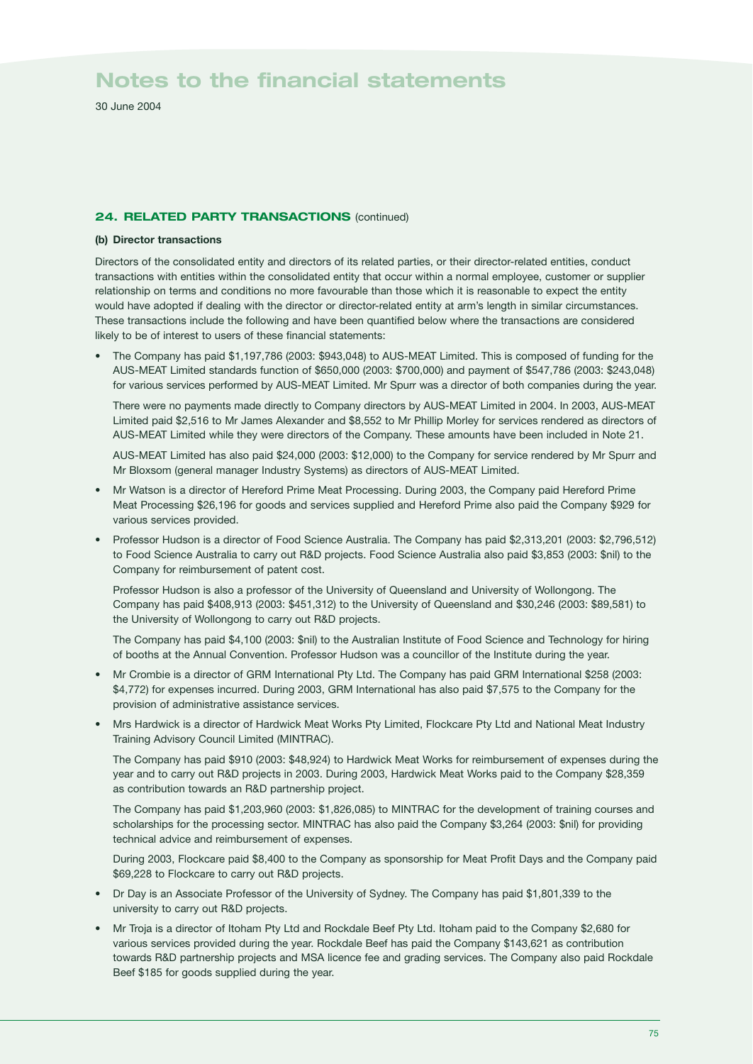30 June 2004

### **24. RELATED PARTY TRANSACTIONS (continued)**

#### **(b) Director transactions**

Directors of the consolidated entity and directors of its related parties, or their director-related entities, conduct transactions with entities within the consolidated entity that occur within a normal employee, customer or supplier relationship on terms and conditions no more favourable than those which it is reasonable to expect the entity would have adopted if dealing with the director or director-related entity at arm's length in similar circumstances. These transactions include the following and have been quantified below where the transactions are considered likely to be of interest to users of these financial statements:

• The Company has paid \$1,197,786 (2003: \$943,048) to AUS-MEAT Limited. This is composed of funding for the AUS-MEAT Limited standards function of \$650,000 (2003: \$700,000) and payment of \$547,786 (2003: \$243,048) for various services performed by AUS-MEAT Limited. Mr Spurr was a director of both companies during the year.

There were no payments made directly to Company directors by AUS-MEAT Limited in 2004. In 2003, AUS-MEAT Limited paid \$2,516 to Mr James Alexander and \$8,552 to Mr Phillip Morley for services rendered as directors of AUS-MEAT Limited while they were directors of the Company. These amounts have been included in Note 21.

AUS-MEAT Limited has also paid \$24,000 (2003: \$12,000) to the Company for service rendered by Mr Spurr and Mr Bloxsom (general manager Industry Systems) as directors of AUS-MEAT Limited.

- Mr Watson is a director of Hereford Prime Meat Processing. During 2003, the Company paid Hereford Prime Meat Processing \$26,196 for goods and services supplied and Hereford Prime also paid the Company \$929 for various services provided.
- Professor Hudson is a director of Food Science Australia. The Company has paid \$2,313,201 (2003: \$2,796,512) to Food Science Australia to carry out R&D projects. Food Science Australia also paid \$3,853 (2003: \$nil) to the Company for reimbursement of patent cost.

Professor Hudson is also a professor of the University of Queensland and University of Wollongong. The Company has paid \$408,913 (2003: \$451,312) to the University of Queensland and \$30,246 (2003: \$89,581) to the University of Wollongong to carry out R&D projects.

The Company has paid \$4,100 (2003: \$nil) to the Australian Institute of Food Science and Technology for hiring of booths at the Annual Convention. Professor Hudson was a councillor of the Institute during the year.

- Mr Crombie is a director of GRM International Pty Ltd. The Company has paid GRM International \$258 (2003: \$4,772) for expenses incurred. During 2003, GRM International has also paid \$7,575 to the Company for the provision of administrative assistance services.
- Mrs Hardwick is a director of Hardwick Meat Works Pty Limited, Flockcare Pty Ltd and National Meat Industry Training Advisory Council Limited (MINTRAC).

The Company has paid \$910 (2003: \$48,924) to Hardwick Meat Works for reimbursement of expenses during the year and to carry out R&D projects in 2003. During 2003, Hardwick Meat Works paid to the Company \$28,359 as contribution towards an R&D partnership project.

The Company has paid \$1,203,960 (2003: \$1,826,085) to MINTRAC for the development of training courses and scholarships for the processing sector. MINTRAC has also paid the Company \$3,264 (2003: \$nil) for providing technical advice and reimbursement of expenses.

During 2003, Flockcare paid \$8,400 to the Company as sponsorship for Meat Profit Days and the Company paid \$69,228 to Flockcare to carry out R&D projects.

- Dr Day is an Associate Professor of the University of Sydney. The Company has paid \$1,801,339 to the university to carry out R&D projects.
- Mr Troja is a director of Itoham Pty Ltd and Rockdale Beef Pty Ltd. Itoham paid to the Company \$2,680 for various services provided during the year. Rockdale Beef has paid the Company \$143,621 as contribution towards R&D partnership projects and MSA licence fee and grading services. The Company also paid Rockdale Beef \$185 for goods supplied during the year.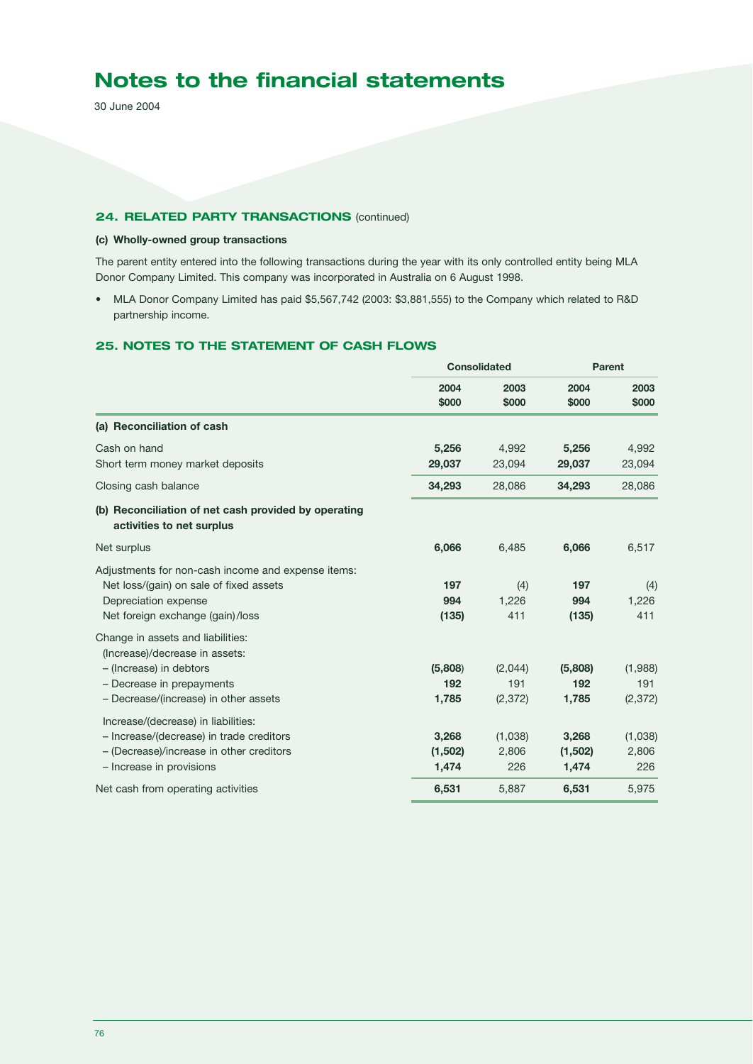30 June 2004

### **24. RELATED PARTY TRANSACTIONS** (continued)

## **(c) Wholly-owned group transactions**

The parent entity entered into the following transactions during the year with its only controlled entity being MLA Donor Company Limited. This company was incorporated in Australia on 6 August 1998.

• MLA Donor Company Limited has paid \$5,567,742 (2003: \$3,881,555) to the Company which related to R&D partnership income.

## **25. NOTES TO THE STATEMENT OF CASH FLOWS**

|                                                                                   | Consolidated  |               | Parent        |               |
|-----------------------------------------------------------------------------------|---------------|---------------|---------------|---------------|
|                                                                                   | 2004<br>\$000 | 2003<br>\$000 | 2004<br>\$000 | 2003<br>\$000 |
| (a) Reconciliation of cash                                                        |               |               |               |               |
| Cash on hand                                                                      | 5,256         | 4,992         | 5,256         | 4,992         |
| Short term money market deposits                                                  | 29,037        | 23,094        | 29,037        | 23,094        |
| Closing cash balance                                                              | 34,293        | 28,086        | 34,293        | 28,086        |
| (b) Reconciliation of net cash provided by operating<br>activities to net surplus |               |               |               |               |
| Net surplus                                                                       | 6,066         | 6,485         | 6,066         | 6,517         |
| Adjustments for non-cash income and expense items:                                |               |               |               |               |
| Net loss/(gain) on sale of fixed assets                                           | 197           | (4)           | 197           | (4)           |
| Depreciation expense                                                              | 994           | 1,226         | 994           | 1,226         |
| Net foreign exchange (gain)/loss                                                  | (135)         | 411           | (135)         | 411           |
| Change in assets and liabilities:<br>(Increase)/decrease in assets:               |               |               |               |               |
| - (Increase) in debtors                                                           | (5,808)       | (2,044)       | (5,808)       | (1,988)       |
| - Decrease in prepayments                                                         | 192           | 191           | 192           | 191           |
| - Decrease/(increase) in other assets                                             | 1,785         | (2, 372)      | 1,785         | (2, 372)      |
| Increase/(decrease) in liabilities:                                               |               |               |               |               |
| - Increase/(decrease) in trade creditors                                          | 3,268         | (1,038)       | 3,268         | (1,038)       |
| - (Decrease)/increase in other creditors                                          | (1,502)       | 2,806         | (1,502)       | 2,806         |
| - Increase in provisions                                                          | 1,474         | 226           | 1,474         | 226           |
| Net cash from operating activities                                                | 6,531         | 5,887         | 6,531         | 5,975         |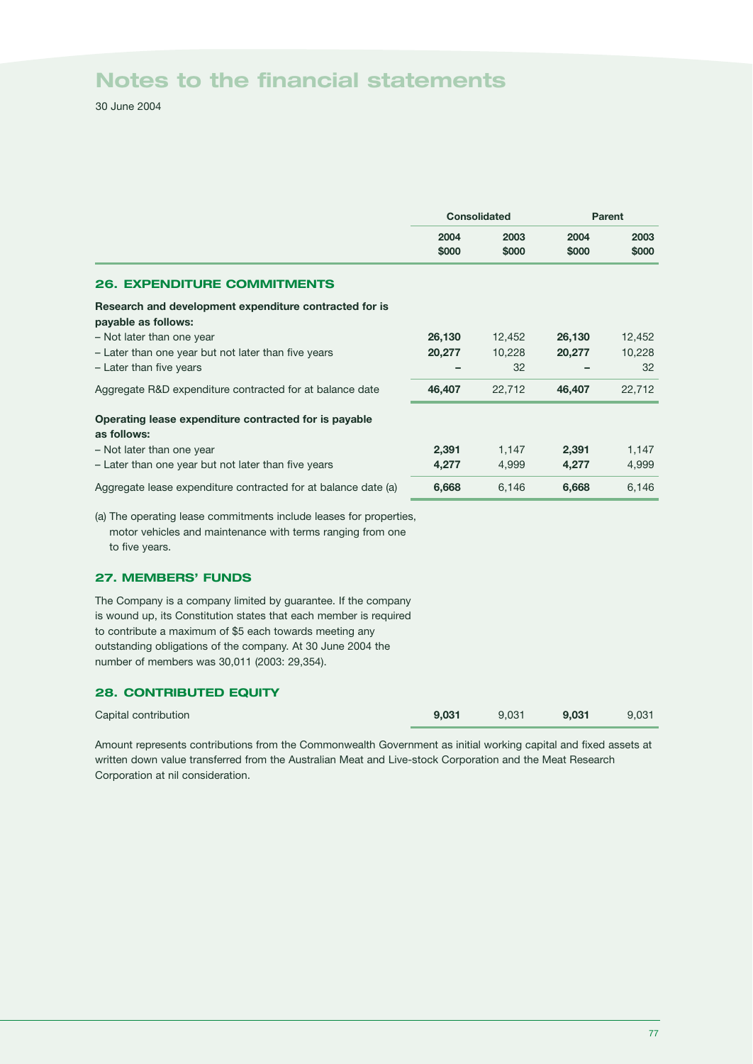30 June 2004

|                                                                                                                                                    | <b>Consolidated</b> |               | <b>Parent</b> |               |
|----------------------------------------------------------------------------------------------------------------------------------------------------|---------------------|---------------|---------------|---------------|
|                                                                                                                                                    | 2004<br>\$000       | 2003<br>\$000 | 2004<br>\$000 | 2003<br>\$000 |
| <b>26. EXPENDITURE COMMITMENTS</b>                                                                                                                 |                     |               |               |               |
| Research and development expenditure contracted for is<br>payable as follows:                                                                      |                     |               |               |               |
| - Not later than one year                                                                                                                          | 26,130              | 12,452        | 26,130        | 12,452        |
| - Later than one year but not later than five years                                                                                                | 20,277              | 10,228        | 20,277        | 10,228        |
| - Later than five years                                                                                                                            |                     | 32            |               | 32            |
| Aggregate R&D expenditure contracted for at balance date                                                                                           | 46,407              | 22,712        | 46,407        | 22,712        |
| Operating lease expenditure contracted for is payable<br>as follows:                                                                               |                     |               |               |               |
| - Not later than one year                                                                                                                          | 2,391               | 1,147         | 2,391         | 1,147         |
| - Later than one year but not later than five years                                                                                                | 4,277               | 4,999         | 4,277         | 4,999         |
| Aggregate lease expenditure contracted for at balance date (a)                                                                                     | 6,668               | 6,146         | 6,668         | 6,146         |
| (a) The operating lease commitments include leases for properties,<br>motor vehicles and maintenance with terms ranging from one<br>to five years. |                     |               |               |               |

**27. MEMBERS' FUNDS**

The Company is a company limited by guarantee. If the company is wound up, its Constitution states that each member is required to contribute a maximum of \$5 each towards meeting any outstanding obligations of the company. At 30 June 2004 the number of members was 30,011 (2003: 29,354).

### **28. CONTRIBUTED EQUITY**

| Capital contribution | 9.031 | 9,031 9,031 9,031 |  |
|----------------------|-------|-------------------|--|
|                      |       |                   |  |

Amount represents contributions from the Commonwealth Government as initial working capital and fixed assets at written down value transferred from the Australian Meat and Live-stock Corporation and the Meat Research Corporation at nil consideration.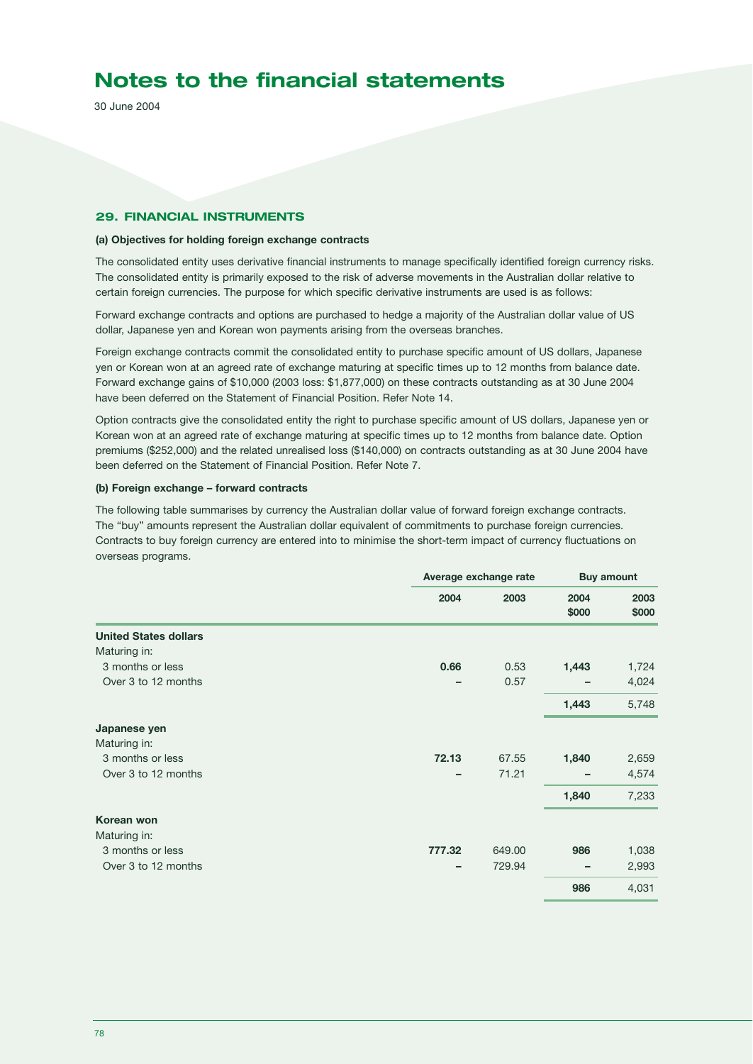30 June 2004

#### **29. FINANCIAL INSTRUMENTS**

#### **(a) Objectives for holding foreign exchange contracts**

The consolidated entity uses derivative financial instruments to manage specifically identified foreign currency risks. The consolidated entity is primarily exposed to the risk of adverse movements in the Australian dollar relative to certain foreign currencies. The purpose for which specific derivative instruments are used is as follows:

Forward exchange contracts and options are purchased to hedge a majority of the Australian dollar value of US dollar, Japanese yen and Korean won payments arising from the overseas branches.

Foreign exchange contracts commit the consolidated entity to purchase specific amount of US dollars, Japanese yen or Korean won at an agreed rate of exchange maturing at specific times up to 12 months from balance date. Forward exchange gains of \$10,000 (2003 loss: \$1,877,000) on these contracts outstanding as at 30 June 2004 have been deferred on the Statement of Financial Position. Refer Note 14.

Option contracts give the consolidated entity the right to purchase specific amount of US dollars, Japanese yen or Korean won at an agreed rate of exchange maturing at specific times up to 12 months from balance date. Option premiums (\$252,000) and the related unrealised loss (\$140,000) on contracts outstanding as at 30 June 2004 have been deferred on the Statement of Financial Position. Refer Note 7.

#### **(b) Foreign exchange – forward contracts**

The following table summarises by currency the Australian dollar value of forward foreign exchange contracts. The "buy" amounts represent the Australian dollar equivalent of commitments to purchase foreign currencies. Contracts to buy foreign currency are entered into to minimise the short-term impact of currency fluctuations on overseas programs.

|                              | Average exchange rate | <b>Buy amount</b> |               |               |
|------------------------------|-----------------------|-------------------|---------------|---------------|
|                              | 2004                  | 2003              | 2004<br>\$000 | 2003<br>\$000 |
| <b>United States dollars</b> |                       |                   |               |               |
| Maturing in:                 |                       |                   |               |               |
| 3 months or less             | 0.66                  | 0.53              | 1,443         | 1,724         |
| Over 3 to 12 months          |                       | 0.57              |               | 4,024         |
|                              |                       |                   | 1,443         | 5,748         |
| Japanese yen                 |                       |                   |               |               |
| Maturing in:                 |                       |                   |               |               |
| 3 months or less             | 72.13                 | 67.55             | 1,840         | 2,659         |
| Over 3 to 12 months          | -                     | 71.21             |               | 4,574         |
|                              |                       |                   | 1,840         | 7,233         |
| Korean won                   |                       |                   |               |               |
| Maturing in:                 |                       |                   |               |               |
| 3 months or less             | 777.32                | 649.00            | 986           | 1,038         |
| Over 3 to 12 months          | -                     | 729.94            | -             | 2,993         |
|                              |                       |                   | 986           | 4,031         |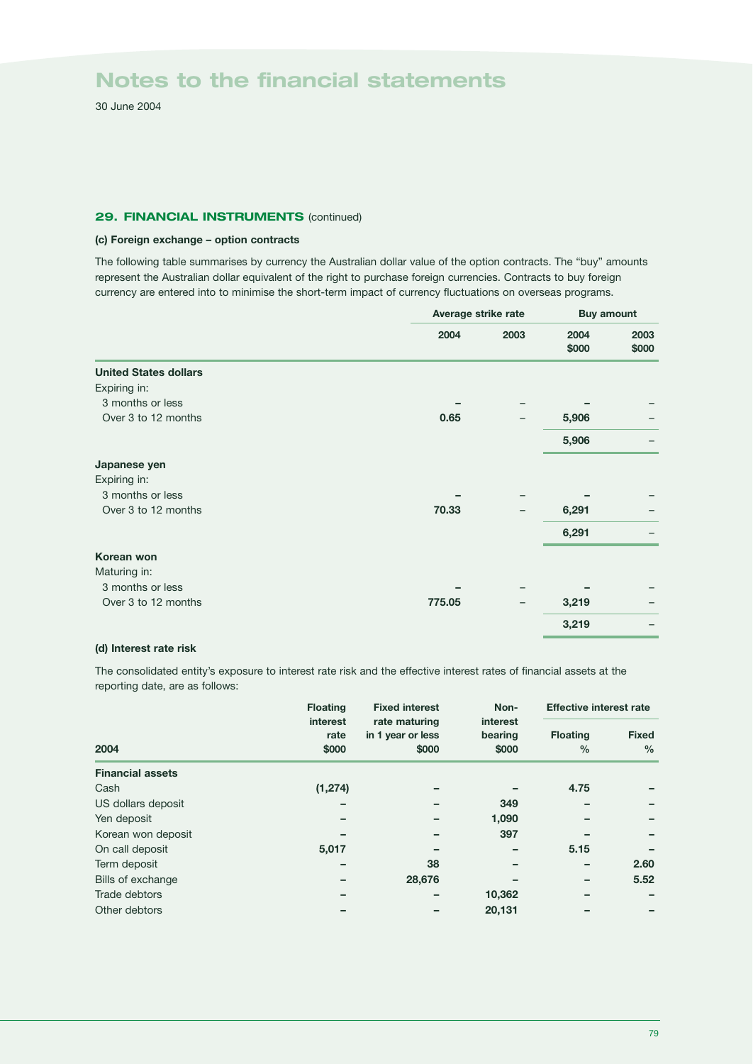30 June 2004

### **29. FINANCIAL INSTRUMENTS (continued)**

### **(c) Foreign exchange – option contracts**

The following table summarises by currency the Australian dollar value of the option contracts. The "buy" amounts represent the Australian dollar equivalent of the right to purchase foreign currencies. Contracts to buy foreign currency are entered into to minimise the short-term impact of currency fluctuations on overseas programs.

|                              | Average strike rate |      | <b>Buy amount</b> |       |
|------------------------------|---------------------|------|-------------------|-------|
|                              | 2004                | 2003 | 2004              | 2003  |
|                              |                     |      | \$000             | \$000 |
| <b>United States dollars</b> |                     |      |                   |       |
| Expiring in:                 |                     |      |                   |       |
| 3 months or less             |                     |      |                   |       |
| Over 3 to 12 months          | 0.65                |      | 5,906             |       |
|                              |                     |      | 5,906             |       |
| Japanese yen                 |                     |      |                   |       |
| Expiring in:                 |                     |      |                   |       |
| 3 months or less             |                     |      |                   |       |
| Over 3 to 12 months          | 70.33               |      | 6,291             |       |
|                              |                     |      | 6,291             |       |
| Korean won                   |                     |      |                   |       |
| Maturing in:                 |                     |      |                   |       |
| 3 months or less             |                     |      |                   |       |
| Over 3 to 12 months          | 775.05              |      | 3,219             |       |
|                              |                     |      | 3,219             |       |

#### **(d) Interest rate risk**

The consolidated entity's exposure to interest rate risk and the effective interest rates of financial assets at the reporting date, are as follows:

|                         | <b>Floating</b>           | <b>Fixed interest</b>                       | Non-                         |                                  | <b>Effective interest rate</b> |  |
|-------------------------|---------------------------|---------------------------------------------|------------------------------|----------------------------------|--------------------------------|--|
| 2004                    | interest<br>rate<br>\$000 | rate maturing<br>in 1 year or less<br>\$000 | interest<br>bearing<br>\$000 | <b>Floating</b><br>$\frac{0}{0}$ | <b>Fixed</b><br>$\frac{0}{0}$  |  |
| <b>Financial assets</b> |                           |                                             |                              |                                  |                                |  |
| Cash                    | (1, 274)                  |                                             |                              | 4.75                             |                                |  |
| US dollars deposit      |                           |                                             | 349                          |                                  |                                |  |
| Yen deposit             |                           |                                             | 1,090                        |                                  |                                |  |
| Korean won deposit      |                           |                                             | 397                          |                                  |                                |  |
| On call deposit         | 5,017                     |                                             |                              | 5.15                             |                                |  |
| Term deposit            |                           | 38                                          |                              |                                  | 2.60                           |  |
| Bills of exchange       |                           | 28,676                                      |                              |                                  | 5.52                           |  |
| Trade debtors           |                           |                                             | 10,362                       |                                  |                                |  |
| Other debtors           |                           |                                             | 20,131                       |                                  |                                |  |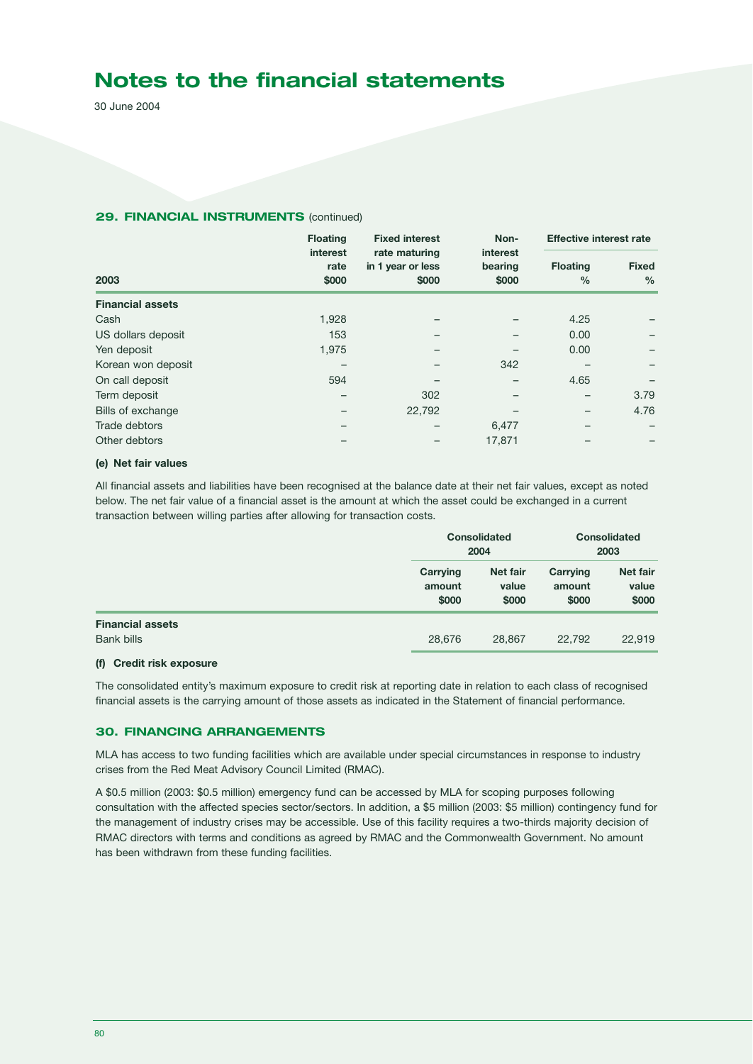30 June 2004

### **29. FINANCIAL INSTRUMENTS (continued)**

|                         | <b>Floating</b>           | <b>Fixed interest</b>                       | Non-                         |                                  | <b>Effective interest rate</b> |  |
|-------------------------|---------------------------|---------------------------------------------|------------------------------|----------------------------------|--------------------------------|--|
| 2003                    | interest<br>rate<br>\$000 | rate maturing<br>in 1 year or less<br>\$000 | interest<br>bearing<br>\$000 | <b>Floating</b><br>$\frac{0}{0}$ | <b>Fixed</b><br>$\frac{0}{0}$  |  |
| <b>Financial assets</b> |                           |                                             |                              |                                  |                                |  |
| Cash                    | 1,928                     |                                             |                              | 4.25                             |                                |  |
| US dollars deposit      | 153                       |                                             |                              | 0.00                             |                                |  |
| Yen deposit             | 1,975                     |                                             |                              | 0.00                             |                                |  |
| Korean won deposit      |                           |                                             | 342                          |                                  |                                |  |
| On call deposit         | 594                       |                                             |                              | 4.65                             |                                |  |
| Term deposit            |                           | 302                                         |                              |                                  | 3.79                           |  |
| Bills of exchange       |                           | 22,792                                      |                              |                                  | 4.76                           |  |
| Trade debtors           |                           |                                             | 6,477                        |                                  |                                |  |
| Other debtors           |                           |                                             | 17,871                       |                                  |                                |  |

#### **(e) Net fair values**

All financial assets and liabilities have been recognised at the balance date at their net fair values, except as noted below. The net fair value of a financial asset is the amount at which the asset could be exchanged in a current transaction between willing parties after allowing for transaction costs.

|                         | <b>Consolidated</b><br>2004 |                            | <b>Consolidated</b><br>2003 |                            |
|-------------------------|-----------------------------|----------------------------|-----------------------------|----------------------------|
|                         | Carrying<br>amount<br>\$000 | Net fair<br>value<br>\$000 | Carrying<br>amount<br>\$000 | Net fair<br>value<br>\$000 |
| <b>Financial assets</b> |                             |                            |                             |                            |
| Bank bills              | 28,676                      | 28,867                     | 22,792                      | 22,919                     |

### **(f) Credit risk exposure**

The consolidated entity's maximum exposure to credit risk at reporting date in relation to each class of recognised financial assets is the carrying amount of those assets as indicated in the Statement of financial performance.

#### **30. FINANCING ARRANGEMENTS**

MLA has access to two funding facilities which are available under special circumstances in response to industry crises from the Red Meat Advisory Council Limited (RMAC).

A \$0.5 million (2003: \$0.5 million) emergency fund can be accessed by MLA for scoping purposes following consultation with the affected species sector/sectors. In addition, a \$5 million (2003: \$5 million) contingency fund for the management of industry crises may be accessible. Use of this facility requires a two-thirds majority decision of RMAC directors with terms and conditions as agreed by RMAC and the Commonwealth Government. No amount has been withdrawn from these funding facilities.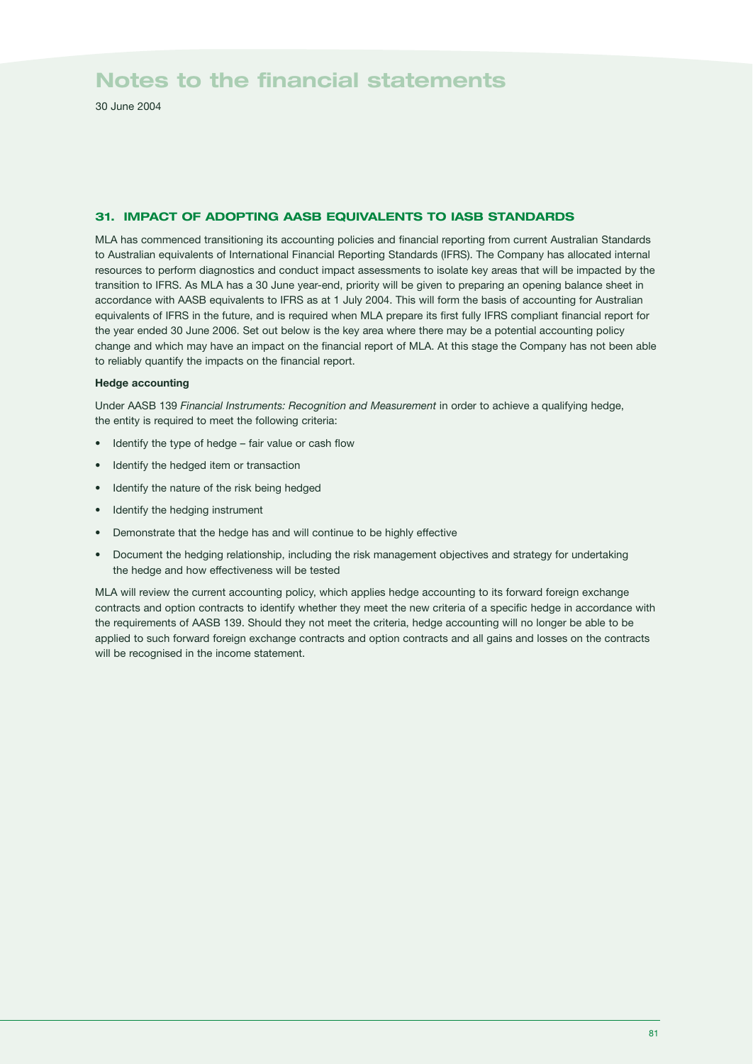30 June 2004

## **31. IMPACT OF ADOPTING AASB EQUIVALENTS TO IASB STANDARDS**

MLA has commenced transitioning its accounting policies and financial reporting from current Australian Standards to Australian equivalents of International Financial Reporting Standards (IFRS). The Company has allocated internal resources to perform diagnostics and conduct impact assessments to isolate key areas that will be impacted by the transition to IFRS. As MLA has a 30 June year-end, priority will be given to preparing an opening balance sheet in accordance with AASB equivalents to IFRS as at 1 July 2004. This will form the basis of accounting for Australian equivalents of IFRS in the future, and is required when MLA prepare its first fully IFRS compliant financial report for the year ended 30 June 2006. Set out below is the key area where there may be a potential accounting policy change and which may have an impact on the financial report of MLA. At this stage the Company has not been able to reliably quantify the impacts on the financial report.

#### **Hedge accounting**

Under AASB 139 *Financial Instruments: Recognition and Measurement* in order to achieve a qualifying hedge, the entity is required to meet the following criteria:

- Identify the type of hedge fair value or cash flow
- Identify the hedged item or transaction
- Identify the nature of the risk being hedged
- Identify the hedging instrument
- Demonstrate that the hedge has and will continue to be highly effective
- Document the hedging relationship, including the risk management objectives and strategy for undertaking the hedge and how effectiveness will be tested

MLA will review the current accounting policy, which applies hedge accounting to its forward foreign exchange contracts and option contracts to identify whether they meet the new criteria of a specific hedge in accordance with the requirements of AASB 139. Should they not meet the criteria, hedge accounting will no longer be able to be applied to such forward foreign exchange contracts and option contracts and all gains and losses on the contracts will be recognised in the income statement.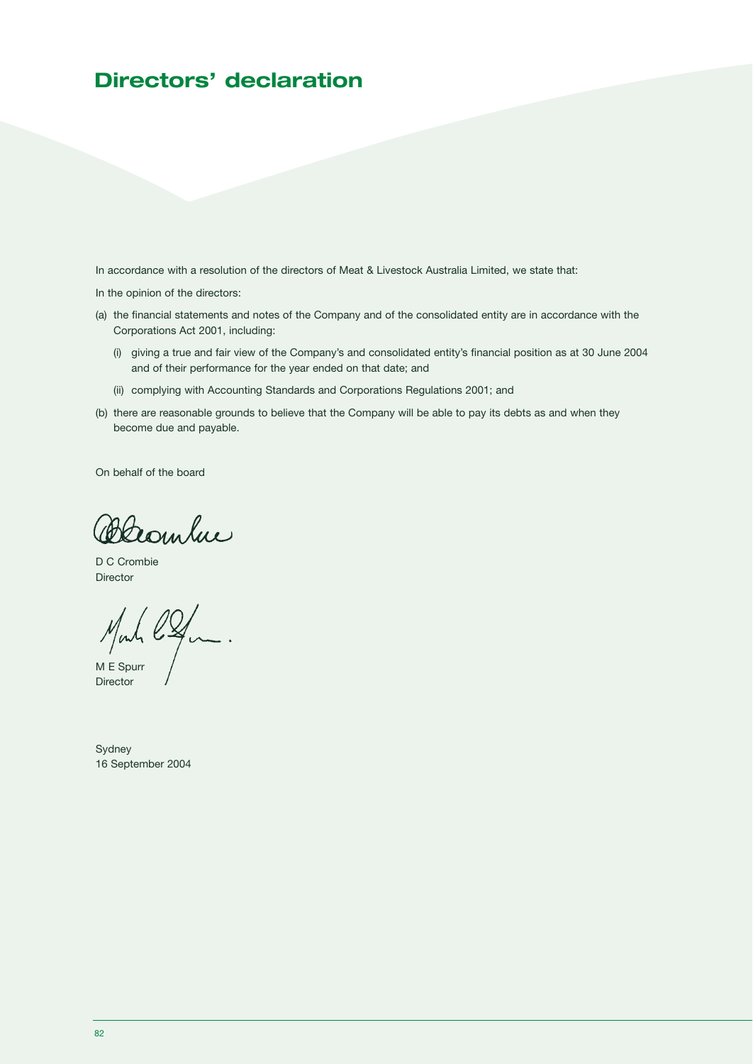# **Directors' declaration**

In accordance with a resolution of the directors of Meat & Livestock Australia Limited, we state that:

In the opinion of the directors:

- (a) the financial statements and notes of the Company and of the consolidated entity are in accordance with the Corporations Act 2001, including:
	- (i) giving a true and fair view of the Company's and consolidated entity's financial position as at 30 June 2004 and of their performance for the year ended on that date; and
	- (ii) complying with Accounting Standards and Corporations Regulations 2001; and
- (b) there are reasonable grounds to believe that the Company will be able to pay its debts as and when they become due and payable.

On behalf of the board

Blambue

D C Crombie Director

Mahl. M E Spurr

Director

Sydney 16 September 2004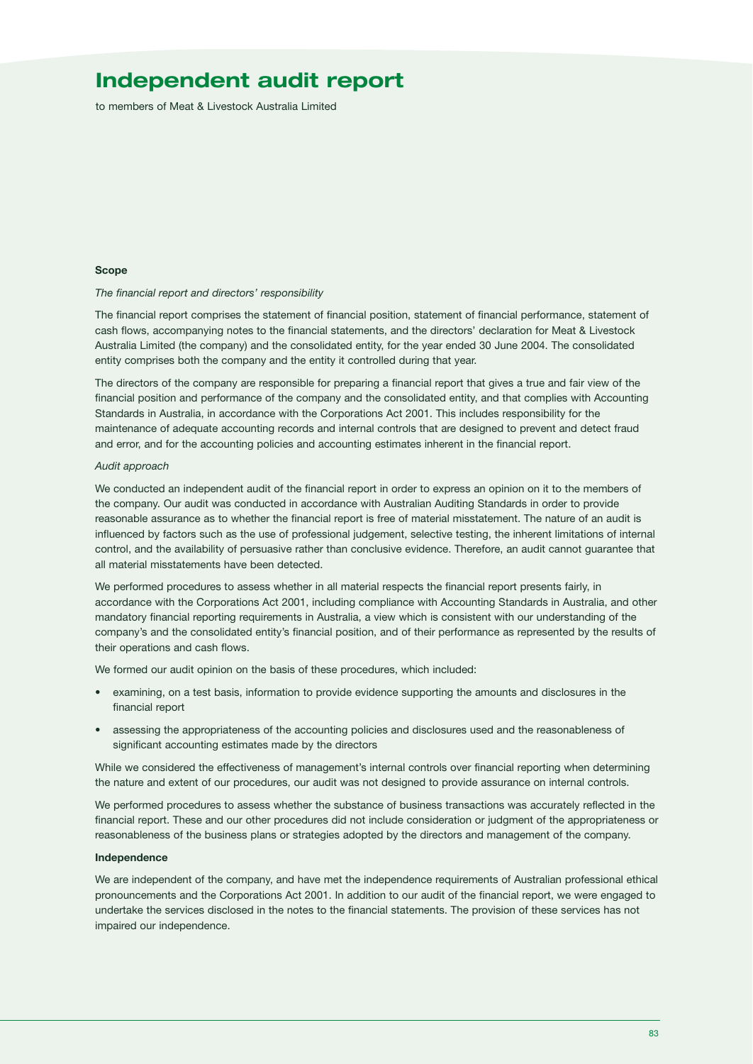# **Independent audit report**

to members of Meat & Livestock Australia Limited

#### **Scope**

#### *The financial report and directors' responsibility*

The financial report comprises the statement of financial position, statement of financial performance, statement of cash flows, accompanying notes to the financial statements, and the directors' declaration for Meat & Livestock Australia Limited (the company) and the consolidated entity, for the year ended 30 June 2004. The consolidated entity comprises both the company and the entity it controlled during that year.

The directors of the company are responsible for preparing a financial report that gives a true and fair view of the financial position and performance of the company and the consolidated entity, and that complies with Accounting Standards in Australia, in accordance with the Corporations Act 2001. This includes responsibility for the maintenance of adequate accounting records and internal controls that are designed to prevent and detect fraud and error, and for the accounting policies and accounting estimates inherent in the financial report.

#### *Audit approach*

We conducted an independent audit of the financial report in order to express an opinion on it to the members of the company. Our audit was conducted in accordance with Australian Auditing Standards in order to provide reasonable assurance as to whether the financial report is free of material misstatement. The nature of an audit is influenced by factors such as the use of professional judgement, selective testing, the inherent limitations of internal control, and the availability of persuasive rather than conclusive evidence. Therefore, an audit cannot guarantee that all material misstatements have been detected.

We performed procedures to assess whether in all material respects the financial report presents fairly, in accordance with the Corporations Act 2001, including compliance with Accounting Standards in Australia, and other mandatory financial reporting requirements in Australia, a view which is consistent with our understanding of the company's and the consolidated entity's financial position, and of their performance as represented by the results of their operations and cash flows.

We formed our audit opinion on the basis of these procedures, which included:

- examining, on a test basis, information to provide evidence supporting the amounts and disclosures in the financial report
- assessing the appropriateness of the accounting policies and disclosures used and the reasonableness of significant accounting estimates made by the directors

While we considered the effectiveness of management's internal controls over financial reporting when determining the nature and extent of our procedures, our audit was not designed to provide assurance on internal controls.

We performed procedures to assess whether the substance of business transactions was accurately reflected in the financial report. These and our other procedures did not include consideration or judgment of the appropriateness or reasonableness of the business plans or strategies adopted by the directors and management of the company.

#### **Independence**

We are independent of the company, and have met the independence requirements of Australian professional ethical pronouncements and the Corporations Act 2001. In addition to our audit of the financial report, we were engaged to undertake the services disclosed in the notes to the financial statements. The provision of these services has not impaired our independence.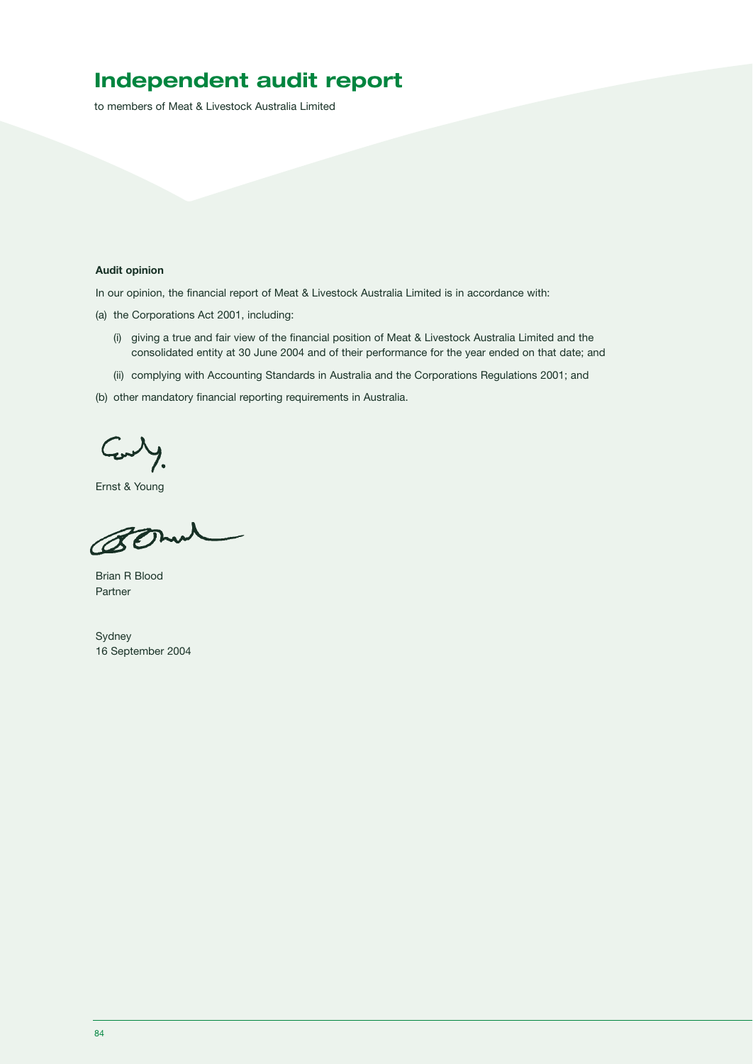# **Independent audit report**

to members of Meat & Livestock Australia Limited

#### **Audit opinion**

In our opinion, the financial report of Meat & Livestock Australia Limited is in accordance with:

(a) the Corporations Act 2001, including:

- (i) giving a true and fair view of the financial position of Meat & Livestock Australia Limited and the consolidated entity at 30 June 2004 and of their performance for the year ended on that date; and
- (ii) complying with Accounting Standards in Australia and the Corporations Regulations 2001; and
- (b) other mandatory financial reporting requirements in Australia.

Comby.

Ernst & Young

Bomel

Brian R Blood Partner

Sydney 16 September 2004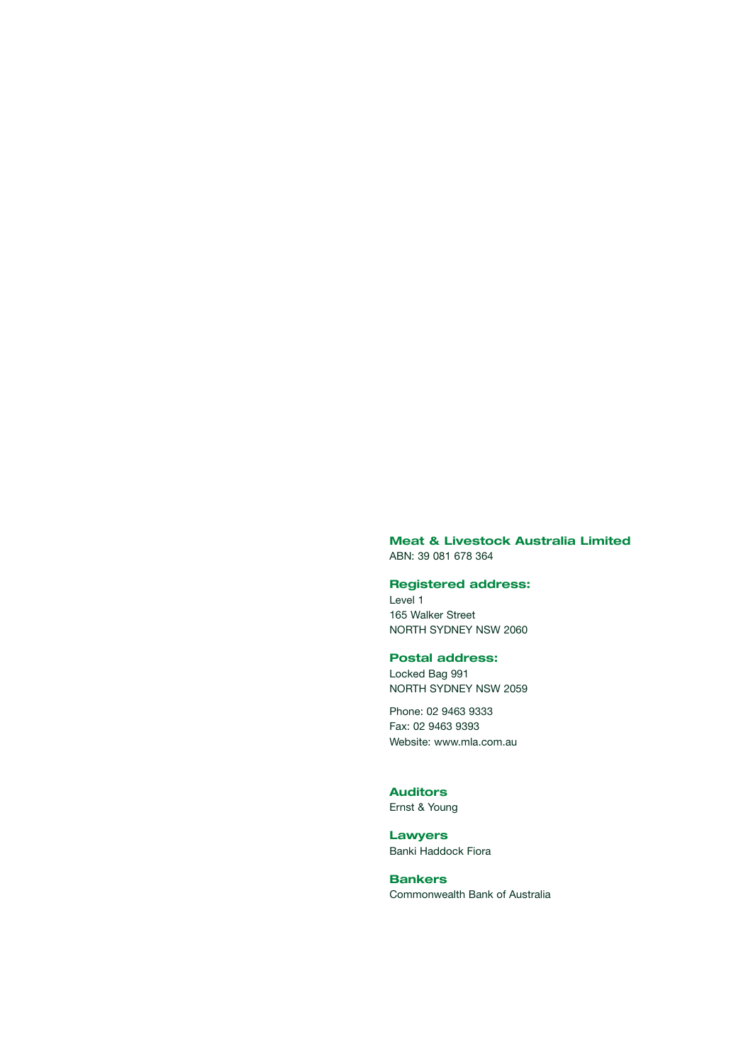**Meat & Livestock Australia Limited**  ABN: 39 081 678 364

#### **Registered address:**

Level 1 165 Walker Street NORTH SYDNEY NSW 2060

#### **Postal address:**

Locked Bag 991 NORTH SYDNEY NSW 2059

Phone: 02 9463 9333 Fax: 02 9463 9393 Website: www.mla.com.au

## **Auditors**

Ernst & Young

**Lawyers**  Banki Haddock Fiora

**Bankers**  Commonwealth Bank of Australia